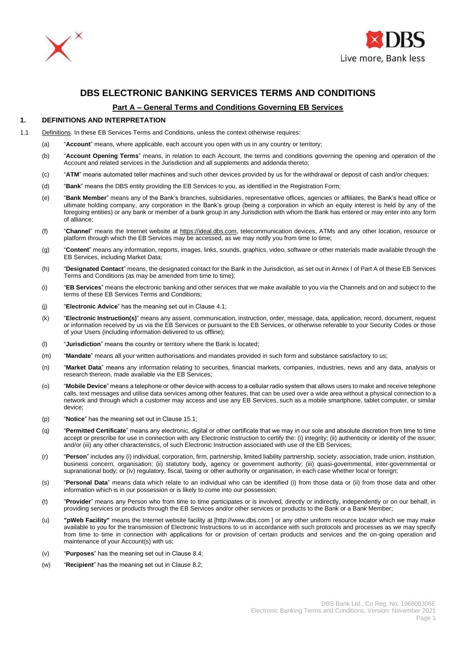



# **DBS ELECTRONIC BANKING SERVICES TERMS AND CONDITIONS**

# **Part A – General Terms and Conditions Governing EB Services**

# **1. DEFINITIONS AND INTERPRETATION**

- 1.1 Definitions. In these EB Services Terms and Conditions, unless the context otherwise requires:
	- (a) "**Account**" means, where applicable, each account you open with us in any country or territory;
	- (b) "**Account Opening Terms**" means, in relation to each Account, the terms and conditions governing the opening and operation of the Account and related services in the Jurisdiction and all supplements and addenda thereto;
	- (c) "**ATM**" means automated teller machines and such other devices provided by us for the withdrawal or deposit of cash and/or cheques;
	- (d) "**Bank**" means the DBS entity providing the EB Services to you, as identified in the Registration Form;
	- (e) "**Bank Member**" means any of the Bank's branches, subsidiaries, representative offices, agencies or affiliates, the Bank's head office or ultimate holding company, any corporation in the Bank's group (being a corporation in which an equity interest is held by any of the foregoing entities) or any bank or member of a bank group in any Jurisdiction with whom the Bank has entered or may enter into any form of alliance;
	- (f) "**Channel**" means the Internet website at [https://ideal.dbs.com,](https://ideal.dbs.com/) telecommunication devices, ATMs and any other location, resource or platform through which the EB Services may be accessed, as we may notify you from time to time;
	- (g) "**Content**" means any information, reports, images, links, sounds, graphics, video, software or other materials made available through the EB Services, including Market Data;
	- (h) "**Designated Contact**" means, the designated contact for the Bank in the Jurisdiction, as set out in Annex I of Part A of these EB Services Terms and Conditions (as may be amended from time to time);
	- (i) "**EB Services**" means the electronic banking and other services that we make available to you via the Channels and on and subject to the terms of these EB Services Terms and Conditions;
	- (j) "**Electronic Advice**" has the meaning set out in Clause 4.1;
	- (k) "**Electronic Instruction(s)**" means any assent, communication, instruction, order, message, data, application, record, document, request or information received by us via the EB Services or pursuant to the EB Services, or otherwise referable to your Security Codes or those of your Users (including information delivered to us offline);
	- (l) "**Jurisdiction**" means the country or territory where the Bank is located;
	- (m) "**Mandate**" means all your written authorisations and mandates provided in such form and substance satisfactory to us;
	- (n) "**Market Data**" means any information relating to securities, financial markets, companies, industries, news and any data, analysis or research thereon, made available via the EB Services;
	- (o) "**Mobile Device**" means a telephone or other device with access to a cellular radio system that allows users to make and receive telephone calls, text messages and utilise data services among other features, that can be used over a wide area without a physical connection to a network and through which a customer may access and use any EB Services, such as a mobile smartphone, tablet computer, or similar device;
	- (p) "**Notice**" has the meaning set out in Clause 15.1;
	- (q) "**Permitted Certificate**" means any electronic, digital or other certificate that we may in our sole and absolute discretion from time to time accept or prescribe for use in connection with any Electronic Instruction to certify the: (i) integrity; (ii) authenticity or identity of the issuer; and/or (iii) any other characteristics, of such Electronic Instruction associated with use of the EB Services;
	- (r) "**Person**" includes any (i) individual, corporation, firm, partnership, limited liability partnership, society, association, trade union, institution, business concern, organisation; (ii) statutory body, agency or government authority; (iii) quasi-governmental, inter-governmental or supranational body; or (iv) regulatory, fiscal, taxing or other authority or organisation, in each case whether local or foreign;
	- (s) "**Personal Data**" means data which relate to an individual who can be identified (i) from those data or (ii) from those data and other information which is in our possession or is likely to come into our possession;
	- (t) "**Provider**" means any Person who from time to time participates or is involved, directly or indirectly, independently or on our behalf, in providing services or products through the EB Services and/or other services or products to the Bank or a Bank Member;
	- (u) **"pWeb Facility"** means the Internet website facility at [http://www.dbs.com ] or any other uniform resource locator which we may make available to you for the transmission of Electronic Instructions to us in accordance with such protocols and processes as we may specify from time to time in connection with applications for or provision of certain products and services and the on-going operation and maintenance of your Account(s) with us;
	- (v) "**Purposes**" has the meaning set out in Clause 8.4;
	- (w) "**Recipient**" has the meaning set out in Clause 8.2;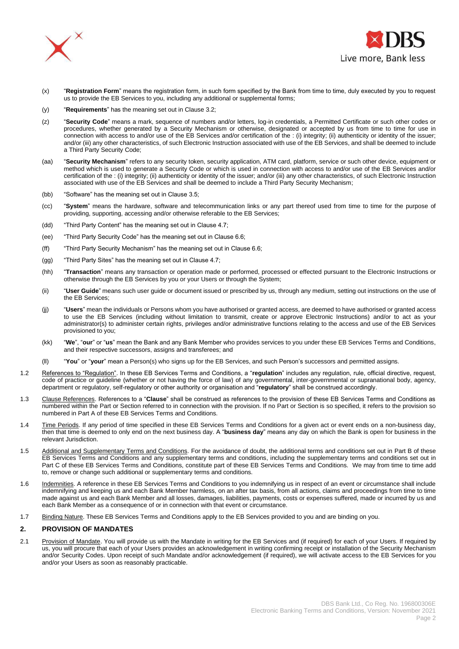



- (x) "**Registration Form**" means the registration form, in such form specified by the Bank from time to time, duly executed by you to request us to provide the EB Services to you, including any additional or supplemental forms;
- (y) "**Requirements**" has the meaning set out in Clause 3.2;
- (z) "**Security Code**" means a mark, sequence of numbers and/or letters, log-in credentials, a Permitted Certificate or such other codes or procedures, whether generated by a Security Mechanism or otherwise, designated or accepted by us from time to time for use in connection with access to and/or use of the EB Services and/or certification of the : (i) integrity; (ii) authenticity or identity of the issuer; and/or (iii) any other characteristics, of such Electronic Instruction associated with use of the EB Services, and shall be deemed to include a Third Party Security Code;
- (aa) "**Security Mechanism**" refers to any security token, security application, ATM card, platform, service or such other device, equipment or method which is used to generate a Security Code or which is used in connection with access to and/or use of the EB Services and/or certification of the : (i) integrity; (ii) authenticity or identity of the issuer; and/or (iii) any other characteristics, of such Electronic Instruction associated with use of the EB Services and shall be deemed to include a Third Party Security Mechanism;
- (bb) "Software" has the meaning set out in Clause 3.5;
- (cc) "**System**" means the hardware, software and telecommunication links or any part thereof used from time to time for the purpose of providing, supporting, accessing and/or otherwise referable to the EB Services;
- (dd) "Third Party Content" has the meaning set out in Clause 4.7;
- (ee) "Third Party Security Code" has the meaning set out in Clause 6.6;
- (ff) "Third Party Security Mechanism" has the meaning set out in Clause 6.6;
- (gg) "Third Party Sites" has the meaning set out in Clause 4.7;
- (hh) "**Transaction**" means any transaction or operation made or performed, processed or effected pursuant to the Electronic Instructions or otherwise through the EB Services by you or your Users or through the System;
- (ii) "**User Guide**" means such user guide or document issued or prescribed by us, through any medium, setting out instructions on the use of the EB Services;
- (jj) "**Users**" mean the individuals or Persons whom you have authorised or granted access, are deemed to have authorised or granted access to use the EB Services (including without limitation to transmit, create or approve Electronic Instructions) and/or to act as your administrator(s) to administer certain rights, privileges and/or administrative functions relating to the access and use of the EB Services provisioned to you;
- (kk) "**We**", "**our**" or "**us**" mean the Bank and any Bank Member who provides services to you under these EB Services Terms and Conditions, and their respective successors, assigns and transferees; and
- (ll) "**You**" or "**your**" mean a Person(s) who signs up for the EB Services, and such Person's successors and permitted assigns.
- 1.2 References to "Regulation". In these EB Services Terms and Conditions, a "**regulation**" includes any regulation, rule, official directive, request, code of practice or guideline (whether or not having the force of law) of any governmental, inter-governmental or supranational body, agency, department or regulatory, self-regulatory or other authority or organisation and "**regulatory**" shall be construed accordingly.
- 1.3 Clause References. References to a "**Clause**" shall be construed as references to the provision of these EB Services Terms and Conditions as numbered within the Part or Section referred to in connection with the provision. If no Part or Section is so specified, it refers to the provision so numbered in Part A of these EB Services Terms and Conditions.
- 1.4 Time Periods. If any period of time specified in these EB Services Terms and Conditions for a given act or event ends on a non-business day, then that time is deemed to only end on the next business day. A "**business day**" means any day on which the Bank is open for business in the relevant Jurisdiction.
- 1.5 Additional and Supplementary Terms and Conditions. For the avoidance of doubt, the additional terms and conditions set out in Part B of these EB Services Terms and Conditions and any supplementary terms and conditions, including the supplementary terms and conditions set out in Part C of these EB Services Terms and Conditions, constitute part of these EB Services Terms and Conditions. We may from time to time add to, remove or change such additional or supplementary terms and conditions.
- 1.6 Indemnities. A reference in these EB Services Terms and Conditions to you indemnifying us in respect of an event or circumstance shall include indemnifying and keeping us and each Bank Member harmless, on an after tax basis, from all actions, claims and proceedings from time to time made against us and each Bank Member and all losses, damages, liabilities, payments, costs or expenses suffered, made or incurred by us and each Bank Member as a consequence of or in connection with that event or circumstance.
- 1.7 Binding Nature. These EB Services Terms and Conditions apply to the EB Services provided to you and are binding on you.

# **2. PROVISION OF MANDATES**

2.1 Provision of Mandate. You will provide us with the Mandate in writing for the EB Services and (if required) for each of your Users. If required by us, you will procure that each of your Users provides an acknowledgement in writing confirming receipt or installation of the Security Mechanism and/or Security Codes. Upon receipt of such Mandate and/or acknowledgement (if required), we will activate access to the EB Services for you and/or your Users as soon as reasonably practicable.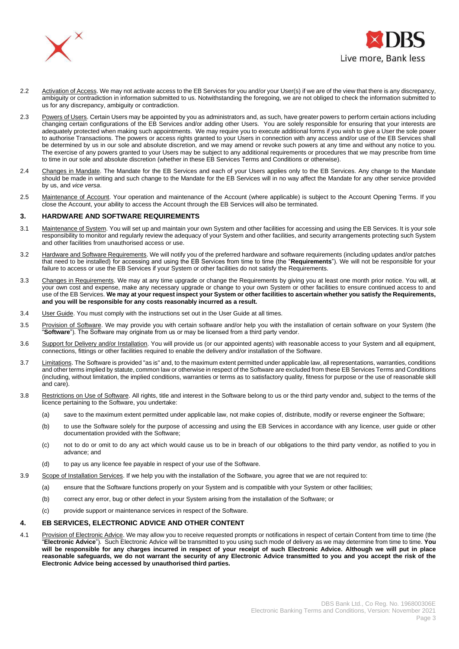



- 2.2 Activation of Access. We may not activate access to the EB Services for you and/or your User(s) if we are of the view that there is any discrepancy, ambiguity or contradiction in information submitted to us. Notwithstanding the foregoing, we are not obliged to check the information submitted to us for any discrepancy, ambiguity or contradiction.
- 2.3 Powers of Users. Certain Users may be appointed by you as administrators and, as such, have greater powers to perform certain actions including changing certain configurations of the EB Services and/or adding other Users. You are solely responsible for ensuring that your interests are adequately protected when making such appointments. We may require you to execute additional forms if you wish to give a User the sole power to authorise Transactions. The powers or access rights granted to your Users in connection with any access and/or use of the EB Services shall be determined by us in our sole and absolute discretion, and we may amend or revoke such powers at any time and without any notice to you. The exercise of any powers granted to your Users may be subject to any additional requirements or procedures that we may prescribe from time to time in our sole and absolute discretion (whether in these EB Services Terms and Conditions or otherwise).
- 2.4 Changes in Mandate. The Mandate for the EB Services and each of your Users applies only to the EB Services. Any change to the Mandate should be made in writing and such change to the Mandate for the EB Services will in no way affect the Mandate for any other service provided by us, and *vice versa*.
- 2.5 Maintenance of Account. Your operation and maintenance of the Account (where applicable) is subject to the Account Opening Terms. If you close the Account, your ability to access the Account through the EB Services will also be terminated.

# **3. HARDWARE AND SOFTWARE REQUIREMENTS**

- 3.1 Maintenance of System. You will set up and maintain your own System and other facilities for accessing and using the EB Services. It is your sole responsibility to monitor and regularly review the adequacy of your System and other facilities, and security arrangements protecting such System and other facilities from unauthorised access or use.
- 3.2 Hardware and Software Requirements. We will notify you of the preferred hardware and software requirements (including updates and/or patches that need to be installed) for accessing and using the EB Services from time to time (the "**Requirements**"). We will not be responsible for your failure to access or use the EB Services if your System or other facilities do not satisfy the Requirements.
- 3.3 Changes in Requirements. We may at any time upgrade or change the Requirements by giving you at least one month prior notice. You will, at your own cost and expense, make any necessary upgrade or change to your own System or other facilities to ensure continued access to and use of the EB Services. **We may at your request inspect your System or other facilities to ascertain whether you satisfy the Requirements, and you will be responsible for any costs reasonably incurred as a result.**
- 3.4 User Guide. You must comply with the instructions set out in the User Guide at all times.
- 3.5 Provision of Software. We may provide you with certain software and/or help you with the installation of certain software on your System (the "**Software**"). The Software may originate from us or may be licensed from a third party vendor.
- 3.6 Support for Delivery and/or Installation. You will provide us (or our appointed agents) with reasonable access to your System and all equipment, connections, fittings or other facilities required to enable the delivery and/or installation of the Software.
- 3.7 Limitations. The Software is provided "as is" and, to the maximum extent permitted under applicable law, all representations, warranties, conditions and other terms implied by statute, common law or otherwise in respect of the Software are excluded from these EB Services Terms and Conditions (including, without limitation, the implied conditions, warranties or terms as to satisfactory quality, fitness for purpose or the use of reasonable skill and care).
- 3.8 Restrictions on Use of Software. All rights, title and interest in the Software belong to us or the third party vendor and, subject to the terms of the licence pertaining to the Software, you undertake:
	- (a) save to the maximum extent permitted under applicable law, not make copies of, distribute, modify or reverse engineer the Software;
	- (b) to use the Software solely for the purpose of accessing and using the EB Services in accordance with any licence, user guide or other documentation provided with the Software;
	- (c) not to do or omit to do any act which would cause us to be in breach of our obligations to the third party vendor, as notified to you in advance; and
	- (d) to pay us any licence fee payable in respect of your use of the Software.
- 3.9 Scope of Installation Services. If we help you with the installation of the Software, you agree that we are not required to:
	- (a) ensure that the Software functions properly on your System and is compatible with your System or other facilities;
	- (b) correct any error, bug or other defect in your System arising from the installation of the Software; or
	- (c) provide support or maintenance services in respect of the Software.

#### **4. EB SERVICES, ELECTRONIC ADVICE AND OTHER CONTENT**

4.1 Provision of Electronic Advice. We may allow you to receive requested prompts or notifications in respect of certain Content from time to time (the "**Electronic Advice**"). Such Electronic Advice will be transmitted to you using such mode of delivery as we may determine from time to time. **You will be responsible for any charges incurred in respect of your receipt of such Electronic Advice. Although we will put in place reasonable safeguards, we do not warrant the security of any Electronic Advice transmitted to you and you accept the risk of the Electronic Advice being accessed by unauthorised third parties.**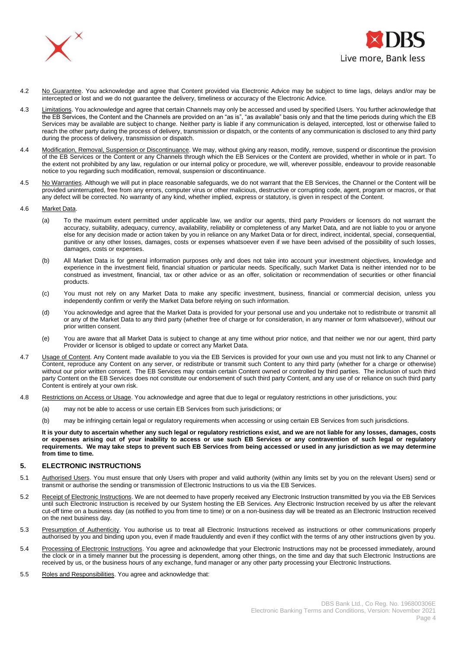



- 4.2 No Guarantee. You acknowledge and agree that Content provided via Electronic Advice may be subject to time lags, delays and/or may be intercepted or lost and we do not guarantee the delivery, timeliness or accuracy of the Electronic Advice.
- 4.3 Limitations. You acknowledge and agree that certain Channels may only be accessed and used by specified Users. You further acknowledge that the EB Services, the Content and the Channels are provided on an "as is", "as available" basis only and that the time periods during which the EB Services may be available are subject to change. Neither party is liable if any communication is delayed, intercepted, lost or otherwise failed to reach the other party during the process of delivery, transmission or dispatch, or the contents of any communication is disclosed to any third party during the process of delivery, transmission or dispatch.
- 4.4 Modification, Removal, Suspension or Discontinuance. We may, without giving any reason, modify, remove, suspend or discontinue the provision of the EB Services or the Content or any Channels through which the EB Services or the Content are provided, whether in whole or in part. To the extent not prohibited by any law, regulation or our internal policy or procedure, we will, wherever possible, endeavour to provide reasonable notice to you regarding such modification, removal, suspension or discontinuance.
- 4.5 No Warranties. Although we will put in place reasonable safeguards, we do not warrant that the EB Services, the Channel or the Content will be provided uninterrupted, free from any errors, computer virus or other malicious, destructive or corrupting code, agent, program or macros, or that any defect will be corrected. No warranty of any kind, whether implied, express or statutory, is given in respect of the Content.
- 4.6 Market Data.
	- (a) To the maximum extent permitted under applicable law, we and/or our agents, third party Providers or licensors do not warrant the accuracy, suitability, adequacy, currency, availability, reliability or completeness of any Market Data, and are not liable to you or anyone else for any decision made or action taken by you in reliance on any Market Data or for direct, indirect, incidental, special, consequential, punitive or any other losses, damages, costs or expenses whatsoever even if we have been advised of the possibility of such losses, damages, costs or expenses.
	- (b) All Market Data is for general information purposes only and does not take into account your investment objectives, knowledge and experience in the investment field, financial situation or particular needs. Specifically, such Market Data is neither intended nor to be construed as investment, financial, tax or other advice or as an offer, solicitation or recommendation of securities or other financial products.
	- (c) You must not rely on any Market Data to make any specific investment, business, financial or commercial decision, unless you independently confirm or verify the Market Data before relying on such information.
	- (d) You acknowledge and agree that the Market Data is provided for your personal use and you undertake not to redistribute or transmit all or any of the Market Data to any third party (whether free of charge or for consideration, in any manner or form whatsoever), without our prior written consent.
	- (e) You are aware that all Market Data is subject to change at any time without prior notice, and that neither we nor our agent, third party Provider or licensor is obliged to update or correct any Market Data.
- 4.7 Usage of Content. Any Content made available to you via the EB Services is provided for your own use and you must not link to any Channel or Content, reproduce any Content on any server, or redistribute or transmit such Content to any third party (whether for a charge or otherwise) without our prior written consent. The EB Services may contain certain Content owned or controlled by third parties. The inclusion of such third party Content on the EB Services does not constitute our endorsement of such third party Content, and any use of or reliance on such third party Content is entirely at your own risk.
- 4.8 Restrictions on Access or Usage. You acknowledge and agree that due to legal or regulatory restrictions in other jurisdictions, you:
	- (a) may not be able to access or use certain EB Services from such jurisdictions; or
	- (b) may be infringing certain legal or regulatory requirements when accessing or using certain EB Services from such jurisdictions.

**It is your duty to ascertain whether any such legal or regulatory restrictions exist, and we are not liable for any losses, damages, costs or expenses arising out of your inability to access or use such EB Services or any contravention of such legal or regulatory requirements. We may take steps to prevent such EB Services from being accessed or used in any jurisdiction as we may determine from time to time.**

# **5. ELECTRONIC INSTRUCTIONS**

- 5.1 Authorised Users. You must ensure that only Users with proper and valid authority (within any limits set by you on the relevant Users) send or transmit or authorise the sending or transmission of Electronic Instructions to us via the EB Services.
- 5.2 Receipt of Electronic Instructions. We are not deemed to have properly received any Electronic Instruction transmitted by you via the EB Services until such Electronic Instruction is received by our System hosting the EB Services. Any Electronic Instruction received by us after the relevant cut-off time on a business day (as notified to you from time to time) or on a non-business day will be treated as an Electronic Instruction received on the next business day.
- 5.3 Presumption of Authenticity. You authorise us to treat all Electronic Instructions received as instructions or other communications properly authorised by you and binding upon you, even if made fraudulently and even if they conflict with the terms of any other instructions given by you.
- 5.4 Processing of Electronic Instructions. You agree and acknowledge that your Electronic Instructions may not be processed immediately, around the clock or in a timely manner but the processing is dependent, among other things, on the time and day that such Electronic Instructions are received by us, or the business hours of any exchange, fund manager or any other party processing your Electronic Instructions.
- 5.5 Roles and Responsibilities. You agree and acknowledge that: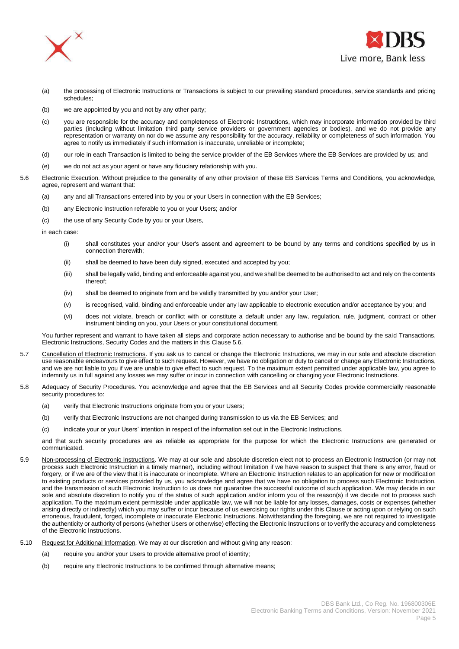



- (a) the processing of Electronic Instructions or Transactions is subject to our prevailing standard procedures, service standards and pricing schedules;
- (b) we are appointed by you and not by any other party;
- (c) you are responsible for the accuracy and completeness of Electronic Instructions, which may incorporate information provided by third parties (including without limitation third party service providers or government agencies or bodies), and we do not provide any representation or warranty on nor do we assume any responsibility for the accuracy, reliability or completeness of such information. You agree to notify us immediately if such information is inaccurate, unreliable or incomplete;
- (d) our role in each Transaction is limited to being the service provider of the EB Services where the EB Services are provided by us; and
- (e) we do not act as your agent or have any fiduciary relationship with you.
- 5.6 Electronic Execution. Without prejudice to the generality of any other provision of these EB Services Terms and Conditions, you acknowledge, agree, represent and warrant that:
	- (a) any and all Transactions entered into by you or your Users in connection with the EB Services;
	- (b) any Electronic Instruction referable to you or your Users; and/or
	- (c) the use of any Security Code by you or your Users,

in each case:

- (i) shall constitutes your and/or your User's assent and agreement to be bound by any terms and conditions specified by us in connection therewith;
- (ii) shall be deemed to have been duly signed, executed and accepted by you;
- (iii) shall be legally valid, binding and enforceable against you, and we shall be deemed to be authorised to act and rely on the contents thereof;
- (iv) shall be deemed to originate from and be validly transmitted by you and/or your User;
- (v) is recognised, valid, binding and enforceable under any law applicable to electronic execution and/or acceptance by you; and
- (vi) does not violate, breach or conflict with or constitute a default under any law, regulation, rule, judgment, contract or other instrument binding on you, your Users or your constitutional document.

You further represent and warrant to have taken all steps and corporate action necessary to authorise and be bound by the said Transactions, Electronic Instructions, Security Codes and the matters in this Clause 5.6.

- 5.7 Cancellation of Electronic Instructions. If you ask us to cancel or change the Electronic Instructions, we may in our sole and absolute discretion use reasonable endeavours to give effect to such request. However, we have no obligation or duty to cancel or change any Electronic Instructions, and we are not liable to you if we are unable to give effect to such request. To the maximum extent permitted under applicable law, you agree to indemnify us in full against any losses we may suffer or incur in connection with cancelling or changing your Electronic Instructions.
- 5.8 Adequacy of Security Procedures. You acknowledge and agree that the EB Services and all Security Codes provide commercially reasonable security procedures to:
	- (a) verify that Electronic Instructions originate from you or your Users;
	- (b) verify that Electronic Instructions are not changed during transmission to us via the EB Services; and
	- (c) indicate your or your Users' intention in respect of the information set out in the Electronic Instructions.

and that such security procedures are as reliable as appropriate for the purpose for which the Electronic Instructions are generated or communicated.

- 5.9 Non-processing of Electronic Instructions. We may at our sole and absolute discretion elect not to process an Electronic Instruction (or may not process such Electronic Instruction in a timely manner), including without limitation if we have reason to suspect that there is any error, fraud or forgery, or if we are of the view that it is inaccurate or incomplete. Where an Electronic Instruction relates to an application for new or modification to existing products or services provided by us, you acknowledge and agree that we have no obligation to process such Electronic Instruction, and the transmission of such Electronic Instruction to us does not guarantee the successful outcome of such application. We may decide in our sole and absolute discretion to notify you of the status of such application and/or inform you of the reason(s) if we decide not to process such application. To the maximum extent permissible under applicable law, we will not be liable for any losses, damages, costs or expenses (whether arising directly or indirectly) which you may suffer or incur because of us exercising our rights under this Clause or acting upon or relying on such erroneous, fraudulent, forged, incomplete or inaccurate Electronic Instructions. Notwithstanding the foregoing, we are not required to investigate the authenticity or authority of persons (whether Users or otherwise) effecting the Electronic Instructions or to verify the accuracy and completeness of the Electronic Instructions.
- 5.10 Request for Additional Information. We may at our discretion and without giving any reason:
	- (a) require you and/or your Users to provide alternative proof of identity;
	- (b) require any Electronic Instructions to be confirmed through alternative means;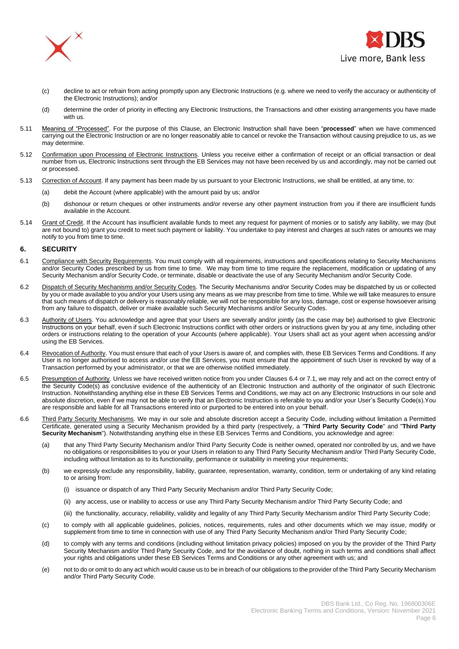



- (c) decline to act or refrain from acting promptly upon any Electronic Instructions (e.g. where we need to verify the accuracy or authenticity of the Electronic Instructions); and/or
- (d) determine the order of priority in effecting any Electronic Instructions, the Transactions and other existing arrangements you have made with us.
- 5.11 Meaning of "Processed". For the purpose of this Clause, an Electronic Instruction shall have been "**processed**" when we have commenced carrying out the Electronic Instruction or are no longer reasonably able to cancel or revoke the Transaction without causing prejudice to us, as we may determine.
- 5.12 Confirmation upon Processing of Electronic Instructions. Unless you receive either a confirmation of receipt or an official transaction or deal number from us, Electronic Instructions sent through the EB Services may not have been received by us and accordingly, may not be carried out or processed.
- 5.13 Correction of Account. If any payment has been made by us pursuant to your Electronic Instructions, we shall be entitled, at any time, to:
	- (a) debit the Account (where applicable) with the amount paid by us; and/or
	- (b) dishonour or return cheques or other instruments and/or reverse any other payment instruction from you if there are insufficient funds available in the Account.
- 5.14 Grant of Credit. If the Account has insufficient available funds to meet any request for payment of monies or to satisfy any liability, we may (but are not bound to) grant you credit to meet such payment or liability. You undertake to pay interest and charges at such rates or amounts we may notify to you from time to time.

# **6. SECURITY**

- 6.1 Compliance with Security Requirements. You must comply with all requirements, instructions and specifications relating to Security Mechanisms and/or Security Codes prescribed by us from time to time. We may from time to time require the replacement, modification or updating of any Security Mechanism and/or Security Code, or terminate, disable or deactivate the use of any Security Mechanism and/or Security Code.
- 6.2 Dispatch of Security Mechanisms and/or Security Codes. The Security Mechanisms and/or Security Codes may be dispatched by us or collected by you or made available to you and/or your Users using any means as we may prescribe from time to time. While we will take measures to ensure that such means of dispatch or delivery is reasonably reliable, we will not be responsible for any loss, damage, cost or expense howsoever arising from any failure to dispatch, deliver or make available such Security Mechanisms and/or Security Codes.
- 6.3 Authority of Users. You acknowledge and agree that your Users are severally and/or jointly (as the case may be) authorised to give Electronic Instructions on your behalf, even if such Electronic Instructions conflict with other orders or instructions given by you at any time, including other orders or instructions relating to the operation of your Accounts (where applicable). Your Users shall act as your agent when accessing and/or using the EB Services.
- 6.4 Revocation of Authority. You must ensure that each of your Users is aware of, and complies with, these EB Services Terms and Conditions. If any User is no longer authorised to access and/or use the EB Services, you must ensure that the appointment of such User is revoked by way of a Transaction performed by your administrator, or that we are otherwise notified immediately.
- 6.5 Presumption of Authority. Unless we have received written notice from you under Clauses 6.4 or 7.1, we may rely and act on the correct entry of the Security Code(s) as conclusive evidence of the authenticity of an Electronic Instruction and authority of the originator of such Electronic Instruction. Notwithstanding anything else in these EB Services Terms and Conditions, we may act on any Electronic Instructions in our sole and absolute discretion, even if we may not be able to verify that an Electronic Instruction is referable to you and/or your User's Security Code(s).You are responsible and liable for all Transactions entered into or purported to be entered into on your behalf.
- 6.6 Third Party Security Mechanisms. We may in our sole and absolute discretion accept a Security Code, including without limitation a Permitted Certificate, generated using a Security Mechanism provided by a third party (respectively, a "**Third Party Security Code**" and "**Third Party Security Mechanism**"). Notwithstanding anything else in these EB Services Terms and Conditions, you acknowledge and agree:
	- (a) that any Third Party Security Mechanism and/or Third Party Security Code is neither owned, operated nor controlled by us, and we have no obligations or responsibilities to you or your Users in relation to any Third Party Security Mechanism and/or Third Party Security Code, including without limitation as to its functionality, performance or suitability in meeting your requirements;
	- (b) we expressly exclude any responsibility, liability, guarantee, representation, warranty, condition, term or undertaking of any kind relating to or arising from:
		- (i) issuance or dispatch of any Third Party Security Mechanism and/or Third Party Security Code;
		- (ii) any access, use or inability to access or use any Third Party Security Mechanism and/or Third Party Security Code; and
		- (iii) the functionality, accuracy, reliability, validity and legality of any Third Party Security Mechanism and/or Third Party Security Code;
	- (c) to comply with all applicable guidelines, policies, notices, requirements, rules and other documents which we may issue, modify or supplement from time to time in connection with use of any Third Party Security Mechanism and/or Third Party Security Code;
	- (d) to comply with any terms and conditions (including without limitation privacy policies) imposed on you by the provider of the Third Party Security Mechanism and/or Third Party Security Code, and for the avoidance of doubt, nothing in such terms and conditions shall affect your rights and obligations under these EB Services Terms and Conditions or any other agreement with us; and
	- (e) not to do or omit to do any act which would cause us to be in breach of our obligations to the provider of the Third Party Security Mechanism and/or Third Party Security Code.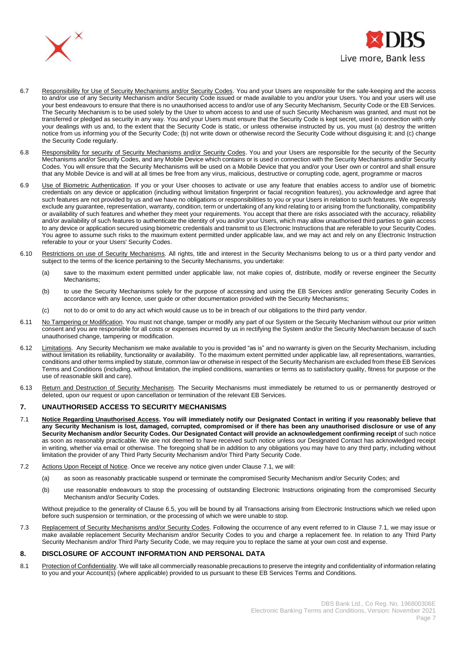



- 6.7 Responsibility for Use of Security Mechanisms and/or Security Codes. You and your Users are responsible for the safe-keeping and the access to and/or use of any Security Mechanism and/or Security Code issued or made available to you and/or your Users. You and your users will use your best endeavours to ensure that there is no unauthorised access to and/or use of any Security Mechanism, Security Code or the EB Services. The Security Mechanism is to be used solely by the User to whom access to and use of such Security Mechanism was granted, and must not be transferred or pledged as security in any way. You and your Users must ensure that the Security Code is kept secret, used in connection with only your dealings with us and, to the extent that the Security Code is static, or unless otherwise instructed by us, you must (a) destroy the written notice from us informing you of the Security Code; (b) not write down or otherwise record the Security Code without disguising it; and (c) change the Security Code regularly.
- 6.8 Responsibility for security of Security Mechanisms and/or Security Codes. You and your Users are responsible for the security of the Security Mechanisms and/or Security Codes, and any Mobile Device which contains or is used in connection with the Security Mechanisms and/or Security Codes. You will ensure that the Security Mechanisms will be used on a Mobile Device that you and/or your User own or control and shall ensure that any Mobile Device is and will at all times be free from any virus, malicious, destructive or corrupting code, agent, programme or macros
- 6.9 Use of Biometric Authentication. If you or your User chooses to activate or use any feature that enables access to and/or use of biometric credentials on any device or application (including without limitation fingerprint or facial recognition features), you acknowledge and agree that such features are not provided by us and we have no obligations or responsibilities to you or your Users in relation to such features. We expressly exclude any guarantee, representation, warranty, condition, term or undertaking of any kind relating to or arising from the functionality, compatibility or availability of such features and whether they meet your requirements. You accept that there are risks associated with the accuracy, reliability and/or availability of such features to authenticate the identity of you and/or your Users, which may allow unauthorised third parties to gain access to any device or application secured using biometric credentials and transmit to us Electronic Instructions that are referable to your Security Codes. You agree to assume such risks to the maximum extent permitted under applicable law, and we may act and rely on any Electronic Instruction referable to your or your Users' Security Codes.
- 6.10 Restrictions on use of Security Mechanisms. All rights, title and interest in the Security Mechanisms belong to us or a third party vendor and subject to the terms of the licence pertaining to the Security Mechanisms, you undertake:
	- (a) save to the maximum extent permitted under applicable law, not make copies of, distribute, modify or reverse engineer the Security Mechanisms;
	- (b) to use the Security Mechanisms solely for the purpose of accessing and using the EB Services and/or generating Security Codes in accordance with any licence, user guide or other documentation provided with the Security Mechanisms;
	- (c) not to do or omit to do any act which would cause us to be in breach of our obligations to the third party vendor.
- 6.11 No Tampering or Modification. You must not change, tamper or modify any part of our System or the Security Mechanism without our prior written consent and you are responsible for all costs or expenses incurred by us in rectifying the System and/or the Security Mechanism because of such unauthorised change, tampering or modification.
- 6.12 Limitations. Any Security Mechanism we make available to you is provided "as is" and no warranty is given on the Security Mechanism, including without limitation its reliability, functionality or availability. To the maximum extent permitted under applicable law, all representations, warranties, conditions and other terms implied by statute, common law or otherwise in respect of the Security Mechanism are excluded from these EB Services Terms and Conditions (including, without limitation, the implied conditions, warranties or terms as to satisfactory quality, fitness for purpose or the use of reasonable skill and care).
- 6.13 Return and Destruction of Security Mechanism. The Security Mechanisms must immediately be returned to us or permanently destroyed or deleted, upon our request or upon cancellation or termination of the relevant EB Services.

#### **7. UNAUTHORISED ACCESS TO SECURITY MECHANISMS**

- 7.1 **Notice Regarding Unauthorised Access. You will immediately notify our Designated Contact in writing if you reasonably believe that any Security Mechanism is lost, damaged, corrupted, compromised or if there has been any unauthorised disclosure or use of any Security Mechanism and/or Security Codes. Our Designated Contact will provide an acknowledgement confirming receipt** of such notice as soon as reasonably practicable. We are not deemed to have received such notice unless our Designated Contact has acknowledged receipt in writing, whether via email or otherwise. The foregoing shall be in addition to any obligations you may have to any third party, including without limitation the provider of any Third Party Security Mechanism and/or Third Party Security Code.
- 7.2 Actions Upon Receipt of Notice. Once we receive any notice given under Clause 7.1, we will:
	- (a) as soon as reasonably practicable suspend or terminate the compromised Security Mechanism and/or Security Codes; and
	- (b) use reasonable endeavours to stop the processing of outstanding Electronic Instructions originating from the compromised Security Mechanism and/or Security Codes.

Without prejudice to the generality of Clause 6.5, you will be bound by all Transactions arising from Electronic Instructions which we relied upon before such suspension or termination, or the processing of which we were unable to stop.

7.3 Replacement of Security Mechanisms and/or Security Codes. Following the occurrence of any event referred to in Clause 7.1, we may issue or make available replacement Security Mechanism and/or Security Codes to you and charge a replacement fee. In relation to any Third Party Security Mechanism and/or Third Party Security Code, we may require you to replace the same at your own cost and expense.

# **8. DISCLOSURE OF ACCOUNT INFORMATION AND PERSONAL DATA**

8.1 Protection of Confidentiality. We will take all commercially reasonable precautions to preserve the integrity and confidentiality of information relating to you and your Account(s) (where applicable) provided to us pursuant to these EB Services Terms and Conditions.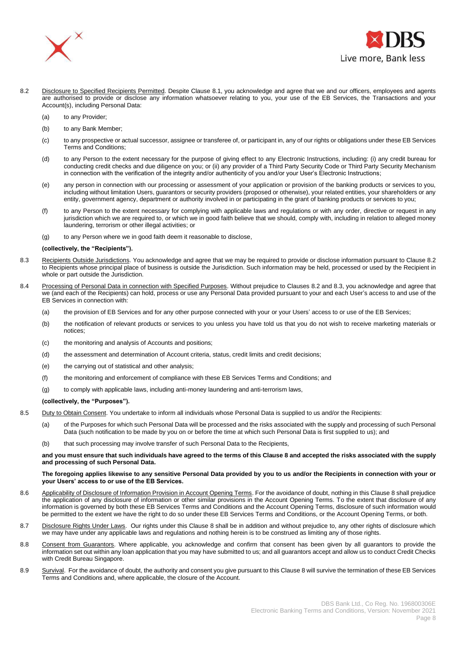



- 8.2 Disclosure to Specified Recipients Permitted. Despite Clause 8.1, you acknowledge and agree that we and our officers, employees and agents are authorised to provide or disclose any information whatsoever relating to you, your use of the EB Services, the Transactions and your Account(s), including Personal Data:
	- (a) to any Provider;
	- (b) to any Bank Member;
	- (c) to any prospective or actual successor, assignee or transferee of, or participant in, any of our rights or obligations under these EB Services Terms and Conditions;
	- (d) to any Person to the extent necessary for the purpose of giving effect to any Electronic Instructions, including: (i) any credit bureau for conducting credit checks and due diligence on you; or (ii) any provider of a Third Party Security Code or Third Party Security Mechanism in connection with the verification of the integrity and/or authenticity of you and/or your User's Electronic Instructions;
	- (e) any person in connection with our processing or assessment of your application or provision of the banking products or services to you, including without limitation Users, guarantors or security providers (proposed or otherwise), your related entities, your shareholders or any entity, government agency, department or authority involved in or participating in the grant of banking products or services to you;
	- (f) to any Person to the extent necessary for complying with applicable laws and regulations or with any order, directive or request in any jurisdiction which we are required to, or which we in good faith believe that we should, comply with, including in relation to alleged money laundering, terrorism or other illegal activities; or
	- (g) to any Person where we in good faith deem it reasonable to disclose,

# **(collectively, the "Recipients").**

- 8.3 Recipients Outside Jurisdictions. You acknowledge and agree that we may be required to provide or disclose information pursuant to Clause 8.2 to Recipients whose principal place of business is outside the Jurisdiction. Such information may be held, processed or used by the Recipient in whole or part outside the Jurisdiction.
- 8.4 Processing of Personal Data in connection with Specified Purposes. Without prejudice to Clauses 8.2 and 8.3, you acknowledge and agree that we (and each of the Recipients) can hold, process or use any Personal Data provided pursuant to your and each User's access to and use of the EB Services in connection with:
	- (a) the provision of EB Services and for any other purpose connected with your or your Users' access to or use of the EB Services;
	- (b) the notification of relevant products or services to you unless you have told us that you do not wish to receive marketing materials or notices;
	- (c) the monitoring and analysis of Accounts and positions;
	- (d) the assessment and determination of Account criteria, status, credit limits and credit decisions;
	- (e) the carrying out of statistical and other analysis;
	- (f) the monitoring and enforcement of compliance with these EB Services Terms and Conditions; and
	- (g) to comply with applicable laws, including anti-money laundering and anti-terrorism laws,

#### **(collectively, the "Purposes").**

- 8.5 Duty to Obtain Consent. You undertake to inform all individuals whose Personal Data is supplied to us and/or the Recipients:
	- (a) of the Purposes for which such Personal Data will be processed and the risks associated with the supply and processing of such Personal Data (such notification to be made by you on or before the time at which such Personal Data is first supplied to us); and
	- (b) that such processing may involve transfer of such Personal Data to the Recipients,

#### **and you must ensure that such individuals have agreed to the terms of this Clause 8 and accepted the risks associated with the supply and processing of such Personal Data.**

#### **The foregoing applies likewise to any sensitive Personal Data provided by you to us and/or the Recipients in connection with your or your Users' access to or use of the EB Services.**

- 8.6 Applicability of Disclosure of Information Provision in Account Opening Terms. For the avoidance of doubt, nothing in this Clause 8 shall prejudice the application of any disclosure of information or other similar provisions in the Account Opening Terms. To the extent that disclosure of any information is governed by both these EB Services Terms and Conditions and the Account Opening Terms, disclosure of such information would be permitted to the extent we have the right to do so under these EB Services Terms and Conditions, or the Account Opening Terms, or both.
- 8.7 Disclosure Rights Under Laws. Our rights under this Clause 8 shall be in addition and without prejudice to, any other rights of disclosure which we may have under any applicable laws and regulations and nothing herein is to be construed as limiting any of those rights.
- 8.8 Consent from Guarantors. Where applicable, you acknowledge and confirm that consent has been given by all guarantors to provide the information set out within any loan application that you may have submitted to us; and all guarantors accept and allow us to conduct Credit Checks with Credit Bureau Singapore.
- 8.9 Survival. For the avoidance of doubt, the authority and consent you give pursuant to this Clause 8 will survive the termination of these EB Services Terms and Conditions and, where applicable, the closure of the Account.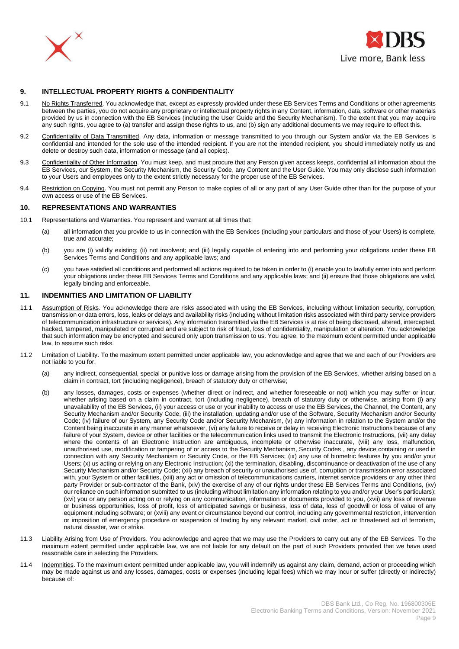



# **9. INTELLECTUAL PROPERTY RIGHTS & CONFIDENTIALITY**

- 9.1 No Rights Transferred. You acknowledge that, except as expressly provided under these EB Services Terms and Conditions or other agreements between the parties, you do not acquire any proprietary or intellectual property rights in any Content, information, data, software or other materials provided by us in connection with the EB Services (including the User Guide and the Security Mechanism). To the extent that you may acquire any such rights, you agree to (a) transfer and assign these rights to us, and (b) sign any additional documents we may require to effect this.
- 9.2 Confidentiality of Data Transmitted. Any data, information or message transmitted to you through our System and/or via the EB Services is confidential and intended for the sole use of the intended recipient. If you are not the intended recipient, you should immediately notify us and delete or destroy such data, information or message (and all copies).
- 9.3 Confidentiality of Other Information. You must keep, and must procure that any Person given access keeps, confidential all information about the EB Services, our System, the Security Mechanism, the Security Code, any Content and the User Guide. You may only disclose such information to your Users and employees only to the extent strictly necessary for the proper use of the EB Services.
- 9.4 Restriction on Copying. You must not permit any Person to make copies of all or any part of any User Guide other than for the purpose of your own access or use of the EB Services.

# **10. REPRESENTATIONS AND WARRANTIES**

- 10.1 Representations and Warranties. You represent and warrant at all times that:
	- (a) all information that you provide to us in connection with the EB Services (including your particulars and those of your Users) is complete, true and accurate;
	- (b) you are (i) validly existing; (ii) not insolvent; and (iii) legally capable of entering into and performing your obligations under these EB Services Terms and Conditions and any applicable laws; and
	- (c) you have satisfied all conditions and performed all actions required to be taken in order to (i) enable you to lawfully enter into and perform your obligations under these EB Services Terms and Conditions and any applicable laws; and (ii) ensure that those obligations are valid, legally binding and enforceable.

# **11. INDEMNITIES AND LIMITATION OF LIABILITY**

- 11.1 Assumption of Risks. You acknowledge there are risks associated with using the EB Services, including without limitation security, corruption, transmission or data errors, loss, leaks or delays and availability risks (including without limitation risks associated with third party service providers of telecommunication infrastructure or services). Any information transmitted via the EB Services is at risk of being disclosed, altered, intercepted, hacked, tampered, manipulated or corrupted and are subject to risk of fraud, loss of confidentiality, manipulation or alteration. You acknowledge that such information may be encrypted and secured only upon transmission to us. You agree, to the maximum extent permitted under applicable law, to assume such risks.
- 11.2 Limitation of Liability. To the maximum extent permitted under applicable law, you acknowledge and agree that we and each of our Providers are not liable to you for:
	- (a) any indirect, consequential, special or punitive loss or damage arising from the provision of the EB Services, whether arising based on a claim in contract, tort (including negligence), breach of statutory duty or otherwise;
	- (b) any losses, damages, costs or expenses (whether direct or indirect, and whether foreseeable or not) which you may suffer or incur, whether arising based on a claim in contract, tort (including negligence), breach of statutory duty or otherwise, arising from (i) any unavailability of the EB Services, (ii) your access or use or your inability to access or use the EB Services, the Channel, the Content, any Security Mechanism and/or Security Code, (iii) the installation, updating and/or use of the Software, Security Mechanism and/or Security Code; (iv) failure of our System, any Security Code and/or Security Mechanism, (v) any information in relation to the System and/or the Content being inaccurate in any manner whatsoever, (vi) any failure to receive or delay in receiving Electronic Instructions because of any failure of your System, device or other facilities or the telecommunication links used to transmit the Electronic Instructions, (vii) any delay where the contents of an Electronic Instruction are ambiguous, incomplete or otherwise inaccurate, (viii) any loss, malfunction, unauthorised use, modification or tampering of or access to the Security Mechanism, Security Codes , any device containing or used in connection with any Security Mechanism or Security Code, or the EB Services; (ix) any use of biometric features by you and/or your Users; (x) us acting or relying on any Electronic Instruction; (xi) the termination, disabling, discontinuance or deactivation of the use of any Security Mechanism and/or Security Code; (xii) any breach of security or unauthorised use of, corruption or transmission error associated with, your System or other facilities, (xiii) any act or omission of telecommunications carriers, internet service providers or any other third party Provider or sub-contractor of the Bank, (xiv) the exercise of any of our rights under these EB Services Terms and Conditions, (xv) our reliance on such information submitted to us (including without limitation any information relating to you and/or your User's particulars); (xvi) you or any person acting on or relying on any communication, information or documents provided to you, (xvii) any loss of revenue or business opportunities, loss of profit, loss of anticipated savings or business, loss of data, loss of goodwill or loss of value of any equipment including software; or (xviii) any event or circumstance beyond our control, including any governmental restriction, intervention or imposition of emergency procedure or suspension of trading by any relevant market, civil order, act or threatened act of terrorism, natural disaster, war or strike.
- 11.3 Liability Arising from Use of Providers. You acknowledge and agree that we may use the Providers to carry out any of the EB Services. To the maximum extent permitted under applicable law, we are not liable for any default on the part of such Providers provided that we have used reasonable care in selecting the Providers.
- 11.4 Indemnities. To the maximum extent permitted under applicable law, you will indemnify us against any claim, demand, action or proceeding which may be made against us and any losses, damages, costs or expenses (including legal fees) which we may incur or suffer (directly or indirectly) because of: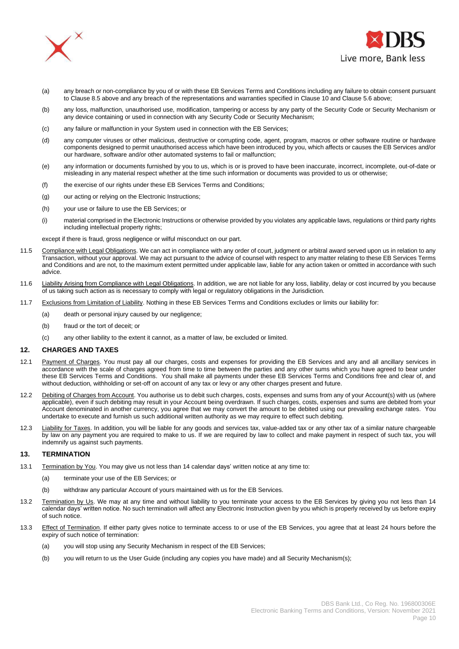



- (a) any breach or non-compliance by you of or with these EB Services Terms and Conditions including any failure to obtain consent pursuant to Clause 8.5 above and any breach of the representations and warranties specified in Clause 10 and Clause 5.6 above;
- (b) any loss, malfunction, unauthorised use, modification, tampering or access by any party of the Security Code or Security Mechanism or any device containing or used in connection with any Security Code or Security Mechanism;
- (c) any failure or malfunction in your System used in connection with the EB Services;
- (d) any computer viruses or other malicious, destructive or corrupting code, agent, program, macros or other software routine or hardware components designed to permit unauthorised access which have been introduced by you, which affects or causes the EB Services and/or our hardware, software and/or other automated systems to fail or malfunction;
- (e) any information or documents furnished by you to us, which is or is proved to have been inaccurate, incorrect, incomplete, out-of-date or misleading in any material respect whether at the time such information or documents was provided to us or otherwise;
- (f) the exercise of our rights under these EB Services Terms and Conditions;
- (g) our acting or relying on the Electronic Instructions;
- (h) your use or failure to use the EB Services; or
- (i) material comprised in the Electronic Instructions or otherwise provided by you violates any applicable laws, regulations or third party rights including intellectual property rights;

except if there is fraud, gross negligence or wilful misconduct on our part.

- 11.5 Compliance with Legal Obligations. We can act in compliance with any order of court, judgment or arbitral award served upon us in relation to any Transaction, without your approval. We may act pursuant to the advice of counsel with respect to any matter relating to these EB Services Terms and Conditions and are not, to the maximum extent permitted under applicable law, liable for any action taken or omitted in accordance with such advice.
- 11.6 Liability Arising from Compliance with Legal Obligations. In addition, we are not liable for any loss, liability, delay or cost incurred by you because of us taking such action as is necessary to comply with legal or regulatory obligations in the Jurisdiction.
- 11.7 Exclusions from Limitation of Liability. Nothing in these EB Services Terms and Conditions excludes or limits our liability for:
	- (a) death or personal injury caused by our negligence;
	- (b) fraud or the tort of deceit; or
	- (c) any other liability to the extent it cannot, as a matter of law, be excluded or limited.

# **12. CHARGES AND TAXES**

- 12.1 Payment of Charges. You must pay all our charges, costs and expenses for providing the EB Services and any and all ancillary services in accordance with the scale of charges agreed from time to time between the parties and any other sums which you have agreed to bear under these EB Services Terms and Conditions. You shall make all payments under these EB Services Terms and Conditions free and clear of, and without deduction, withholding or set-off on account of any tax or levy or any other charges present and future.
- 12.2 Debiting of Charges from Account. You authorise us to debit such charges, costs, expenses and sums from any of your Account(s) with us (where applicable), even if such debiting may result in your Account being overdrawn. If such charges, costs, expenses and sums are debited from your Account denominated in another currency, you agree that we may convert the amount to be debited using our prevailing exchange rates. You undertake to execute and furnish us such additional written authority as we may require to effect such debiting.
- 12.3 Liability for Taxes. In addition, you will be liable for any goods and services tax, value-added tax or any other tax of a similar nature chargeable by law on any payment you are required to make to us. If we are required by law to collect and make payment in respect of such tax, you will indemnify us against such payments.

### **13. TERMINATION**

- 13.1 Termination by You. You may give us not less than 14 calendar days' written notice at any time to:
	- (a) terminate your use of the EB Services; or
	- (b) withdraw any particular Account of yours maintained with us for the EB Services.
- 13.2 Termination by Us. We may at any time and without liability to you terminate your access to the EB Services by giving you not less than 14 calendar days' written notice. No such termination will affect any Electronic Instruction given by you which is properly received by us before expiry of such notice.
- 13.3 Effect of Termination. If either party gives notice to terminate access to or use of the EB Services, you agree that at least 24 hours before the expiry of such notice of termination:
	- (a) you will stop using any Security Mechanism in respect of the EB Services;
	- (b) you will return to us the User Guide (including any copies you have made) and all Security Mechanism(s);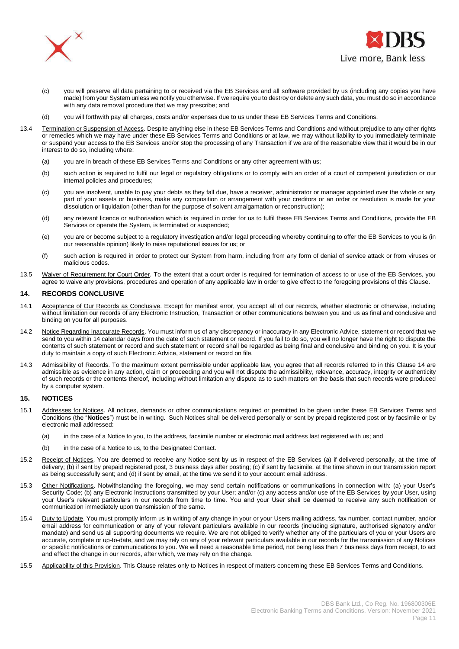



- (c) you will preserve all data pertaining to or received via the EB Services and all software provided by us (including any copies you have made) from your System unless we notify you otherwise. If we require you to destroy or delete any such data, you must do so in accordance with any data removal procedure that we may prescribe; and
- (d) you will forthwith pay all charges, costs and/or expenses due to us under these EB Services Terms and Conditions.
- 13.4 Termination or Suspension of Access. Despite anything else in these EB Services Terms and Conditions and without prejudice to any other rights or remedies which we may have under these EB Services Terms and Conditions or at law, we may without liability to you immediately terminate or suspend your access to the EB Services and/or stop the processing of any Transaction if we are of the reasonable view that it would be in our interest to do so, including where:
	- (a) you are in breach of these EB Services Terms and Conditions or any other agreement with us;
	- (b) such action is required to fulfil our legal or regulatory obligations or to comply with an order of a court of competent jurisdiction or our internal policies and procedures;
	- (c) you are insolvent, unable to pay your debts as they fall due, have a receiver, administrator or manager appointed over the whole or any part of your assets or business, make any composition or arrangement with your creditors or an order or resolution is made for your dissolution or liquidation (other than for the purpose of solvent amalgamation or reconstruction);
	- (d) any relevant licence or authorisation which is required in order for us to fulfil these EB Services Terms and Conditions, provide the EB Services or operate the System, is terminated or suspended;
	- (e) you are or become subject to a regulatory investigation and/or legal proceeding whereby continuing to offer the EB Services to you is (in our reasonable opinion) likely to raise reputational issues for us; or
	- (f) such action is required in order to protect our System from harm, including from any form of denial of service attack or from viruses or malicious codes.
- 13.5 Waiver of Requirement for Court Order. To the extent that a court order is required for termination of access to or use of the EB Services, you agree to waive any provisions, procedures and operation of any applicable law in order to give effect to the foregoing provisions of this Clause.

# **14. RECORDS CONCLUSIVE**

- 14.1 Acceptance of Our Records as Conclusive. Except for manifest error, you accept all of our records, whether electronic or otherwise, including without limitation our records of any Electronic Instruction, Transaction or other communications between you and us as final and conclusive and binding on you for all purposes.
- 14.2 Notice Regarding Inaccurate Records. You must inform us of any discrepancy or inaccuracy in any Electronic Advice, statement or record that we send to you within 14 calendar days from the date of such statement or record. If you fail to do so, you will no longer have the right to dispute the contents of such statement or record and such statement or record shall be regarded as being final and conclusive and binding on you. It is your duty to maintain a copy of such Electronic Advice, statement or record on file.
- 14.3 Admissibility of Records. To the maximum extent permissible under applicable law, you agree that all records referred to in this Clause 14 are admissible as evidence in any action, claim or proceeding and you will not dispute the admissibility, relevance, accuracy, integrity or authenticity of such records or the contents thereof, including without limitation any dispute as to such matters on the basis that such records were produced by a computer system.

#### **15. NOTICES**

- 15.1 Addresses for Notices. All notices, demands or other communications required or permitted to be given under these EB Services Terms and Conditions (the "**Notices**") must be in writing. Such Notices shall be delivered personally or sent by prepaid registered post or by facsimile or by electronic mail addressed:
	- (a) in the case of a Notice to you, to the address, facsimile number or electronic mail address last registered with us; and
	- (b) in the case of a Notice to us, to the Designated Contact.
- 15.2 Receipt of Notices. You are deemed to receive any Notice sent by us in respect of the EB Services (a) if delivered personally, at the time of delivery; (b) if sent by prepaid registered post, 3 business days after posting; (c) if sent by facsimile, at the time shown in our transmission report as being successfully sent; and (d) if sent by email, at the time we send it to your account email address.
- 15.3 Other Notifications. Notwithstanding the foregoing, we may send certain notifications or communications in connection with: (a) your User's Security Code; (b) any Electronic Instructions transmitted by your User; and/or (c) any access and/or use of the EB Services by your User, using your User's relevant particulars in our records from time to time. You and your User shall be deemed to receive any such notification or communication immediately upon transmission of the same.
- 15.4 Duty to Update. You must promptly inform us in writing of any change in your or your Users mailing address, fax number, contact number, and/or email address for communication or any of your relevant particulars available in our records (including signature, authorised signatory and/or mandate) and send us all supporting documents we require. We are not obliged to verify whether any of the particulars of you or your Users are accurate, complete or up-to-date, and we may rely on any of your relevant particulars available in our records for the transmission of any Notices or specific notifications or communications to you. We will need a reasonable time period, not being less than 7 business days from receipt, to act and effect the change in our records, after which, we may rely on the change.
- 15.5 Applicability of this Provision. This Clause relates only to Notices in respect of matters concerning these EB Services Terms and Conditions.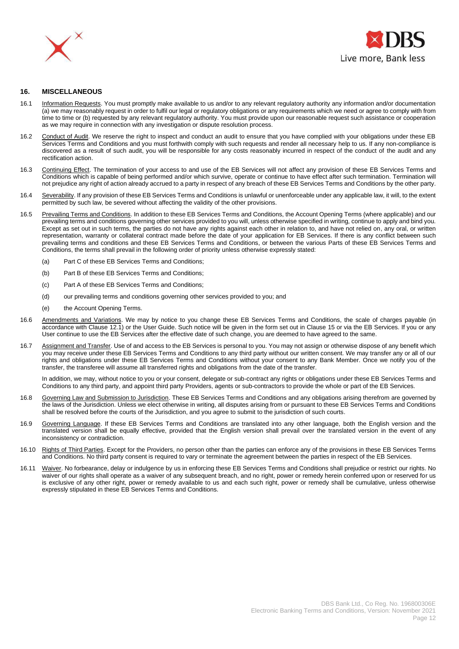



# **16. MISCELLANEOUS**

- 16.1 Information Requests. You must promptly make available to us and/or to any relevant regulatory authority any information and/or documentation (a) we may reasonably request in order to fulfil our legal or regulatory obligations or any requirements which we need or agree to comply with from time to time or (b) requested by any relevant regulatory authority. You must provide upon our reasonable request such assistance or cooperation as we may require in connection with any investigation or dispute resolution process.
- 16.2 Conduct of Audit. We reserve the right to inspect and conduct an audit to ensure that you have complied with your obligations under these EB Services Terms and Conditions and you must forthwith comply with such requests and render all necessary help to us. If any non-compliance is discovered as a result of such audit, you will be responsible for any costs reasonably incurred in respect of the conduct of the audit and any rectification action.
- 16.3 Continuing Effect. The termination of your access to and use of the EB Services will not affect any provision of these EB Services Terms and Conditions which is capable of being performed and/or which survive, operate or continue to have effect after such termination. Termination will not prejudice any right of action already accrued to a party in respect of any breach of these EB Services Terms and Conditions by the other party.
- 16.4 Severability. If any provision of these EB Services Terms and Conditions is unlawful or unenforceable under any applicable law, it will, to the extent permitted by such law, be severed without affecting the validity of the other provisions.
- 16.5 Prevailing Terms and Conditions. In addition to these EB Services Terms and Conditions, the Account Opening Terms (where applicable) and our prevailing terms and conditions governing other services provided to you will, unless otherwise specified in writing, continue to apply and bind you. Except as set out in such terms, the parties do not have any rights against each other in relation to, and have not relied on, any oral, or written representation, warranty or collateral contract made before the date of your application for EB Services. If there is any conflict between such prevailing terms and conditions and these EB Services Terms and Conditions, or between the various Parts of these EB Services Terms and Conditions, the terms shall prevail in the following order of priority unless otherwise expressly stated:
	- (a) Part C of these EB Services Terms and Conditions;
	- (b) Part B of these EB Services Terms and Conditions;
	- (c) Part A of these EB Services Terms and Conditions;
	- (d) our prevailing terms and conditions governing other services provided to you; and
	- (e) the Account Opening Terms.
- 16.6 Amendments and Variations. We may by notice to you change these EB Services Terms and Conditions, the scale of charges payable (in accordance with Clause 12.1) or the User Guide. Such notice will be given in the form set out in Clause 15 or via the EB Services. If you or any User continue to use the EB Services after the effective date of such change, you are deemed to have agreed to the same.
- 16.7 Assignment and Transfer. Use of and access to the EB Services is personal to you. You may not assign or otherwise dispose of any benefit which you may receive under these EB Services Terms and Conditions to any third party without our written consent. We may transfer any or all of our rights and obligations under these EB Services Terms and Conditions without your consent to any Bank Member. Once we notify you of the transfer, the transferee will assume all transferred rights and obligations from the date of the transfer.

In addition, we may, without notice to you or your consent, delegate or sub-contract any rights or obligations under these EB Services Terms and Conditions to any third party, and appoint third party Providers, agents or sub-contractors to provide the whole or part of the EB Services.

- 16.8 Governing Law and Submission to Jurisdiction. These EB Services Terms and Conditions and any obligations arising therefrom are governed by the laws of the Jurisdiction. Unless we elect otherwise in writing, all disputes arising from or pursuant to these EB Services Terms and Conditions shall be resolved before the courts of the Jurisdiction, and you agree to submit to the jurisdiction of such courts.
- 16.9 Governing Language. If these EB Services Terms and Conditions are translated into any other language, both the English version and the translated version shall be equally effective, provided that the English version shall prevail over the translated version in the event of any inconsistency or contradiction.
- 16.10 Rights of Third Parties. Except for the Providers, no person other than the parties can enforce any of the provisions in these EB Services Terms and Conditions. No third party consent is required to vary or terminate the agreement between the parties in respect of the EB Services.
- 16.11 Waiver. No forbearance, delay or indulgence by us in enforcing these EB Services Terms and Conditions shall prejudice or restrict our rights. No waiver of our rights shall operate as a waiver of any subsequent breach, and no right, power or remedy herein conferred upon or reserved for us is exclusive of any other right, power or remedy available to us and each such right, power or remedy shall be cumulative, unless otherwise expressly stipulated in these EB Services Terms and Conditions.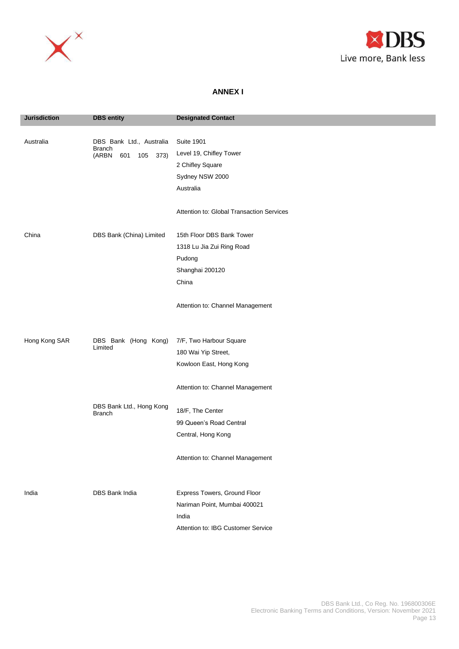



# **ANNEX I**

| <b>Jurisdiction</b> | <b>DBS</b> entity                                                     | <b>Designated Contact</b>                                                                                   |
|---------------------|-----------------------------------------------------------------------|-------------------------------------------------------------------------------------------------------------|
| Australia           | DBS Bank Ltd., Australia<br><b>Branch</b><br>(ARBN<br>105 373)<br>601 | <b>Suite 1901</b><br>Level 19, Chifley Tower<br>2 Chifley Square<br>Sydney NSW 2000<br>Australia            |
|                     |                                                                       | Attention to: Global Transaction Services                                                                   |
| China               | DBS Bank (China) Limited                                              | 15th Floor DBS Bank Tower<br>1318 Lu Jia Zui Ring Road<br>Pudong<br>Shanghai 200120<br>China                |
|                     |                                                                       | Attention to: Channel Management                                                                            |
| Hong Kong SAR       | DBS Bank (Hong Kong)<br>Limited                                       | 7/F, Two Harbour Square<br>180 Wai Yip Street,<br>Kowloon East, Hong Kong                                   |
|                     |                                                                       | Attention to: Channel Management                                                                            |
|                     | DBS Bank Ltd., Hong Kong<br><b>Branch</b>                             | 18/F, The Center<br>99 Queen's Road Central<br>Central, Hong Kong                                           |
|                     |                                                                       | Attention to: Channel Management                                                                            |
| India               | DBS Bank India                                                        | Express Towers, Ground Floor<br>Nariman Point, Mumbai 400021<br>India<br>Attention to: IBG Customer Service |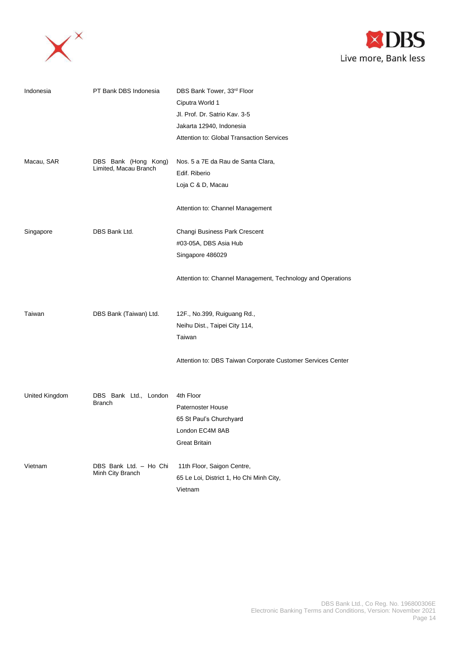



| Indonesia      | PT Bank DBS Indonesia                         | DBS Bank Tower, 33rd Floor<br>Ciputra World 1<br>Jl. Prof. Dr. Satrio Kav. 3-5<br>Jakarta 12940, Indonesia<br>Attention to: Global Transaction Services |
|----------------|-----------------------------------------------|---------------------------------------------------------------------------------------------------------------------------------------------------------|
| Macau, SAR     | DBS Bank (Hong Kong)<br>Limited, Macau Branch | Nos. 5 a 7E da Rau de Santa Clara,<br>Edif. Riberio<br>Loja C & D, Macau                                                                                |
|                |                                               | Attention to: Channel Management                                                                                                                        |
| Singapore      | DBS Bank Ltd.                                 | Changi Business Park Crescent<br>#03-05A, DBS Asia Hub<br>Singapore 486029<br>Attention to: Channel Management, Technology and Operations               |
| Taiwan         | DBS Bank (Taiwan) Ltd.                        | 12F., No.399, Ruiguang Rd.,                                                                                                                             |
|                |                                               | Neihu Dist., Taipei City 114,<br>Taiwan                                                                                                                 |
|                |                                               | Attention to: DBS Taiwan Corporate Customer Services Center                                                                                             |
| United Kingdom | DBS Bank Ltd., London<br>Branch               | 4th Floor<br><b>Paternoster House</b><br>65 St Paul's Churchyard<br>London EC4M 8AB                                                                     |
| Vietnam        | DBS Bank Ltd. - Ho Chi<br>Minh City Branch    | <b>Great Britain</b><br>11th Floor, Saigon Centre,<br>65 Le Loi, District 1, Ho Chi Minh City,<br>Vietnam                                               |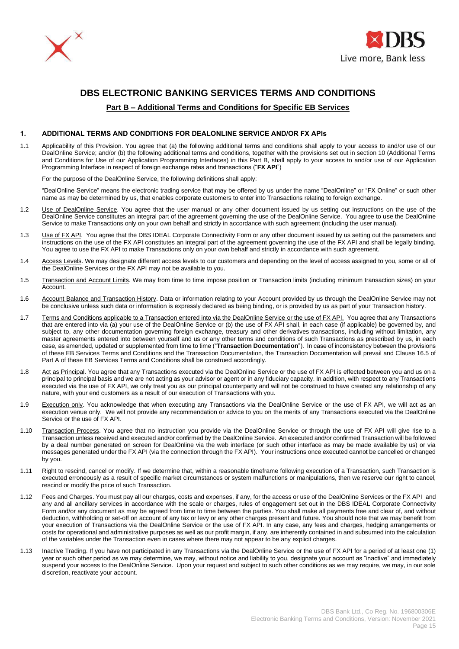



# **DBS ELECTRONIC BANKING SERVICES TERMS AND CONDITIONS Part B – Additional Terms and Conditions for Specific EB Services**

# **1. ADDITIONAL TERMS AND CONDITIONS FOR DEALONLINE SERVICE AND/OR FX APIs**

1.1 Applicability of this Provision. You agree that (a) the following additional terms and conditions shall apply to your access to and/or use of our DealOnline Service; and/or (b) the following additional terms and conditions, together with the provisions set out in section 10 (Additional Terms and Conditions for Use of our Application Programming Interfaces) in this Part B, shall apply to your access to and/or use of our Application Programming Interface in respect of foreign exchange rates and transactions ("**FX API**")

For the purpose of the DealOnline Service, the following definitions shall apply:

"DealOnline Service" means the electronic trading service that may be offered by us under the name "DealOnline" or "FX Online" or such other name as may be determined by us, that enables corporate customers to enter into Transactions relating to foreign exchange.

- 1.2 Use of DealOnline Service. You agree that the user manual or any other document issued by us setting out instructions on the use of the DealOnline Service constitutes an integral part of the agreement governing the use of the DealOnline Service. You agree to use the DealOnline Service to make Transactions only on your own behalf and strictly in accordance with such agreement (including the user manual).
- 1.3 Use of FX API. You agree that the DBS IDEAL Corporate Connectivity Form or any other document issued by us setting out the parameters and instructions on the use of the FX API constitutes an integral part of the agreement governing the use of the FX API and shall be legally binding. You agree to use the FX API to make Transactions only on your own behalf and strictly in accordance with such agreement.
- 1.4 Access Levels. We may designate different access levels to our customers and depending on the level of access assigned to you, some or all of the DealOnline Services or the FX API may not be available to you.
- 1.5 Transaction and Account Limits. We may from time to time impose position or Transaction limits (including minimum transaction sizes) on your Account.
- 1.6 Account Balance and Transaction History. Data or information relating to your Account provided by us through the DealOnline Service may not be conclusive unless such data or information is expressly declared as being binding, or is provided by us as part of your Transaction history.
- 1.7 Terms and Conditions applicable to a Transaction entered into via the DealOnline Service or the use of FX API. You agree that any Transactions that are entered into via (a) your use of the DealOnline Service or (b) the use of FX API shall, in each case (if applicable) be governed by, and subject to, any other documentation governing foreign exchange, treasury and other derivatives transactions, including without limitation, any master agreements entered into between yourself and us or any other terms and conditions of such Transactions as prescribed by us, in each case, as amended, updated or supplemented from time to time ("**Transaction Documentation**"). In case of inconsistency between the provisions of these EB Services Terms and Conditions and the Transaction Documentation, the Transaction Documentation will prevail and Clause 16.5 of Part A of these EB Services Terms and Conditions shall be construed accordingly.
- 1.8 Act as Principal. You agree that any Transactions executed via the DealOnline Service or the use of FX API is effected between you and us on a principal to principal basis and we are not acting as your advisor or agent or in any fiduciary capacity. In addition, with respect to any Transactions executed via the use of FX API, we only treat you as our principal counterparty and will not be construed to have created any relationship of any nature, with your end customers as a result of our execution of Transactions with you.
- 1.9 Execution only. You acknowledge that when executing any Transactions via the DealOnline Service or the use of FX API, we will act as an execution venue only. We will not provide any recommendation or advice to you on the merits of any Transactions executed via the DealOnline Service or the use of FX API.
- 1.10 Transaction Process. You agree that no instruction you provide via the DealOnline Service or through the use of FX API will give rise to a Transaction unless received and executed and/or confirmed by the DealOnline Service. An executed and/or confirmed Transaction will be followed by a deal number generated on screen for DealOnline via the web interface (or such other interface as may be made available by us) or via messages generated under the FX API (via the connection through the FX API). Your instructions once executed cannot be cancelled or changed by you.
- 1.11 Right to rescind, cancel or modify. If we determine that, within a reasonable timeframe following execution of a Transaction, such Transaction is executed erroneously as a result of specific market circumstances or system malfunctions or manipulations, then we reserve our right to cancel, rescind or modify the price of such Transaction.
- 1.12 Fees and Charges. You must pay all our charges, costs and expenses, if any, for the access or use of the DealOnline Services or the FX API and any and all ancillary services in accordance with the scale or charges, rules of engagement set out in the DBS IDEAL Corporate Connectivity Form and/or any document as may be agreed from time to time between the parties. You shall make all payments free and clear of, and without deduction, withholding or set-off on account of any tax or levy or any other charges present and future. You should note that we may benefit from your execution of Transactions via the DealOnline Service or the use of FX API. In any case, any fees and charges, hedging arrangements or costs for operational and administrative purposes as well as our profit margin, if any, are inherently contained in and subsumed into the calculation of the variables under the Transaction even in cases where there may not appear to be any explicit charges.
- 1.13 Inactive Trading. If you have not participated in any Transactions via the DealOnline Service or the use of FX API for a period of at least one (1) year or such other period as we may determine, we may, without notice and liability to you, designate your account as "inactive" and immediately suspend your access to the DealOnline Service. Upon your request and subject to such other conditions as we may require, we may, in our sole discretion, reactivate your account.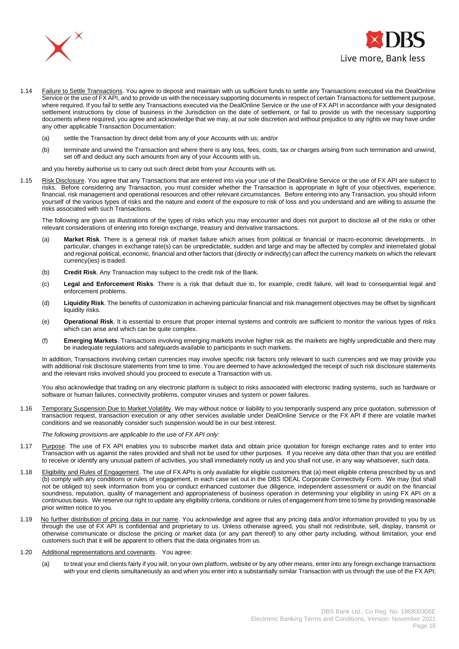



- 1.14 Failure to Settle Transactions. You agree to deposit and maintain with us sufficient funds to settle any Transactions executed via the DealOnline Service or the use of FX API, and to provide us with the necessary supporting documents in respect of certain Transactions for settlement purpose, where required. If you fail to settle any Transactions executed via the DealOnline Service or the use of FX API in accordance with your designated settlement instructions by close of business in the Jurisdiction on the date of settlement, or fail to provide us with the necessary supporting documents where required, you agree and acknowledge that we may, at our sole discretion and without prejudice to any rights we may have under any other applicable Transaction Documentation:
	- (a) settle the Transaction by direct debit from any of your Accounts with us; and/or
	- (b) terminate and unwind the Transaction and where there is any loss, fees, costs, tax or charges arising from such termination and unwind, set off and deduct any such amounts from any of your Accounts with us,

and you hereby authorise us to carry out such direct debit from your Accounts with us.

1.15 Risk Disclosure. You agree that any Transactions that are entered into via your use of the DealOnline Service or the use of FX API are subject to risks. Before considering any Transaction, you must consider whether the Transaction is appropriate in light of your objectives, experience, financial, risk management and operational resources and other relevant circumstances. Before entering into any Transaction, you should inform yourself of the various types of risks and the nature and extent of the exposure to risk of loss and you understand and are willing to assume the risks associated with such Transactions.

The following are given as illustrations of the types of risks which you may encounter and does not purport to disclose all of the risks or other relevant considerations of entering into foreign exchange, treasury and derivative transactions.

- (a) **Market Risk**. There is a general risk of market failure which arises from political or financial or macro-economic developments. In particular, changes in exchange rate(s) can be unpredictable, sudden and large and may be affected by complex and interrelated global and regional political, economic, financial and other factors that (directly or indirectly) can affect the currency markets on which the relevant currency(ies) is traded.
- (b) **Credit Risk**. Any Transaction may subject to the credit risk of the Bank.
- (c) **Legal and Enforcement Risks**. There is a risk that default due to, for example, credit failure, will lead to consequential legal and enforcement problems.
- (d) **Liquidity Risk**. The benefits of customization in achieving particular financial and risk management objectives may be offset by significant liquidity risks.
- (e) **Operational Risk**. It is essential to ensure that proper internal systems and controls are sufficient to monitor the various types of risks which can arise and which can be quite complex.
- (f) **Emerging Markets**. Transactions involving emerging markets involve higher risk as the markets are highly unpredictable and there may be inadequate regulations and safeguards available to participants in such markets.

In addition, Transactions involving certain currencies may involve specific risk factors only relevant to such currencies and we may provide you with additional risk disclosure statements from time to time. You are deemed to have acknowledged the receipt of such risk disclosure statements and the relevant risks involved should you proceed to execute a Transaction with us.

You also acknowledge that trading on any electronic platform is subject to risks associated with electronic trading systems, such as hardware or software or human failures, connectivity problems, computer viruses and system or power failures.

1.16 Temporary Suspension Due to Market Volatility. We may without notice or liability to you temporarily suspend any price quotation, submission of transaction request, transaction execution or any other services available under DealOnline Service or the FX API if there are volatile market conditions and we reasonably consider such suspension would be in our best interest.

#### *The following provisions are applicable to the use of FX API only:*

- 1.17 Purpose. The use of FX API enables you to subscribe market data and obtain price quotation for foreign exchange rates and to enter into Transaction with us against the rates provided and shall not be used for other purposes. If you receive any data other than that you are entitled to receive or identify any unusual pattern of activities, you shall immediately notify us and you shall not use, in any way whatsoever, such data.
- 1.18 Eligibility and Rules of Engagement. The use of FX APIs is only available for eligible customers that (a) meet eligible criteria prescribed by us and (b) comply with any conditions or rules of engagement, in each case set out in the DBS IDEAL Corporate Connectivity Form. We may (but shall not be obliged to) seek information from you or conduct enhanced customer due diligence, independent assessment or audit on the financial soundness, reputation, quality of management and appropriateness of business operation in determining your eligibility in using FX API on a continuous basis. We reserve our right to update any eligibility criteria, conditions or rules of engagement from time to time by providing reasonable prior written notice to you.
- 1.19 No further distribution of pricing data in our name. You acknowledge and agree that any pricing data and/or information provided to you by us through the use of FX API is confidential and proprietary to us. Unless otherwise agreed, you shall not redistribute, sell, display, transmit or otherwise communicate or disclose the pricing or market data (or any part thereof) to any other party including, without limitation, your end customers such that it will be apparent to others that the data originates from us.
- 1.20 Additional representations and covenants. You agree:
	- (a) to treat your end clients fairly if you will, on your own platform, website or by any other means, enter into any foreign exchange transactions with your end clients simultaneously as and when you enter into a substantially similar Transaction with us through the use of the FX API;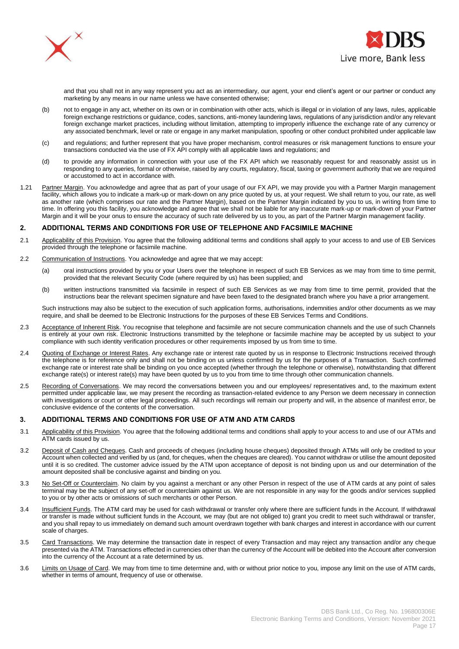



and that you shall not in any way represent you act as an intermediary, our agent, your end client's agent or our partner or conduct any marketing by any means in our name unless we have consented otherwise;

- (b) not to engage in any act, whether on its own or in combination with other acts, which is illegal or in violation of any laws, rules, applicable foreign exchange restrictions or guidance, codes, sanctions, anti-money laundering laws, regulations of any jurisdiction and/or any relevant foreign exchange market practices, including without limitation, attempting to improperly influence the exchange rate of any currency or any associated benchmark, level or rate or engage in any market manipulation, spoofing or other conduct prohibited under applicable law
- (c) and regulations; and further represent that you have proper mechanism, control measures or risk management functions to ensure your transactions conducted via the use of FX API comply with all applicable laws and regulations; and
- (d) to provide any information in connection with your use of the FX API which we reasonably request for and reasonably assist us in responding to any queries, formal or otherwise, raised by any courts, regulatory, fiscal, taxing or government authority that we are required or accustomed to act in accordance with.
- 1.21 Partner Margin. You acknowledge and agree that as part of your usage of our FX API, we may provide you with a Partner Margin management facility, which allows you to indicate a mark-up or mark-down on any price quoted by us, at your request. We shall return to you, our rate, as well as another rate (which comprises our rate and the Partner Margin), based on the Partner Margin indicated by you to us, in writing from time to time. In offering you this facility, you acknowledge and agree that we shall not be liable for any inaccurate mark-up or mark-down of your Partner Margin and it will be your onus to ensure the accuracy of such rate delivered by us to you, as part of the Partner Margin management facility.

# **2. ADDITIONAL TERMS AND CONDITIONS FOR USE OF TELEPHONE AND FACSIMILE MACHINE**

- 2.1 Applicability of this Provision. You agree that the following additional terms and conditions shall apply to your access to and use of EB Services provided through the telephone or facsimile machine.
- 2.2 Communication of Instructions. You acknowledge and agree that we may accept:
	- (a) oral instructions provided by you or your Users over the telephone in respect of such EB Services as we may from time to time permit, provided that the relevant Security Code (where required by us) has been supplied; and
	- (b) written instructions transmitted via facsimile in respect of such EB Services as we may from time to time permit, provided that the instructions bear the relevant specimen signature and have been faxed to the designated branch where you have a prior arrangement.

Such instructions may also be subject to the execution of such application forms, authorisations, indemnities and/or other documents as we may require, and shall be deemed to be Electronic Instructions for the purposes of these EB Services Terms and Conditions.

- 2.3 Acceptance of Inherent Risk. You recognise that telephone and facsimile are not secure communication channels and the use of such Channels is entirely at your own risk. Electronic Instructions transmitted by the telephone or facsimile machine may be accepted by us subject to your compliance with such identity verification procedures or other requirements imposed by us from time to time.
- 2.4 Quoting of Exchange or Interest Rates. Any exchange rate or interest rate quoted by us in response to Electronic Instructions received through the telephone is for reference only and shall not be binding on us unless confirmed by us for the purposes of a Transaction. Such confirmed exchange rate or interest rate shall be binding on you once accepted (whether through the telephone or otherwise), notwithstanding that different exchange rate(s) or interest rate(s) may have been quoted by us to you from time to time through other communication channels.
- 2.5 Recording of Conversations. We may record the conversations between you and our employees/ representatives and, to the maximum extent permitted under applicable law, we may present the recording as transaction-related evidence to any Person we deem necessary in connection with investigations or court or other legal proceedings. All such recordings will remain our property and will, in the absence of manifest error, be conclusive evidence of the contents of the conversation.

# **3. ADDITIONAL TERMS AND CONDITIONS FOR USE OF ATM AND ATM CARDS**

- 3.1 Applicability of this Provision. You agree that the following additional terms and conditions shall apply to your access to and use of our ATMs and ATM cards issued by us.
- 3.2 Deposit of Cash and Cheques. Cash and proceeds of cheques (including house cheques) deposited through ATMs will only be credited to your Account when collected and verified by us (and, for cheques, when the cheques are cleared). You cannot withdraw or utilise the amount deposited until it is so credited. The customer advice issued by the ATM upon acceptance of deposit is not binding upon us and our determination of the amount deposited shall be conclusive against and binding on you.
- 3.3 No Set-Off or Counterclaim. No claim by you against a merchant or any other Person in respect of the use of ATM cards at any point of sales terminal may be the subject of any set-off or counterclaim against us. We are not responsible in any way for the goods and/or services supplied to you or by other acts or omissions of such merchants or other Person.
- 3.4 Insufficient Funds. The ATM card may be used for cash withdrawal or transfer only where there are sufficient funds in the Account. If withdrawal or transfer is made without sufficient funds in the Account, we may (but are not obliged to) grant you credit to meet such withdrawal or transfer, and you shall repay to us immediately on demand such amount overdrawn together with bank charges and interest in accordance with our current scale of charges.
- 3.5 Card Transactions. We may determine the transaction date in respect of every Transaction and may reject any transaction and/or any cheque presented via the ATM. Transactions effected in currencies other than the currency of the Account will be debited into the Account after conversion into the currency of the Account at a rate determined by us.
- 3.6 Limits on Usage of Card. We may from time to time determine and, with or without prior notice to you, impose any limit on the use of ATM cards, whether in terms of amount, frequency of use or otherwise.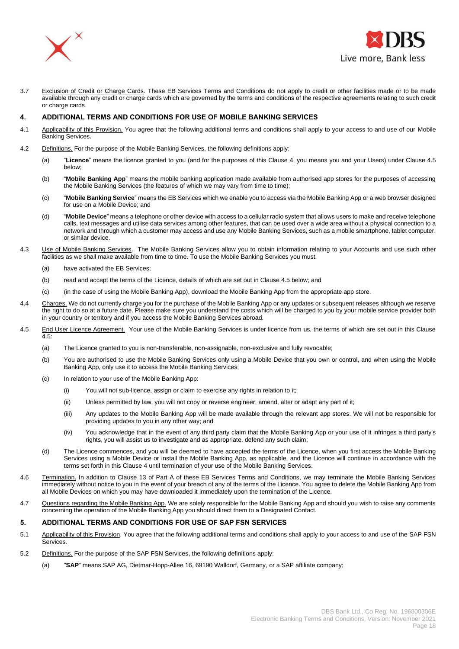



3.7 Exclusion of Credit or Charge Cards. These EB Services Terms and Conditions do not apply to credit or other facilities made or to be made available through any credit or charge cards which are governed by the terms and conditions of the respective agreements relating to such credit or charge cards.

# **4. ADDITIONAL TERMS AND CONDITIONS FOR USE OF MOBILE BANKING SERVICES**

- 4.1 Applicability of this Provision. You agree that the following additional terms and conditions shall apply to your access to and use of our Mobile Banking Services.
- 4.2 Definitions. For the purpose of the Mobile Banking Services, the following definitions apply:
	- (a) "**Licence**" means the licence granted to you (and for the purposes of this Clause 4, you means you and your Users) under Clause 4.5 below;
	- (b) "**Mobile Banking App**" means the mobile banking application made available from authorised app stores for the purposes of accessing the Mobile Banking Services (the features of which we may vary from time to time);
	- (c) "**Mobile Banking Service**" means the EB Services which we enable you to access via the Mobile Banking App or a web browser designed for use on a Mobile Device; and
	- (d) "**Mobile Device**" means a telephone or other device with access to a cellular radio system that allows users to make and receive telephone calls, text messages and utilise data services among other features, that can be used over a wide area without a physical connection to a network and through which a customer may access and use any Mobile Banking Services, such as a mobile smartphone, tablet computer, or similar device.
- 4.3 Use of Mobile Banking Services. The Mobile Banking Services allow you to obtain information relating to your Accounts and use such other facilities as we shall make available from time to time. To use the Mobile Banking Services you must:
	- (a) have activated the EB Services;
	- (b) read and accept the terms of the Licence, details of which are set out in Clause 4.5 below; and
	- (c) (in the case of using the Mobile Banking App), download the Mobile Banking App from the appropriate app store.
- 4.4 Charges. We do not currently charge you for the purchase of the Mobile Banking App or any updates or subsequent releases although we reserve the right to do so at a future date. Please make sure you understand the costs which will be charged to you by your mobile service provider both in your country or territory and if you access the Mobile Banking Services abroad.
- 4.5 End User Licence Agreement. Your use of the Mobile Banking Services is under licence from us, the terms of which are set out in this Clause  $4.5$ 
	- (a) The Licence granted to you is non-transferable, non-assignable, non-exclusive and fully revocable;
	- (b) You are authorised to use the Mobile Banking Services only using a Mobile Device that you own or control, and when using the Mobile Banking App, only use it to access the Mobile Banking Services;
	- (c) In relation to your use of the Mobile Banking App:
		- (i) You will not sub-licence, assign or claim to exercise any rights in relation to it;
		- (ii) Unless permitted by law, you will not copy or reverse engineer, amend, alter or adapt any part of it;
		- (iii) Any updates to the Mobile Banking App will be made available through the relevant app stores. We will not be responsible for providing updates to you in any other way; and
		- (iv) You acknowledge that in the event of any third party claim that the Mobile Banking App or your use of it infringes a third party's rights, you will assist us to investigate and as appropriate, defend any such claim;
	- (d) The Licence commences, and you will be deemed to have accepted the terms of the Licence, when you first access the Mobile Banking Services using a Mobile Device or install the Mobile Banking App, as applicable, and the Licence will continue in accordance with the terms set forth in this Clause 4 until termination of your use of the Mobile Banking Services.
- 4.6 Termination. In addition to Clause 13 of Part A of these EB Services Terms and Conditions, we may terminate the Mobile Banking Services immediately without notice to you in the event of your breach of any of the terms of the Licence. You agree to delete the Mobile Banking App from all Mobile Devices on which you may have downloaded it immediately upon the termination of the Licence.
- 4.7 Questions regarding the Mobile Banking App. We are solely responsible for the Mobile Banking App and should you wish to raise any comments concerning the operation of the Mobile Banking App you should direct them to a Designated Contact.

# **5. ADDITIONAL TERMS AND CONDITIONS FOR USE OF SAP FSN SERVICES**

- 5.1 Applicability of this Provision. You agree that the following additional terms and conditions shall apply to your access to and use of the SAP FSN Services.
- 5.2 Definitions. For the purpose of the SAP FSN Services, the following definitions apply:
	- (a) "**SAP**" means SAP AG, Dietmar-Hopp-Allee 16, 69190 Walldorf, Germany, or a SAP affiliate company;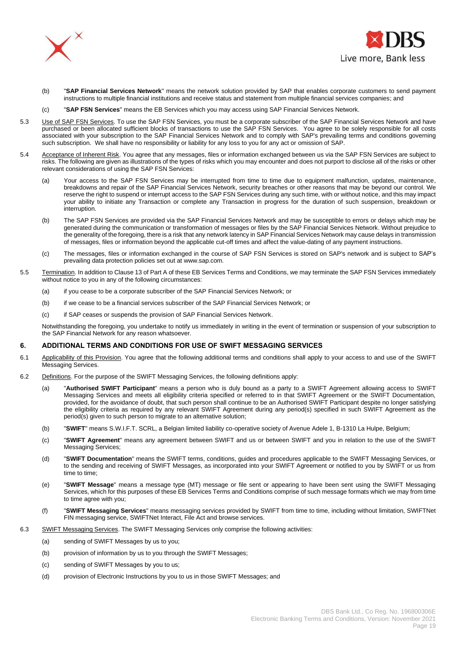



- (b) "**SAP Financial Services Network**" means the network solution provided by SAP that enables corporate customers to send payment instructions to multiple financial institutions and receive status and statement from multiple financial services companies; and
- (c) "**SAP FSN Services**" means the EB Services which you may access using SAP Financial Services Network.
- 5.3 Use of SAP FSN Services. To use the SAP FSN Services, you must be a corporate subscriber of the SAP Financial Services Network and have purchased or been allocated sufficient blocks of transactions to use the SAP FSN Services. You agree to be solely responsible for all costs associated with your subscription to the SAP Financial Services Network and to comply with SAP's prevailing terms and conditions governing such subscription. We shall have no responsibility or liability for any loss to you for any act or omission of SAP.
- 5.4 Acceptance of Inherent Risk. You agree that any messages, files or information exchanged between us via the SAP FSN Services are subject to risks. The following are given as illustrations of the types of risks which you may encounter and does not purport to disclose all of the risks or other relevant considerations of using the SAP FSN Services:
	- (a) Your access to the SAP FSN Services may be interrupted from time to time due to equipment malfunction, updates, maintenance, breakdowns and repair of the SAP Financial Services Network, security breaches or other reasons that may be beyond our control. We reserve the right to suspend or interrupt access to the SAP FSN Services during any such time, with or without notice, and this may impact your ability to initiate any Transaction or complete any Transaction in progress for the duration of such suspension, breakdown or interruption.
	- (b) The SAP FSN Services are provided via the SAP Financial Services Network and may be susceptible to errors or delays which may be generated during the communication or transformation of messages or files by the SAP Financial Services Network. Without prejudice to the generality of the foregoing, there is a risk that any network latency in SAP Financial Services Network may cause delays in transmission of messages, files or information beyond the applicable cut-off times and affect the value-dating of any payment instructions.
	- (c) The messages, files or information exchanged in the course of SAP FSN Services is stored on SAP's network and is subject to SAP's prevailing data protection policies set out at www.sap.com.
- 5.5 Termination. In addition to Clause 13 of Part A of these EB Services Terms and Conditions, we may terminate the SAP FSN Services immediately without notice to you in any of the following circumstances:
	- (a) if you cease to be a corporate subscriber of the SAP Financial Services Network; or
	- (b) if we cease to be a financial services subscriber of the SAP Financial Services Network; or
	- (c) if SAP ceases or suspends the provision of SAP Financial Services Network.

Notwithstanding the foregoing, you undertake to notify us immediately in writing in the event of termination or suspension of your subscription to the SAP Financial Network for any reason whatsoever.

#### **6. ADDITIONAL TERMS AND CONDITIONS FOR USE OF SWIFT MESSAGING SERVICES**

- 6.1 Applicability of this Provision. You agree that the following additional terms and conditions shall apply to your access to and use of the SWIFT Messaging Services.
- 6.2 Definitions. For the purpose of the SWIFT Messaging Services, the following definitions apply:
	- (a) "**Authorised SWIFT Participant**" means a person who is duly bound as a party to a SWIFT Agreement allowing access to SWIFT Messaging Services and meets all eligibility criteria specified or referred to in that SWIFT Agreement or the SWIFT Documentation, provided, for the avoidance of doubt, that such person shall continue to be an Authorised SWIFT Participant despite no longer satisfying the eligibility criteria as required by any relevant SWIFT Agreement during any period(s) specified in such SWIFT Agreement as the period(s) given to such person to migrate to an alternative solution;
	- (b) "**SWIFT**" means S.W.I.F.T. SCRL, a Belgian limited liability co-operative society of Avenue Adele 1, B-1310 La Hulpe, Belgium;
	- (c) "**SWIFT Agreement**" means any agreement between SWIFT and us or between SWIFT and you in relation to the use of the SWIFT Messaging Services;
	- (d) "**SWIFT Documentation**" means the SWIFT terms, conditions, guides and procedures applicable to the SWIFT Messaging Services, or to the sending and receiving of SWIFT Messages, as incorporated into your SWIFT Agreement or notified to you by SWIFT or us from time to time;
	- (e) "**SWIFT Message**" means a message type (MT) message or file sent or appearing to have been sent using the SWIFT Messaging Services, which for this purposes of these EB Services Terms and Conditions comprise of such message formats which we may from time to time agree with you;
	- (f) "**SWIFT Messaging Services**" means messaging services provided by SWIFT from time to time, including without limitation, SWIFTNet FIN messaging service, SWIFTNet Interact, File Act and browse services.
- 6.3 SWIFT Messaging Services. The SWIFT Messaging Services only comprise the following activities:
	- (a) sending of SWIFT Messages by us to you;
	- (b) provision of information by us to you through the SWIFT Messages;
	- (c) sending of SWIFT Messages by you to us;
	- (d) provision of Electronic Instructions by you to us in those SWIFT Messages; and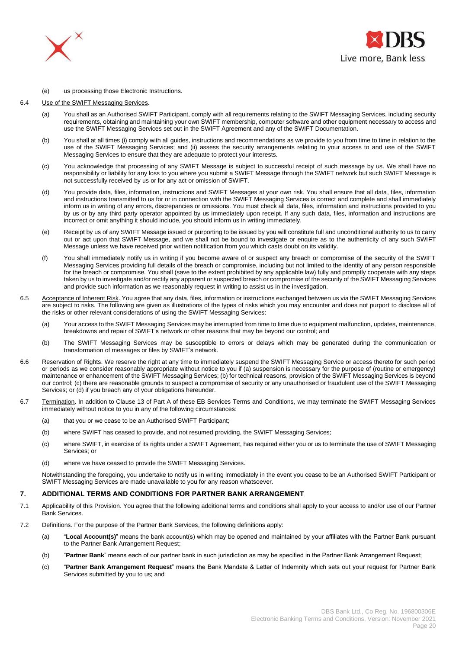



(e) us processing those Electronic Instructions.

#### 6.4 Use of the SWIFT Messaging Services.

- (a) You shall as an Authorised SWIFT Participant, comply with all requirements relating to the SWIFT Messaging Services, including security requirements, obtaining and maintaining your own SWIFT membership, computer software and other equipment necessary to access and use the SWIFT Messaging Services set out in the SWIFT Agreement and any of the SWIFT Documentation.
- (b) You shall at all times (i) comply with all guides, instructions and recommendations as we provide to you from time to time in relation to the use of the SWIFT Messaging Services; and (ii) assess the security arrangements relating to your access to and use of the SWIFT Messaging Services to ensure that they are adequate to protect your interests.
- (c) You acknowledge that processing of any SWIFT Message is subject to successful receipt of such message by us. We shall have no responsibility or liability for any loss to you where you submit a SWIFT Message through the SWIFT network but such SWIFT Message is not successfully received by us or for any act or omission of SWIFT.
- (d) You provide data, files, information, instructions and SWIFT Messages at your own risk. You shall ensure that all data, files, information and instructions transmitted to us for or in connection with the SWIFT Messaging Services is correct and complete and shall immediately inform us in writing of any errors, discrepancies or omissions. You must check all data, files, information and instructions provided to you by us or by any third party operator appointed by us immediately upon receipt. If any such data, files, information and instructions are incorrect or omit anything it should include, you should inform us in writing immediately.
- (e) Receipt by us of any SWIFT Message issued or purporting to be issued by you will constitute full and unconditional authority to us to carry out or act upon that SWIFT Message, and we shall not be bound to investigate or enquire as to the authenticity of any such SWIFT Message unless we have received prior written notification from you which casts doubt on its validity.
- (f) You shall immediately notify us in writing if you become aware of or suspect any breach or compromise of the security of the SWIFT Messaging Services providing full details of the breach or compromise, including but not limited to the identity of any person responsible for the breach or compromise. You shall (save to the extent prohibited by any applicable law) fully and promptly cooperate with any steps taken by us to investigate and/or rectify any apparent or suspected breach or compromise of the security of the SWIFT Messaging Services and provide such information as we reasonably request in writing to assist us in the investigation.
- 6.5 Acceptance of Inherent Risk. You agree that any data, files, information or instructions exchanged between us via the SWIFT Messaging Services are subject to risks. The following are given as illustrations of the types of risks which you may encounter and does not purport to disclose all of the risks or other relevant considerations of using the SWIFT Messaging Services:
	- (a) Your access to the SWIFT Messaging Services may be interrupted from time to time due to equipment malfunction, updates, maintenance, breakdowns and repair of SWIFT's network or other reasons that may be beyond our control; and
	- (b) The SWIFT Messaging Services may be susceptible to errors or delays which may be generated during the communication or transformation of messages or files by SWIFT's network.
- 6.6 Reservation of Rights. We reserve the right at any time to immediately suspend the SWIFT Messaging Service or access thereto for such period or periods as we consider reasonably appropriate without notice to you if (a) suspension is necessary for the purpose of (routine or emergency) maintenance or enhancement of the SWIFT Messaging Services; (b) for technical reasons, provision of the SWIFT Messaging Services is beyond our control; (c) there are reasonable grounds to suspect a compromise of security or any unauthorised or fraudulent use of the SWIFT Messaging Services; or (d) if you breach any of your obligations hereunder.
- 6.7 Termination. In addition to Clause 13 of Part A of these EB Services Terms and Conditions, we may terminate the SWIFT Messaging Services immediately without notice to you in any of the following circumstances:
	- (a) that you or we cease to be an Authorised SWIFT Participant;
	- (b) where SWIFT has ceased to provide, and not resumed providing, the SWIFT Messaging Services;
	- (c) where SWIFT, in exercise of its rights under a SWIFT Agreement, has required either you or us to terminate the use of SWIFT Messaging Services; or
	- (d) where we have ceased to provide the SWIFT Messaging Services.

Notwithstanding the foregoing, you undertake to notify us in writing immediately in the event you cease to be an Authorised SWIFT Participant or SWIFT Messaging Services are made unavailable to you for any reason whatsoever.

# **7. ADDITIONAL TERMS AND CONDITIONS FOR PARTNER BANK ARRANGEMENT**

- 7.1 Applicability of this Provision. You agree that the following additional terms and conditions shall apply to your access to and/or use of our Partner Bank Services.
- 7.2 Definitions. For the purpose of the Partner Bank Services, the following definitions apply:
	- (a) "**Local Account(s)**" means the bank account(s) which may be opened and maintained by your affiliates with the Partner Bank pursuant to the Partner Bank Arrangement Request;
	- (b) "**Partner Bank**" means each of our partner bank in such jurisdiction as may be specified in the Partner Bank Arrangement Request;
	- (c) "**Partner Bank Arrangement Request**" means the Bank Mandate & Letter of Indemnity which sets out your request for Partner Bank Services submitted by you to us; and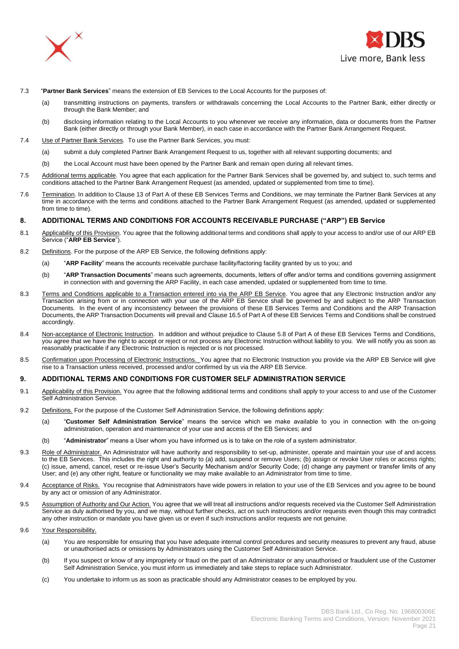



- 7.3 "**Partner Bank Services**" means the extension of EB Services to the Local Accounts for the purposes of:
	- (a) transmitting instructions on payments, transfers or withdrawals concerning the Local Accounts to the Partner Bank, either directly or through the Bank Member; and
	- (b) disclosing information relating to the Local Accounts to you whenever we receive any information, data or documents from the Partner Bank (either directly or through your Bank Member), in each case in accordance with the Partner Bank Arrangement Request.
- 7.4 Use of Partner Bank Services. To use the Partner Bank Services, you must:
	- (a) submit a duly completed Partner Bank Arrangement Request to us, together with all relevant supporting documents; and
	- (b) the Local Account must have been opened by the Partner Bank and remain open during all relevant times.
- 7.5 Additional terms applicable. You agree that each application for the Partner Bank Services shall be governed by, and subject to, such terms and conditions attached to the Partner Bank Arrangement Request (as amended, updated or supplemented from time to time).
- 7.6 Termination. In addition to Clause 13 of Part A of these EB Services Terms and Conditions, we may terminate the Partner Bank Services at any time in accordance with the terms and conditions attached to the Partner Bank Arrangement Request (as amended, updated or supplemented from time to time).

#### **8. ADDITIONAL TERMS AND CONDITIONS FOR ACCOUNTS RECEIVABLE PURCHASE ("ARP") EB Service**

- 8.1 Applicability of this Provision. You agree that the following additional terms and conditions shall apply to your access to and/or use of our ARP EB Service ("**ARP EB Service**").
- 8.2 Definitions. For the purpose of the ARP EB Service, the following definitions apply:
	- (a) "**ARP Facility**" means the accounts receivable purchase facility/factoring facility granted by us to you; and
	- (b) "**ARP Transaction Documents**" means such agreements, documents, letters of offer and/or terms and conditions governing assignment in connection with and governing the ARP Facility, in each case amended, updated or supplemented from time to time.
- 8.3 Terms and Conditions applicable to a Transaction entered into via the ARP EB Service. You agree that any Electronic Instruction and/or any Transaction arising from or in connection with your use of the ARP EB Service shall be governed by and subject to the ARP Transaction Documents. In the event of any inconsistency between the provisions of these EB Services Terms and Conditions and the ARP Transaction Documents, the ARP Transaction Documents will prevail and Clause 16.5 of Part A of these EB Services Terms and Conditions shall be construed accordingly.
- 8.4 Non-acceptance of Electronic Instruction. In addition and without prejudice to Clause 5.8 of Part A of these EB Services Terms and Conditions, you agree that we have the right to accept or reject or not process any Electronic Instruction without liability to you. We will notify you as soon as reasonably practicable if any Electronic Instruction is rejected or is not processed.
- 8.5 Confirmation upon Processing of Electronic Instructions. You agree that no Electronic Instruction you provide via the ARP EB Service will give rise to a Transaction unless received, processed and/or confirmed by us via the ARP EB Service.

#### **9. ADDITIONAL TERMS AND CONDITIONS FOR CUSTOMER SELF ADMINISTRATION SERVICE**

- 9.1 Applicability of this Provision. You agree that the following additional terms and conditions shall apply to your access to and use of the Customer Self Administration Service.
- 9.2 Definitions. For the purpose of the Customer Self Administration Service, the following definitions apply:
	- (a) "**Customer Self Administration Service**" means the service which we make available to you in connection with the on-going administration, operation and maintenance of your use and access of the EB Services; and
	- (b) "**Administrator**" means a User whom you have informed us is to take on the role of a system administrator.
- 9.3 Role of Administrator. An Administrator will have authority and responsibility to set-up, administer, operate and maintain your use of and access to the EB Services. This includes the right and authority to (a) add, suspend or remove Users; (b) assign or revoke User roles or access rights; (c) issue, amend, cancel, reset or re-issue User's Security Mechanism and/or Security Code; (d) change any payment or transfer limits of any User; and (e) any other right, feature or functionality we may make available to an Administrator from time to time.
- 9.4 Acceptance of Risks. You recognise that Administrators have wide powers in relation to your use of the EB Services and you agree to be bound by any act or omission of any Administrator.
- 9.5 Assumption of Authority and Our Action. You agree that we will treat all instructions and/or requests received via the Customer Self Administration Service as duly authorised by you, and we may, without further checks, act on such instructions and/or requests even though this may contradict any other instruction or mandate you have given us or even if such instructions and/or requests are not genuine.
- 9.6 Your Responsibility.
	- (a) You are responsible for ensuring that you have adequate internal control procedures and security measures to prevent any fraud, abuse or unauthorised acts or omissions by Administrators using the Customer Self Administration Service.
	- (b) If you suspect or know of any impropriety or fraud on the part of an Administrator or any unauthorised or fraudulent use of the Customer Self Administration Service, you must inform us immediately and take steps to replace such Administrator.
	- (c) You undertake to inform us as soon as practicable should any Administrator ceases to be employed by you.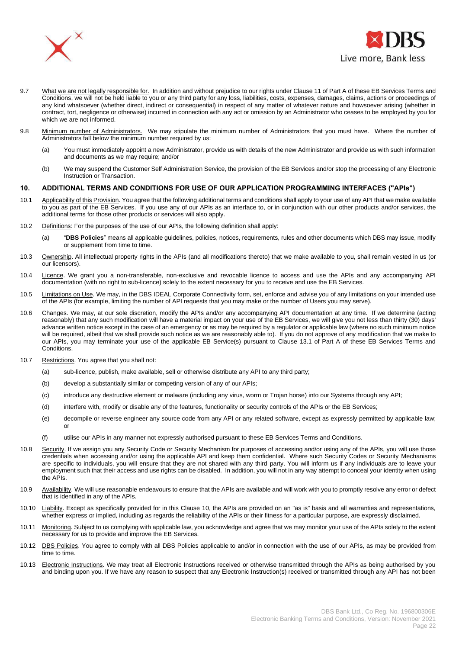



- 9.7 What we are not legally responsible for. In addition and without prejudice to our rights under Clause 11 of Part A of these EB Services Terms and Conditions, we will not be held liable to you or any third party for any loss, liabilities, costs, expenses, damages, claims, actions or proceedings of any kind whatsoever (whether direct, indirect or consequential) in respect of any matter of whatever nature and howsoever arising (whether in contract, tort, negligence or otherwise) incurred in connection with any act or omission by an Administrator who ceases to be employed by you for which we are not informed.
- 9.8 Minimum number of Administrators. We may stipulate the minimum number of Administrators that you must have. Where the number of Administrators fall below the minimum number required by us:
	- (a) You must immediately appoint a new Administrator, provide us with details of the new Administrator and provide us with such information and documents as we may require; and/or
	- (b) We may suspend the Customer Self Administration Service, the provision of the EB Services and/or stop the processing of any Electronic Instruction or Transaction.

# **10. ADDITIONAL TERMS AND CONDITIONS FOR USE OF OUR APPLICATION PROGRAMMING INTERFACES ("APIs")**

- 10.1 Applicability of this Provision. You agree that the following additional terms and conditions shall apply to your use of any API that we make available to you as part of the EB Services. If you use any of our APIs as an interface to, or in conjunction with our other products and/or services, the additional terms for those other products or services will also apply.
- 10.2 Definitions: For the purposes of the use of our APIs, the following definition shall apply:
	- (a) "**DBS Policies**" means all applicable guidelines, policies, notices, requirements, rules and other documents which DBS may issue, modify or supplement from time to time.
- 10.3 Ownership. All intellectual property rights in the APIs (and all modifications thereto) that we make available to you, shall remain vested in us (or our licensors).
- 10.4 Licence. We grant you a non-transferable, non-exclusive and revocable licence to access and use the APIs and any accompanying API documentation (with no right to sub-licence) solely to the extent necessary for you to receive and use the EB Services.
- 10.5 Limitations on Use. We may, in the DBS IDEAL Corporate Connectivity form, set, enforce and advise you of any limitations on your intended use of the APIs (for example, limiting the number of API requests that you may make or the number of Users you may serve).
- 10.6 Changes. We may, at our sole discretion, modify the APIs and/or any accompanying API documentation at any time. If we determine (acting reasonably) that any such modification will have a material impact on your use of the EB Services, we will give you not less than thirty (30) days' advance written notice except in the case of an emergency or as may be required by a regulator or applicable law (where no such minimum notice will be required, albeit that we shall provide such notice as we are reasonably able to). If you do not approve of any modification that we make to our APIs, you may terminate your use of the applicable EB Service(s) pursuant to Clause 13.1 of Part A of these EB Services Terms and Conditions.
- 10.7 Restrictions. You agree that you shall not:
	- (a) sub-licence, publish, make available, sell or otherwise distribute any API to any third party;
	- (b) develop a substantially similar or competing version of any of our APIs;
	- (c) introduce any destructive element or malware (including any virus, worm or Trojan horse) into our Systems through any API;
	- (d) interfere with, modify or disable any of the features, functionality or security controls of the APIs or the EB Services;
	- (e) decompile or reverse engineer any source code from any API or any related software, except as expressly permitted by applicable law; or
	- (f) utilise our APIs in any manner not expressly authorised pursuant to these EB Services Terms and Conditions.
- 10.8 Security. If we assign you any Security Code or Security Mechanism for purposes of accessing and/or using any of the APIs, you will use those credentials when accessing and/or using the applicable API and keep them confidential. Where such Security Codes or Security Mechanisms are specific to individuals, you will ensure that they are not shared with any third party. You will inform us if any individuals are to leave your employment such that their access and use rights can be disabled. In addition, you will not in any way attempt to conceal your identity when using the APIs.
- 10.9 Availability. We will use reasonable endeavours to ensure that the APIs are available and will work with you to promptly resolve any error or defect that is identified in any of the APIs.
- 10.10 Liability. Except as specifically provided for in this Clause 10, the APIs are provided on an "as is" basis and all warranties and representations, whether express or implied, including as regards the reliability of the APIs or their fitness for a particular purpose, are expressly disclaimed.
- 10.11 Monitoring. Subject to us complying with applicable law, you acknowledge and agree that we may monitor your use of the APIs solely to the extent necessary for us to provide and improve the EB Services.
- 10.12 DBS Policies. You agree to comply with all DBS Policies applicable to and/or in connection with the use of our APIs, as may be provided from time to time.
- 10.13 Electronic Instructions. We may treat all Electronic Instructions received or otherwise transmitted through the APIs as being authorised by you and binding upon you. If we have any reason to suspect that any Electronic Instruction(s) received or transmitted through any API has not been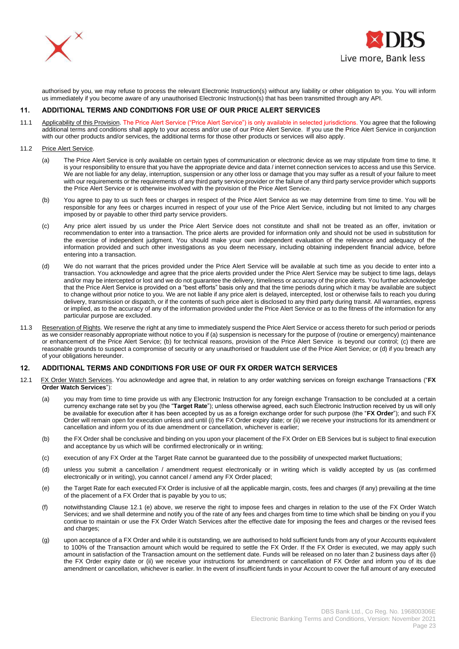



authorised by you, we may refuse to process the relevant Electronic Instruction(s) without any liability or other obligation to you. You will inform us immediately if you become aware of any unauthorised Electronic Instruction(s) that has been transmitted through any API.

# **11. ADDITIONAL TERMS AND CONDITIONS FOR USE OF OUR PRICE ALERT SERVICES**

- 11.1 Applicability of this Provision. The Price Alert Service ("Price Alert Service") is only available in selected jurisdictions. You agree that the following additional terms and conditions shall apply to your access and/or use of our Price Alert Service. If you use the Price Alert Service in conjunction with our other products and/or services, the additional terms for those other products or services will also apply.
- 11.2 Price Alert Service.
	- (a) The Price Alert Service is only available on certain types of communication or electronic device as we may stipulate from time to time. It is your responsibility to ensure that you have the appropriate device and data / internet connection services to access and use this Service. We are not liable for any delay, interruption, suspension or any other loss or damage that you may suffer as a result of your failure to meet with our requirements or the requirements of any third party service provider or the failure of any third party service provider which supports the Price Alert Service or is otherwise involved with the provision of the Price Alert Service.
	- (b) You agree to pay to us such fees or charges in respect of the Price Alert Service as we may determine from time to time. You will be responsible for any fees or charges incurred in respect of your use of the Price Alert Service, including but not limited to any charges imposed by or payable to other third party service providers.
	- (c) Any price alert issued by us under the Price Alert Service does not constitute and shall not be treated as an offer, invitation or recommendation to enter into a transaction. The price alerts are provided for information only and should not be used in substitution for the exercise of independent judgment. You should make your own independent evaluation of the relevance and adequacy of the information provided and such other investigations as you deem necessary, including obtaining independent financial advice, before entering into a transaction.
	- (d) We do not warrant that the prices provided under the Price Alert Service will be available at such time as you decide to enter into a transaction. You acknowledge and agree that the price alerts provided under the Price Alert Service may be subject to time lags, delays and/or may be intercepted or lost and we do not guarantee the delivery, timeliness or accuracy of the price alerts. You further acknowledge that the Price Alert Service is provided on a "best efforts" basis only and that the time periods during which it may be available are subject to change without prior notice to you. We are not liable if any price alert is delayed, intercepted, lost or otherwise fails to reach you during delivery, transmission or dispatch, or if the contents of such price alert is disclosed to any third party during transit. All warranties, express or implied, as to the accuracy of any of the information provided under the Price Alert Service or as to the fitness of the information for any particular purpose are excluded.
- 11.3 Reservation of Rights. We reserve the right at any time to immediately suspend the Price Alert Service or access thereto for such period or periods as we consider reasonably appropriate without notice to you if (a) suspension is necessary for the purpose of (routine or emergency) maintenance or enhancement of the Price Alert Service; (b) for technical reasons, provision of the Price Alert Service is beyond our control; (c) there are reasonable grounds to suspect a compromise of security or any unauthorised or fraudulent use of the Price Alert Service; or (d) if you breach any of your obligations hereunder.

# **12. ADDITIONAL TERMS AND CONDITIONS FOR USE OF OUR FX ORDER WATCH SERVICES**

- 12.1 FX Order Watch Services. You acknowledge and agree that, in relation to any order watching services on foreign exchange Transactions ("**FX Order Watch Services**"):
	- (a) you may from time to time provide us with any Electronic Instruction for any foreign exchange Transaction to be concluded at a certain currency exchange rate set by you (the "**Target Rate**"); unless otherwise agreed, each such Electronic Instruction received by us will only be available for execution after it has been accepted by us as a foreign exchange order for such purpose (the "**FX Order**"); and such FX Order will remain open for execution unless and until (i) the FX Order expiry date; or (ii) we receive your instructions for its amendment or cancellation and inform you of its due amendment or cancellation, whichever is earlier;
	- (b) the FX Order shall be conclusive and binding on you upon your placement of the FX Order on EB Services but is subject to final execution and acceptance by us which will be confirmed electronically or in writing;
	- (c) execution of any FX Order at the Target Rate cannot be guaranteed due to the possibility of unexpected market fluctuations;
	- (d) unless you submit a cancellation / amendment request electronically or in writing which is validly accepted by us (as confirmed electronically or in writing), you cannot cancel / amend any FX Order placed;
	- (e) the Target Rate for each executed FX Order is inclusive of all the applicable margin, costs, fees and charges (if any) prevailing at the time of the placement of a FX Order that is payable by you to us;
	- (f) notwithstanding Clause 12.1 (e) above, we reserve the right to impose fees and charges in relation to the use of the FX Order Watch Services; and we shall determine and notify you of the rate of any fees and charges from time to time which shall be binding on you if you continue to maintain or use the FX Order Watch Services after the effective date for imposing the fees and charges or the revised fees and charges;
	- (g) upon acceptance of a FX Order and while it is outstanding, we are authorised to hold sufficient funds from any of your Accounts equivalent to 100% of the Transaction amount which would be required to settle the FX Order. If the FX Order is executed, we may apply such amount in satisfaction of the Transaction amount on the settlement date. Funds will be released on no later than 2 business days after (i) the FX Order expiry date or (ii) we receive your instructions for amendment or cancellation of FX Order and inform you of its due amendment or cancellation, whichever is earlier. In the event of insufficient funds in your Account to cover the full amount of any executed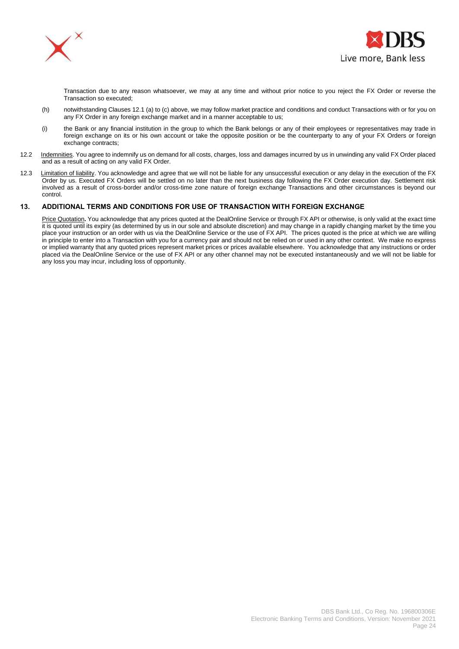



Transaction due to any reason whatsoever, we may at any time and without prior notice to you reject the FX Order or reverse the Transaction so executed;

- (h) notwithstanding Clauses 12.1 (a) to (c) above, we may follow market practice and conditions and conduct Transactions with or for you on any FX Order in any foreign exchange market and in a manner acceptable to us;
- (i) the Bank or any financial institution in the group to which the Bank belongs or any of their employees or representatives may trade in foreign exchange on its or his own account or take the opposite position or be the counterparty to any of your FX Orders or foreign exchange contracts;
- 12.2 Indemnities. You agree to indemnify us on demand for all costs, charges, loss and damages incurred by us in unwinding any valid FX Order placed and as a result of acting on any valid FX Order.
- 12.3 Limitation of liability. You acknowledge and agree that we will not be liable for any unsuccessful execution or any delay in the execution of the FX Order by us. Executed FX Orders will be settled on no later than the next business day following the FX Order execution day. Settlement risk involved as a result of cross-border and/or cross-time zone nature of foreign exchange Transactions and other circumstances is beyond our control.

# **13. ADDITIONAL TERMS AND CONDITIONS FOR USE OF TRANSACTION WITH FOREIGN EXCHANGE**

Price Quotation**.** You acknowledge that any prices quoted at the DealOnline Service or through FX API or otherwise, is only valid at the exact time it is quoted until its expiry (as determined by us in our sole and absolute discretion) and may change in a rapidly changing market by the time you place your instruction or an order with us via the DealOnline Service or the use of FX API. The prices quoted is the price at which we are willing in principle to enter into a Transaction with you for a currency pair and should not be relied on or used in any other context. We make no express or implied warranty that any quoted prices represent market prices or prices available elsewhere. You acknowledge that any instructions or order placed via the DealOnline Service or the use of FX API or any other channel may not be executed instantaneously and we will not be liable for any loss you may incur, including loss of opportunity.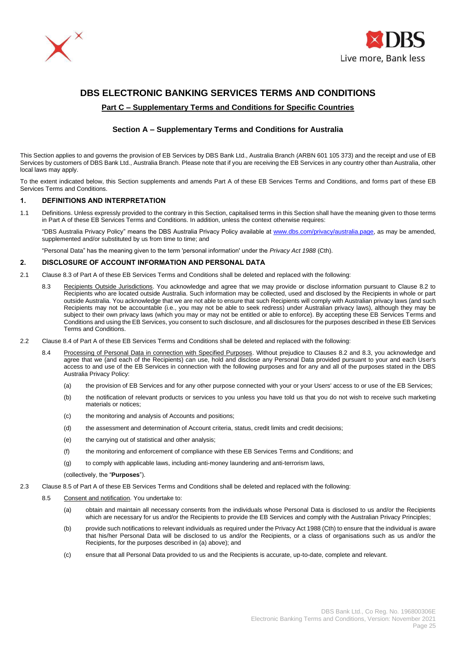



# **DBS ELECTRONIC BANKING SERVICES TERMS AND CONDITIONS**

# **Part C – Supplementary Terms and Conditions for Specific Countries**

# **Section A – Supplementary Terms and Conditions for Australia**

This Section applies to and governs the provision of EB Services by DBS Bank Ltd., Australia Branch (ARBN 601 105 373) and the receipt and use of EB Services by customers of DBS Bank Ltd., Australia Branch. Please note that if you are receiving the EB Services in any country other than Australia, other local laws may apply.

To the extent indicated below, this Section supplements and amends Part A of these EB Services Terms and Conditions, and forms part of these EB Services Terms and Conditions.

# **1. DEFINITIONS AND INTERPRETATION**

1.1 Definitions. Unless expressly provided to the contrary in this Section, capitalised terms in this Section shall have the meaning given to those terms in Part A of these EB Services Terms and Conditions. In addition, unless the context otherwise requires:

"DBS Australia Privacy Policy" means the DBS Australia Privacy Policy available a[t www.dbs.com/privacy/australia.page,](http://www.dbs.com/privacy/australia.page) as may be amended, supplemented and/or substituted by us from time to time; and

"Personal Data" has the meaning given to the term 'personal information' under the *Privacy Act 1988* (Cth).

# **2. DISCLOSURE OF ACCOUNT INFORMATION AND PERSONAL DATA**

- 2.1 Clause 8.3 of Part A of these EB Services Terms and Conditions shall be deleted and replaced with the following:
	- 8.3 Recipients Outside Jurisdictions. You acknowledge and agree that we may provide or disclose information pursuant to Clause 8.2 to Recipients who are located outside Australia. Such information may be collected, used and disclosed by the Recipients in whole or part outside Australia. You acknowledge that we are not able to ensure that such Recipients will comply with Australian privacy laws (and such Recipients may not be accountable (i.e., you may not be able to seek redress) under Australian privacy laws), although they may be subject to their own privacy laws (which you may or may not be entitled or able to enforce). By accepting these EB Services Terms and Conditions and using the EB Services, you consent to such disclosure, and all disclosures for the purposes described in these EB Services Terms and Conditions.
- 2.2 Clause 8.4 of Part A of these EB Services Terms and Conditions shall be deleted and replaced with the following:
	- 8.4 Processing of Personal Data in connection with Specified Purposes. Without prejudice to Clauses 8.2 and 8.3, you acknowledge and agree that we (and each of the Recipients) can use, hold and disclose any Personal Data provided pursuant to your and each User's access to and use of the EB Services in connection with the following purposes and for any and all of the purposes stated in the DBS Australia Privacy Policy:
		- (a) the provision of EB Services and for any other purpose connected with your or your Users' access to or use of the EB Services;
		- (b) the notification of relevant products or services to you unless you have told us that you do not wish to receive such marketing materials or notices;
		- (c) the monitoring and analysis of Accounts and positions;
		- (d) the assessment and determination of Account criteria, status, credit limits and credit decisions;
		- (e) the carrying out of statistical and other analysis;
		- (f) the monitoring and enforcement of compliance with these EB Services Terms and Conditions; and
		- (g) to comply with applicable laws, including anti-money laundering and anti-terrorism laws,

#### (collectively, the "**Purposes**").

- 2.3 Clause 8.5 of Part A of these EB Services Terms and Conditions shall be deleted and replaced with the following:
	- 8.5 Consent and notification. You undertake to:
		- (a) obtain and maintain all necessary consents from the individuals whose Personal Data is disclosed to us and/or the Recipients which are necessary for us and/or the Recipients to provide the EB Services and comply with the Australian Privacy Principles;
		- (b) provide such notifications to relevant individuals as required under the Privacy Act 1988 (Cth) to ensure that the individual is aware that his/her Personal Data will be disclosed to us and/or the Recipients, or a class of organisations such as us and/or the Recipients, for the purposes described in (a) above); and
		- (c) ensure that all Personal Data provided to us and the Recipients is accurate, up-to-date, complete and relevant.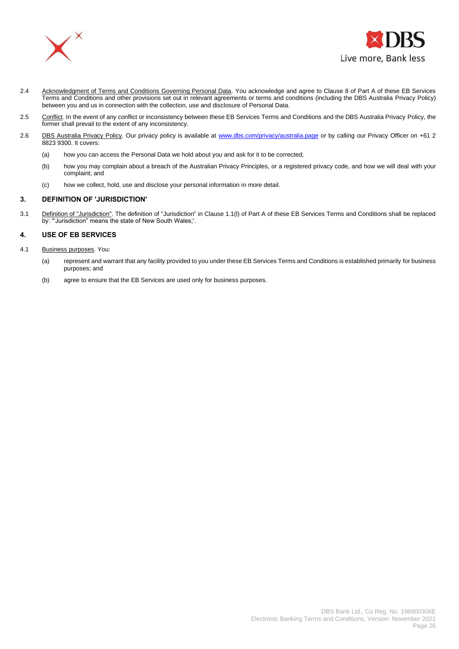



- 2.4 Acknowledgment of Terms and Conditions Governing Personal Data. You acknowledge and agree to Clause 8 of Part A of these EB Services Terms and Conditions and other provisions set out in relevant agreements or terms and conditions (including the DBS Australia Privacy Policy) between you and us in connection with the collection, use and disclosure of Personal Data.
- 2.5 Conflict. In the event of any conflict or inconsistency between these EB Services Terms and Conditions and the DBS Australia Privacy Policy, the former shall prevail to the extent of any inconsistency.
- 2.6 DBS Australia Privacy Policy. Our privacy policy is available at [www.dbs.com/privacy/australia.page](http://www.dbs.com/privacy/australia.page) or by calling our Privacy Officer on +61 2 8823 9300. It covers:
	- (a) how you can access the Personal Data we hold about you and ask for it to be corrected;
	- (b) how you may complain about a breach of the Australian Privacy Principles, or a registered privacy code, and how we will deal with your complaint; and
	- (c) how we collect, hold, use and disclose your personal information in more detail.

# **3. DEFINITION OF 'JURISDICTION'**

3.1 Definition of "Jurisdiction". The definition of "Jurisdiction" in Clause 1.1(I) of Part A of these EB Services Terms and Conditions shall be replaced by: '"Jurisdiction" means the state of New South Wales;'.

# **4. USE OF EB SERVICES**

- 4.1 Business purposes. You:
	- (a) represent and warrant that any facility provided to you under these EB Services Terms and Conditions is established primarily for business purposes; and
	- (b) agree to ensure that the EB Services are used only for business purposes.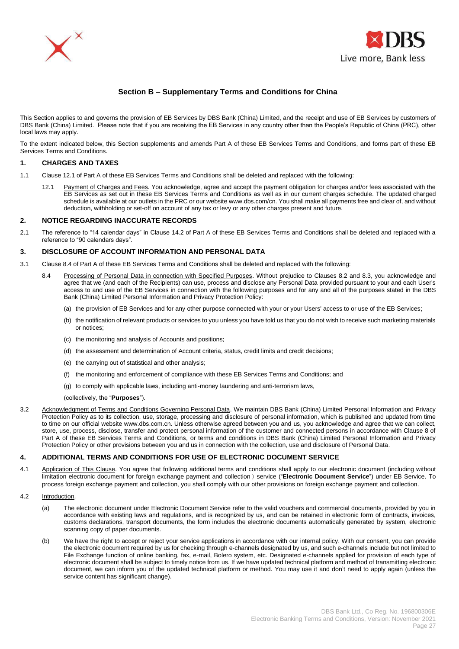



# **Section B – Supplementary Terms and Conditions for China**

This Section applies to and governs the provision of EB Services by DBS Bank (China) Limited, and the receipt and use of EB Services by customers of DBS Bank (China) Limited. Please note that if you are receiving the EB Services in any country other than the People's Republic of China (PRC), other local laws may apply.

To the extent indicated below, this Section supplements and amends Part A of these EB Services Terms and Conditions, and forms part of these EB Services Terms and Conditions.

# **1. CHARGES AND TAXES**

- 1.1 Clause 12.1 of Part A of these EB Services Terms and Conditions shall be deleted and replaced with the following:
	- 12.1 Payment of Charges and Fees. You acknowledge, agree and accept the payment obligation for charges and/or fees associated with the EB Services as set out in these EB Services Terms and Conditions as well as in our current charges schedule. The updated charged schedule is available at our outlets in the PRC or our websit[e www.dbs.com/cn.](http://www.dbs.com/cn) You shall make all payments free and clear of, and without deduction, withholding or set-off on account of any tax or levy or any other charges present and future.

# **2. NOTICE REGARDING INACCURATE RECORDS**

2.1 The reference to "14 calendar days" in Clause 14.2 of Part A of these EB Services Terms and Conditions shall be deleted and replaced with a reference to "90 calendars days".

# **3. DISCLOSURE OF ACCOUNT INFORMATION AND PERSONAL DATA**

- 3.1 Clause 8.4 of Part A of these EB Services Terms and Conditions shall be deleted and replaced with the following:
	- 8.4 Processing of Personal Data in connection with Specified Purposes. Without prejudice to Clauses 8.2 and 8.3, you acknowledge and agree that we (and each of the Recipients) can use, process and disclose any Personal Data provided pursuant to your and each User's access to and use of the EB Services in connection with the following purposes and for any and all of the purposes stated in the DBS Bank (China) Limited Personal Information and Privacy Protection Policy:
		- (a) the provision of EB Services and for any other purpose connected with your or your Users' access to or use of the EB Services;
		- (b) the notification of relevant products or services to you unless you have told us that you do not wish to receive such marketing materials or notices;
		- (c) the monitoring and analysis of Accounts and positions;
		- (d) the assessment and determination of Account criteria, status, credit limits and credit decisions;
		- (e) the carrying out of statistical and other analysis;
		- (f) the monitoring and enforcement of compliance with these EB Services Terms and Conditions; and
		- (g) to comply with applicable laws, including anti-money laundering and anti-terrorism laws,

#### (collectively, the "**Purposes**").

3.2 Acknowledgment of Terms and Conditions Governing Personal Data. We maintain DBS Bank (China) Limited Personal Information and Privacy Protection Policy as to its collection, use, storage, processing and disclosure of personal information, which is published and updated from time to time on our official website www.dbs.com.cn. Unless otherwise agreed between you and us, you acknowledge and agree that we can collect, store, use, process, disclose, transfer and protect personal information of the customer and connected persons in accordance with Clause 8 of Part A of these EB Services Terms and Conditions, or terms and conditions in DBS Bank (China) Limited Personal Information and Privacy Protection Policy or other provisions between you and us in connection with the collection, use and disclosure of Personal Data.

#### **4. ADDITIONAL TERMS AND CONDITIONS FOR USE OF ELECTRONIC DOCUMENT SERVICE**

- 4.1 Application of This Clause. You agree that following additional terms and conditions shall apply to our electronic document (including without limitation electronic document for foreign exchange payment and collection)service ("**Electronic Document Service**") under EB Service. To process foreign exchange payment and collection, you shall comply with our other provisions on foreign exchange payment and collection.
- 4.2 Introduction.
	- (a) The electronic document under Electronic Document Service refer to the valid vouchers and commercial documents, provided by you in accordance with existing laws and regulations, and is recognized by us, and can be retained in electronic form of contracts, invoices, customs declarations, transport documents, the form includes the electronic documents automatically generated by system, electronic scanning copy of paper documents.
	- (b) We have the right to accept or reject your service applications in accordance with our internal policy. With our consent, you can provide the electronic document required by us for checking through e-channels designated by us, and such e-channels include but not limited to File Exchange function of online banking, fax, e-mail, Bolero system, etc. Designated e-channels applied for provision of each type of electronic document shall be subject to timely notice from us. If we have updated technical platform and method of transmitting electronic document, we can inform you of the updated technical platform or method. You may use it and don't need to apply again (unless the service content has significant change).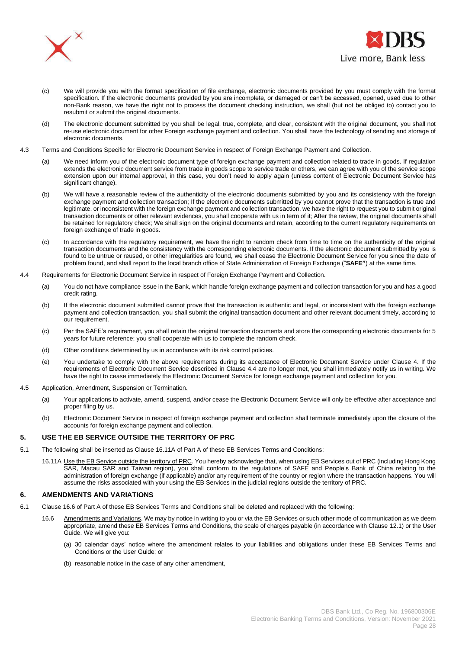



- (c) We will provide you with the format specification of file exchange, electronic documents provided by you must comply with the format specification. If the electronic documents provided by you are incomplete, or damaged or can't be accessed, opened, used due to other non-Bank reason, we have the right not to process the document checking instruction, we shall (but not be obliged to) contact you to resubmit or submit the original documents.
- (d) The electronic document submitted by you shall be legal, true, complete, and clear, consistent with the original document, you shall not re-use electronic document for other Foreign exchange payment and collection. You shall have the technology of sending and storage of electronic documents.
- 4.3 Terms and Conditions Specific for Electronic Document Service in respect of Foreign Exchange Payment and Collection.
	- (a) We need inform you of the electronic document type of foreign exchange payment and collection related to trade in goods. If regulation extends the electronic document service from trade in goods scope to service trade or others, we can agree with you of the service scope extension upon our internal approval, in this case, you don't need to apply again (unless content of Electronic Document Service has significant change).
	- (b) We will have a reasonable review of the authenticity of the electronic documents submitted by you and its consistency with the foreign exchange payment and collection transaction; If the electronic documents submitted by you cannot prove that the transaction is true and legitimate, or inconsistent with the foreign exchange payment and collection transaction, we have the right to request you to submit original transaction documents or other relevant evidences, you shall cooperate with us in term of it; After the review, the original documents shall be retained for regulatory check; We shall sign on the original documents and retain, according to the current regulatory requirements on foreign exchange of trade in goods.
	- (c) In accordance with the regulatory requirement, we have the right to random check from time to time on the authenticity of the original transaction documents and the consistency with the corresponding electronic documents. If the electronic document submitted by you is found to be untrue or reused, or other irregularities are found, we shall cease the Electronic Document Service for you since the date of problem found, and shall report to the local branch office of State Administration of Foreign Exchange ("**SAFE"**) at the same time.
- 4.4 Requirements for Electronic Document Service in respect of Foreign Exchange Payment and Collection.
	- (a) You do not have compliance issue in the Bank, which handle foreign exchange payment and collection transaction for you and has a good credit rating.
	- (b) If the electronic document submitted cannot prove that the transaction is authentic and legal, or inconsistent with the foreign exchange payment and collection transaction, you shall submit the original transaction document and other relevant document timely, according to our requirement.
	- (c) Per the SAFE's requirement, you shall retain the original transaction documents and store the corresponding electronic documents for 5 years for future reference; you shall cooperate with us to complete the random check.
	- (d) Other conditions determined by us in accordance with its risk control policies.
	- (e) You undertake to comply with the above requirements during its acceptance of Electronic Document Service under Clause 4. If the requirements of Electronic Document Service described in Clause 4.4 are no longer met, you shall immediately notify us in writing. We have the right to cease immediately the Electronic Document Service for foreign exchange payment and collection for you.
- 4.5 Application, Amendment, Suspension or Termination.
	- (a) Your applications to activate, amend, suspend, and/or cease the Electronic Document Service will only be effective after acceptance and proper filing by us.
	- (b) Electronic Document Service in respect of foreign exchange payment and collection shall terminate immediately upon the closure of the accounts for foreign exchange payment and collection.

# **5. USE THE EB SERVICE OUTSIDE THE TERRITORY OF PRC**

- 5.1 The following shall be inserted as Clause 16.11A of Part A of these EB Services Terms and Conditions:
	- 16.11A Use the EB Service outside the territory of PRC. You hereby acknowledge that, when using EB Services out of PRC (including Hong Kong SAR, Macau SAR and Taiwan region), you shall conform to the regulations of SAFE and People's Bank of China relating to the administration of foreign exchange (if applicable) and/or any requirement of the country or region where the transaction happens. You will assume the risks associated with your using the EB Services in the judicial regions outside the territory of PRC.

#### **6. AMENDMENTS AND VARIATIONS**

- 6.1 Clause 16.6 of Part A of these EB Services Terms and Conditions shall be deleted and replaced with the following:
	- 16.6 Amendments and Variations. We may by notice in writing to you or via the EB Services or such other mode of communication as we deem appropriate, amend these EB Services Terms and Conditions, the scale of charges payable (in accordance with Clause 12.1) or the User Guide. We will give you:
		- (a) 30 calendar days' notice where the amendment relates to your liabilities and obligations under these EB Services Terms and Conditions or the User Guide; or
		- (b) reasonable notice in the case of any other amendment,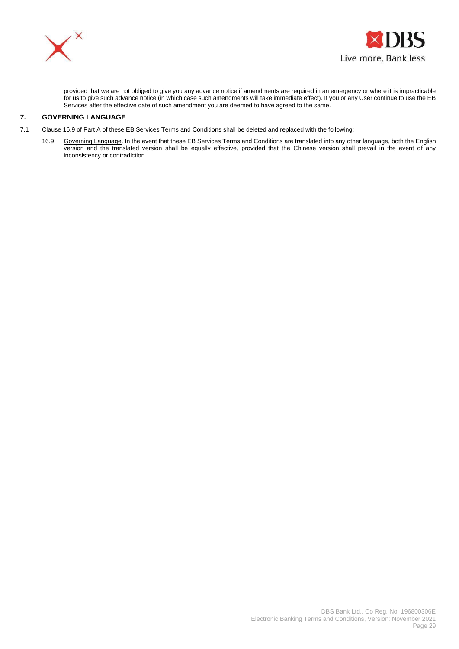



provided that we are not obliged to give you any advance notice if amendments are required in an emergency or where it is impracticable for us to give such advance notice (in which case such amendments will take immediate effect). If you or any User continue to use the EB Services after the effective date of such amendment you are deemed to have agreed to the same.

# **7. GOVERNING LANGUAGE**

- 7.1 Clause 16.9 of Part A of these EB Services Terms and Conditions shall be deleted and replaced with the following:
	- 16.9 Governing Language. In the event that these EB Services Terms and Conditions are translated into any other language, both the English version and the translated version shall be equally effective, provided that the Chinese version shall prevail in the event of any inconsistency or contradiction.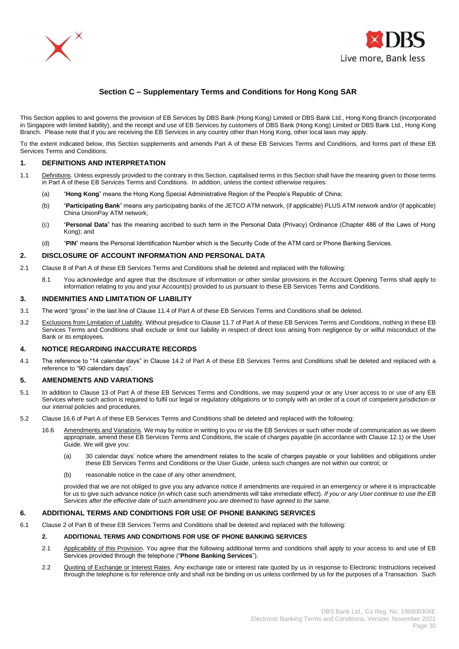



# **Section C – Supplementary Terms and Conditions for Hong Kong SAR**

This Section applies to and governs the provision of EB Services by DBS Bank (Hong Kong) Limited or DBS Bank Ltd., Hong Kong Branch (incorporated in Singapore with limited liability), and the receipt and use of EB Services by customers of DBS Bank (Hong Kong) Limited or DBS Bank Ltd., Hong Kong Branch. Please note that if you are receiving the EB Services in any country other than Hong Kong, other local laws may apply.

To the extent indicated below, this Section supplements and amends Part A of these EB Services Terms and Conditions, and forms part of these EB Services Terms and Conditions.

# **1. DEFINITIONS AND INTERPRETATION**

- 1.1 Definitions. Unless expressly provided to the contrary in this Section, capitalised terms in this Section shall have the meaning given to those terms in Part A of these EB Services Terms and Conditions. In addition, unless the context otherwise requires:
	- (a) "**Hong Kong**" means the Hong Kong Special Administrative Region of the People's Republic of China;
	- (b) "**Participating Bank**" means any participating banks of the JETCO ATM network, (if applicable) PLUS ATM network and/or (if applicable) China UnionPay ATM network;
	- (c) "**Personal Data**" has the meaning ascribed to such term in the Personal Data (Privacy) Ordinance (Chapter 486 of the Laws of Hong Kong); and
	- (d) "**PIN**" means the Personal Identification Number which is the Security Code of the ATM card or Phone Banking Services.

#### **2. DISCLOSURE OF ACCOUNT INFORMATION AND PERSONAL DATA**

- 2.1 Clause 8 of Part A of these EB Services Terms and Conditions shall be deleted and replaced with the following:
	- 8.1 You acknowledge and agree that the disclosure of information or other similar provisions in the Account Opening Terms shall apply to information relating to you and your Account(s) provided to us pursuant to these EB Services Terms and Conditions.

## **3. INDEMNITIES AND LIMITATION OF LIABILITY**

- 3.1 The word "gross" in the last line of Clause 11.4 of Part A of these EB Services Terms and Conditions shall be deleted.
- 3.2 Exclusions from Limitation of Liability. Without prejudice to Clause 11.7 of Part A of these EB Services Terms and Conditions, nothing in these EB Services Terms and Conditions shall exclude or limit our liability in respect of direct loss arising from negligence by or wilful misconduct of the Bank or its employees.

# **4. NOTICE REGARDING INACCURATE RECORDS**

4.1 The reference to "14 calendar days" in Clause 14.2 of Part A of these EB Services Terms and Conditions shall be deleted and replaced with a reference to "90 calendars days".

#### **5. AMENDMENTS AND VARIATIONS**

- 5.1 In addition to Clause 13 of Part A of these EB Services Terms and Conditions, we may suspend your or any User access to or use of any EB Services where such action is required to fulfil our legal or regulatory obligations or to comply with an order of a court of competent jurisdiction or our internal policies and procedures.
- 5.2 Clause 16.6 of Part A of these EB Services Terms and Conditions shall be deleted and replaced with the following:
	- 16.6 Amendments and Variations. We may by notice in writing to you or via the EB Services or such other mode of communication as we deem appropriate, amend these EB Services Terms and Conditions, the scale of charges payable (in accordance with Clause 12.1) or the User Guide. We will give you:
		- (a) 30 calendar days' notice where the amendment relates to the scale of charges payable or your liabilities and obligations under these EB Services Terms and Conditions or the User Guide, unless such changes are not within our control; or
		- (b) reasonable notice in the case of any other amendment,

provided that we are not obliged to give you any advance notice if amendments are required in an emergency or where it is impracticable for us to give such advance notice (in which case such amendments will take immediate effect). *If you or any User continue to use the EB Services after the effective date of such amendment you are deemed to have agreed to the same.*

#### **6. ADDITIONAL TERMS AND CONDITIONS FOR USE OF PHONE BANKING SERVICES**

6.1 Clause 2 of Part B of these EB Services Terms and Conditions shall be deleted and replaced with the following:

# **2. ADDITIONAL TERMS AND CONDITIONS FOR USE OF PHONE BANKING SERVICES**

- 2.1 Applicability of this Provision. You agree that the following additional terms and conditions shall apply to your access to and use of EB Services provided through the telephone ("**Phone Banking Services**").
- 2.2 Quoting of Exchange or Interest Rates. Any exchange rate or interest rate quoted by us in response to Electronic Instructions received through the telephone is for reference only and shall not be binding on us unless confirmed by us for the purposes of a Transaction. Such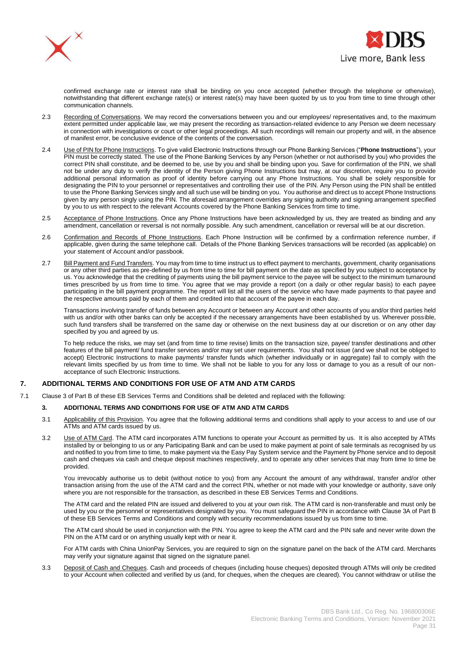



confirmed exchange rate or interest rate shall be binding on you once accepted (whether through the telephone or otherwise), notwithstanding that different exchange rate(s) or interest rate(s) may have been quoted by us to you from time to time through other communication channels.

- 2.3 Recording of Conversations. We may record the conversations between you and our employees/ representatives and, to the maximum extent permitted under applicable law, we may present the recording as transaction-related evidence to any Person we deem necessary in connection with investigations or court or other legal proceedings. All such recordings will remain our property and will, in the absence of manifest error, be conclusive evidence of the contents of the conversation.
- 2.4 Use of PIN for Phone Instructions. To give valid Electronic Instructions through our Phone Banking Services ("**Phone Instructions**"), your PIN must be correctly stated. The use of the Phone Banking Services by any Person (whether or not authorised by you) who provides the correct PIN shall constitute, and be deemed to be, use by you and shall be binding upon you. Save for confirmation of the PIN, we shall not be under any duty to verify the identity of the Person giving Phone Instructions but may, at our discretion, require you to provide additional personal information as proof of identity before carrying out any Phone Instructions. You shall be solely responsible for designating the PIN to your personnel or representatives and controlling their use of the PIN. Any Person using the PIN shall be entitled to use the Phone Banking Services singly and all such use will be binding on you. You authorise and direct us to accept Phone Instructions given by any person singly using the PIN. The aforesaid arrangement overrides any signing authority and signing arrangement specified by you to us with respect to the relevant Accounts covered by the Phone Banking Services from time to time.
- 2.5 Acceptance of Phone Instructions. Once any Phone Instructions have been acknowledged by us, they are treated as binding and any amendment, cancellation or reversal is not normally possible. Any such amendment, cancellation or reversal will be at our discretion.
- 2.6 Confirmation and Records of Phone Instructions. Each Phone Instruction will be confirmed by a confirmation reference number, if applicable, given during the same telephone call. Details of the Phone Banking Services transactions will be recorded (as applicable) on your statement of Account and/or passbook.
- 2.7 Bill Payment and Fund Transfers. You may from time to time instruct us to effect payment to merchants, government, charity organisations or any other third parties as pre-defined by us from time to time for bill payment on the date as specified by you subject to acceptance by us. You acknowledge that the crediting of payments using the bill payment service to the payee will be subject to the minimum turnaround times prescribed by us from time to time. You agree that we may provide a report (on a daily or other regular basis) to each payee participating in the bill payment programme. The report will list all the users of the service who have made payments to that payee and the respective amounts paid by each of them and credited into that account of the payee in each day.

Transactions involving transfer of funds between any Account or between any Account and other accounts of you and/or third parties held with us and/or with other banks can only be accepted if the necessary arrangements have been established by us. Wherever possible, such fund transfers shall be transferred on the same day or otherwise on the next business day at our discretion or on any other day specified by you and agreed by us.

To help reduce the risks, we may set (and from time to time revise) limits on the transaction size, payee/ transfer destinations and other features of the bill payment/ fund transfer services and/or may set user requirements. You shall not issue (and we shall not be obliged to accept) Electronic Instructions to make payments/ transfer funds which (whether individually or in aggregate) fail to comply with the relevant limits specified by us from time to time. We shall not be liable to you for any loss or damage to you as a result of our nonacceptance of such Electronic Instructions.

# **7. ADDITIONAL TERMS AND CONDITIONS FOR USE OF ATM AND ATM CARDS**

7.1 Clause 3 of Part B of these EB Services Terms and Conditions shall be deleted and replaced with the following:

# **3. ADDITIONAL TERMS AND CONDITIONS FOR USE OF ATM AND ATM CARDS**

- 3.1 Applicability of this Provision. You agree that the following additional terms and conditions shall apply to your access to and use of our ATMs and ATM cards issued by us.
- 3.2 Use of ATM Card. The ATM card incorporates ATM functions to operate your Account as permitted by us. It is also accepted by ATMs installed by or belonging to us or any Participating Bank and can be used to make payment at point of sale terminals as recognised by us and notified to you from time to time, to make payment via the Easy Pay System service and the Payment by Phone service and to deposit cash and cheques via cash and cheque deposit machines respectively, and to operate any other services that may from time to time be provided.

You irrevocably authorise us to debit (without notice to you) from any Account the amount of any withdrawal, transfer and/or other transaction arising from the use of the ATM card and the correct PIN, whether or not made with your knowledge or authority, save only where you are not responsible for the transaction, as described in these EB Services Terms and Conditions.

The ATM card and the related PIN are issued and delivered to you at your own risk. The ATM card is non-transferable and must only be used by you or the personnel or representatives designated by you. You must safeguard the PIN in accordance with Clause 3A of Part B of these EB Services Terms and Conditions and comply with security recommendations issued by us from time to time.

The ATM card should be used in conjunction with the PIN. You agree to keep the ATM card and the PIN safe and never write down the PIN on the ATM card or on anything usually kept with or near it.

For ATM cards with China UnionPay Services, you are required to sign on the signature panel on the back of the ATM card. Merchants may verify your signature against that signed on the signature panel.

3.3 Deposit of Cash and Cheques. Cash and proceeds of cheques (including house cheques) deposited through ATMs will only be credited to your Account when collected and verified by us (and, for cheques, when the cheques are cleared). You cannot withdraw or utilise the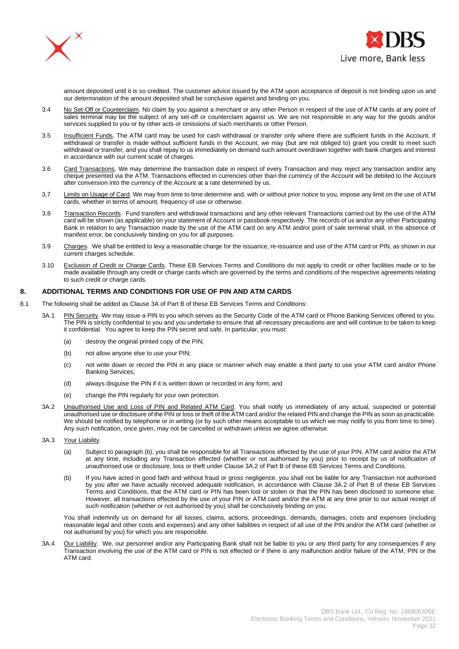



amount deposited until it is so credited. The customer advice issued by the ATM upon acceptance of deposit is not binding upon us and our determination of the amount deposited shall be conclusive against and binding on you.

- 3.4 No Set-Off or Counterclaim. No claim by you against a merchant or any other Person in respect of the use of ATM cards at any point of sales terminal may be the subject of any set-off or counterclaim against us. We are not responsible in any way for the goods and/or services supplied to you or by other acts or omissions of such merchants or other Person.
- 3.5 Insufficient Funds. The ATM card may be used for cash withdrawal or transfer only where there are sufficient funds in the Account. If withdrawal or transfer is made without sufficient funds in the Account, we may (but are not obliged to) grant you credit to meet such withdrawal or transfer, and you shall repay to us immediately on demand such amount overdrawn together with bank charges and interest in accordance with our current scale of charges.
- 3.6 Card Transactions. We may determine the transaction date in respect of every Transaction and may reject any transaction and/or any cheque presented via the ATM. Transactions effected in currencies other than the currency of the Account will be debited to the Account after conversion into the currency of the Account at a rate determined by us.
- 3.7 Limits on Usage of Card. We may from time to time determine and, with or without prior notice to you, impose any limit on the use of ATM cards, whether in terms of amount, frequency of use or otherwise.
- 3.8 Transaction Records. Fund transfers and withdrawal transactions and any other relevant Transactions carried out by the use of the ATM card will be shown (as applicable) on your statement of Account or passbook respectively. The records of us and/or any other Participating Bank in relation to any Transaction made by the use of the ATM card on any ATM and/or point of sale terminal shall, in the absence of manifest error, be conclusively binding on you for all purposes.
- 3.9 Charges. We shall be entitled to levy a reasonable charge for the issuance, re-issuance and use of the ATM card or PIN, as shown in our current charges schedule.
- 3.10 Exclusion of Credit or Charge Cards. These EB Services Terms and Conditions do not apply to credit or other facilities made or to be made available through any credit or charge cards which are governed by the terms and conditions of the respective agreements relating to such credit or charge cards.

# **8. ADDITIONAL TERMS AND CONDITIONS FOR USE OF PIN AND ATM CARDS**

- 8.1 The following shall be added as Clause 3A of Part B of these EB Services Terms and Conditions:
	- 3A.1 PIN Security. We may issue a PIN to you which serves as the Security Code of the ATM card or Phone Banking Services offered to you. The PIN is strictly confidential to you and you undertake to ensure that all necessary precautions are and will continue to be taken to keep it confidential. You agree to keep the PIN secret and safe. In particular, you must:
		- (a) destroy the original printed copy of the PIN;
		- (b) not allow anyone else to use your PIN;
		- (c) not write down or record the PIN in any place or manner which may enable a third party to use your ATM card and/or Phone Banking Services;
		- (d) always disguise the PIN if it is written down or recorded in any form; and
		- (e) change the PIN regularly for your own protection.
	- 3A.2 Unauthorised Use and Loss of PIN and Related ATM Card. You shall notify us immediately of any actual, suspected or potential unauthorised use or disclosure of the PIN or loss or theft of the ATM card and/or the related PIN and change the PIN as soon as practicable. We should be notified by telephone or in writing (or by such other means acceptable to us which we may notify to you from time to time). Any such notification, once given, may not be cancelled or withdrawn unless we agree otherwise.
	- 3A.3 Your Liability.
		- (a) Subject to paragraph (b), you shall be responsible for all Transactions effected by the use of your PIN, ATM card and/or the ATM at any time, including any Transaction effected (whether or not authorised by you) prior to receipt by us of notification of unauthorised use or disclosure, loss or theft under Clause 3A.2 of Part B of these EB Services Terms and Conditions.
		- (b) If you have acted in good faith and without fraud or gross negligence, you shall not be liable for any Transaction not authorised by you after we have actually received adequate notification, in accordance with Clause 3A.2 of Part B of these EB Services Terms and Conditions, that the ATM card or PIN has been lost or stolen or that the PIN has been disclosed to someone else. However, all transactions effected by the use of your PIN or ATM card and/or the ATM at any time prior to our actual receipt of such notification (whether or not authorised by you) shall be conclusively binding on you.

You shall indemnify us on demand for all losses, claims, actions, proceedings, demands, damages, costs and expenses (including reasonable legal and other costs and expenses) and any other liabilities in respect of all use of the PIN and/or the ATM card (whether or not authorised by you) for which you are responsible.

3A.4 Our Liability. We, our personnel and/or any Participating Bank shall not be liable to you or any third party for any consequences if any Transaction involving the use of the ATM card or PIN is not effected or if there is any malfunction and/or failure of the ATM, PIN or the ATM card.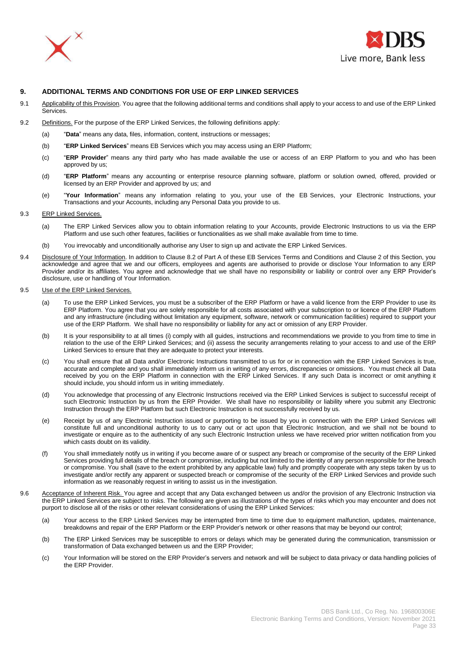



# **9. ADDITIONAL TERMS AND CONDITIONS FOR USE OF ERP LINKED SERVICES**

- 9.1 Applicability of this Provision. You agree that the following additional terms and conditions shall apply to your access to and use of the ERP Linked **Services**
- 9.2 Definitions. For the purpose of the ERP Linked Services, the following definitions apply:
	- (a) "**Data**" means any data, files, information, content, instructions or messages;
	- (b) "**ERP Linked Services**" means EB Services which you may access using an ERP Platform;
	- (c) "**ERP Provider**" means any third party who has made available the use or access of an ERP Platform to you and who has been approved by us;
	- (d) "**ERP Platform**" means any accounting or enterprise resource planning software, platform or solution owned, offered, provided or licensed by an ERP Provider and approved by us; and
	- (e) "**Your Information**" means any information relating to you, your use of the EB Services, your Electronic Instructions, your Transactions and your Accounts, including any Personal Data you provide to us.

# 9.3 ERP Linked Services.

- (a) The ERP Linked Services allow you to obtain information relating to your Accounts, provide Electronic Instructions to us via the ERP Platform and use such other features, facilities or functionalities as we shall make available from time to time.
- (b) You irrevocably and unconditionally authorise any User to sign up and activate the ERP Linked Services.
- 9.4 Disclosure of Your Information. In addition to Clause 8.2 of Part A of these EB Services Terms and Conditions and Clause 2 of this Section, you acknowledge and agree that we and our officers, employees and agents are authorised to provide or disclose Your Information to any ERP Provider and/or its affiliates. You agree and acknowledge that we shall have no responsibility or liability or control over any ERP Provider's disclosure, use or handling of Your Information.
- 9.5 Use of the ERP Linked Services.
	- (a) To use the ERP Linked Services, you must be a subscriber of the ERP Platform or have a valid licence from the ERP Provider to use its ERP Platform. You agree that you are solely responsible for all costs associated with your subscription to or licence of the ERP Platform and any infrastructure (including without limitation any equipment, software, network or communication facilities) required to support your use of the ERP Platform. We shall have no responsibility or liability for any act or omission of any ERP Provider.
	- (b) It is your responsibility to at all times (i) comply with all guides, instructions and recommendations we provide to you from time to time in relation to the use of the ERP Linked Services; and (ii) assess the security arrangements relating to your access to and use of the ERP Linked Services to ensure that they are adequate to protect your interests.
	- (c) You shall ensure that all Data and/or Electronic Instructions transmitted to us for or in connection with the ERP Linked Services is true, accurate and complete and you shall immediately inform us in writing of any errors, discrepancies or omissions. You must check all Data received by you on the ERP Platform in connection with the ERP Linked Services. If any such Data is incorrect or omit anything it should include, you should inform us in writing immediately.
	- (d) You acknowledge that processing of any Electronic Instructions received via the ERP Linked Services is subject to successful receipt of such Electronic Instruction by us from the ERP Provider. We shall have no responsibility or liability where you submit any Electronic Instruction through the ERP Platform but such Electronic Instruction is not successfully received by us.
	- (e) Receipt by us of any Electronic Instruction issued or purporting to be issued by you in connection with the ERP Linked Services will constitute full and unconditional authority to us to carry out or act upon that Electronic Instruction, and we shall not be bound to investigate or enquire as to the authenticity of any such Electronic Instruction unless we have received prior written notification from you which casts doubt on its validity.
	- (f) You shall immediately notify us in writing if you become aware of or suspect any breach or compromise of the security of the ERP Linked Services providing full details of the breach or compromise, including but not limited to the identity of any person responsible for the breach or compromise. You shall (save to the extent prohibited by any applicable law) fully and promptly cooperate with any steps taken by us to investigate and/or rectify any apparent or suspected breach or compromise of the security of the ERP Linked Services and provide such information as we reasonably request in writing to assist us in the investigation.
- 9.6 Acceptance of Inherent Risk. You agree and accept that any Data exchanged between us and/or the provision of any Electronic Instruction via the ERP Linked Services are subject to risks. The following are given as illustrations of the types of risks which you may encounter and does not purport to disclose all of the risks or other relevant considerations of using the ERP Linked Services:
	- (a) Your access to the ERP Linked Services may be interrupted from time to time due to equipment malfunction, updates, maintenance, breakdowns and repair of the ERP Platform or the ERP Provider's network or other reasons that may be beyond our control;
	- (b) The ERP Linked Services may be susceptible to errors or delays which may be generated during the communication, transmission or transformation of Data exchanged between us and the ERP Provider;
	- (c) Your Information will be stored on the ERP Provider's servers and network and will be subject to data privacy or data handling policies of the ERP Provider.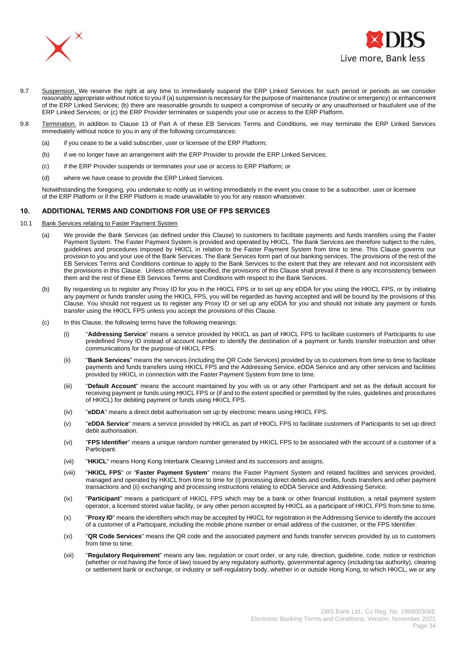



- 9.7 Suspension. We reserve the right at any time to immediately suspend the ERP Linked Services for such period or periods as we consider reasonably appropriate without notice to you if (a) suspension is necessary for the purpose of maintenance (routine or emergency) or enhancement of the ERP Linked Services; (b) there are reasonable grounds to suspect a compromise of security or any unauthorised or fraudulent use of the ERP Linked Services; or (c) the ERP Provider terminates or suspends your use or access to the ERP Platform.
- 9.8 Termination. In addition to Clause 13 of Part A of these EB Services Terms and Conditions, we may terminate the ERP Linked Services immediately without notice to you in any of the following circumstances:
	- (a) if you cease to be a valid subscriber, user or licensee of the ERP Platform;
	- (b) if we no longer have an arrangement with the ERP Provider to provide the ERP Linked Services;
	- (c) if the ERP Provider suspends or terminates your use or access to ERP Platform; or
	- (d) where we have cease to provide the ERP Linked Services.

Notwithstanding the foregoing, you undertake to notify us in writing immediately in the event you cease to be a subscriber, user or licensee of the ERP Platform or if the ERP Platform is made unavailable to you for any reason whatsoever.

# **10. ADDITIONAL TERMS AND CONDITIONS FOR USE OF FPS SERVICES**

#### 10.1 Bank Services relating to Faster Payment System

- (a) We provide the Bank Services (as defined under this Clause) to customers to facilitate payments and funds transfers using the Faster Payment System. The Faster Payment System is provided and operated by HKICL. The Bank Services are therefore subject to the rules, guidelines and procedures imposed by HKICL in relation to the Faster Payment System from time to time. This Clause governs our provision to you and your use of the Bank Services. The Bank Services form part of our banking services. The provisions of the rest of the EB Services Terms and Conditions continue to apply to the Bank Services to the extent that they are relevant and not inconsistent with the provisions in this Clause. Unless otherwise specified, the provisions of this Clause shall prevail if there is any inconsistency between them and the rest of these EB Services Terms and Conditions with respect to the Bank Services.
- (b) By requesting us to register any Proxy ID for you in the HKICL FPS or to set up any eDDA for you using the HKICL FPS, or by initiating any payment or funds transfer using the HKICL FPS, you will be regarded as having accepted and will be bound by the provisions of this Clause. You should not request us to register any Proxy ID or set up any eDDA for you and should not initiate any payment or funds transfer using the HKICL FPS unless you accept the provisions of this Clause.
- (c) In this Clause, the following terms have the following meanings:
	- (i) "**Addressing Service**" means a service provided by HKICL as part of HKICL FPS to facilitate customers of Participants to use predefined Proxy ID instead of account number to identify the destination of a payment or funds transfer instruction and other communications for the purpose of HKICL FPS.
	- (ii) "**Bank Services**" means the services (including the QR Code Services) provided by us to customers from time to time to facilitate payments and funds transfers using HKICL FPS and the Addressing Service, eDDA Service and any other services and facilities provided by HKICL in connection with the Faster Payment System from time to time.
	- (iii) "**Default Account**" means the account maintained by you with us or any other Participant and set as the default account for receiving payment or funds using HKICL FPS or (if and to the extent specified or permitted by the rules, guidelines and procedures of HKICL) for debiting payment or funds using HKICL FPS.
	- (iv) "**eDDA**" means a direct debit authorisation set up by electronic means using HKICL FPS.
	- (v) "**eDDA Service**" means a service provided by HKICL as part of HKICL FPS to facilitate customers of Participants to set up direct debit authorisation.
	- (vi) "**FPS Identifier**" means a unique random number generated by HKICL FPS to be associated with the account of a customer of a Participant.
	- (vii) "**HKICL**" means Hong Kong Interbank Clearing Limited and its successors and assigns.
	- (viii) "**HKICL FPS**" or "**Faster Payment System**" means the Faster Payment System and related facilities and services provided, managed and operated by HKICL from time to time for (i) processing direct debits and credits, funds transfers and other payment transactions and (ii) exchanging and processing instructions relating to eDDA Service and Addressing Service.
	- (ix) "**Participant**" means a participant of HKICL FPS which may be a bank or other financial institution, a retail payment system operator, a licensed stored value facility, or any other person accepted by HKICL as a participant of HKICL FPS from time to time.
	- (x) "**Proxy ID**" means the identifiers which may be accepted by HKICL for registration in the Addressing Service to identify the account of a customer of a Participant, including the mobile phone number or email address of the customer, or the FPS Identifier.
	- (xi) "**QR Code Services**" means the QR code and the associated payment and funds transfer services provided by us to customers from time to time.
	- (xii) "**Regulatory Requirement**" means any law, regulation or court order, or any rule, direction, guideline, code, notice or restriction (whether or not having the force of law) issued by any regulatory authority, governmental agency (including tax authority), clearing or settlement bank or exchange, or industry or self-regulatory body, whether in or outside Hong Kong, to which HKICL, we or any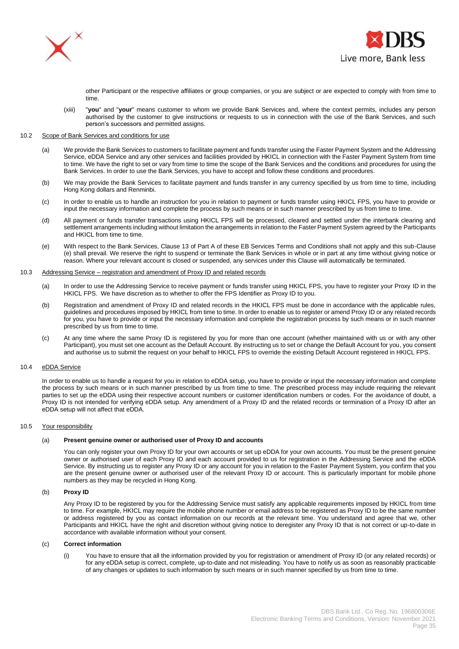



other Participant or the respective affiliates or group companies, or you are subject or are expected to comply with from time to time.

(xiii) "**you**" and "**your**" means customer to whom we provide Bank Services and, where the context permits, includes any person authorised by the customer to give instructions or requests to us in connection with the use of the Bank Services, and such person's successors and permitted assigns.

#### 10.2 Scope of Bank Services and conditions for use

- (a) We provide the Bank Services to customers to facilitate payment and funds transfer using the Faster Payment System and the Addressing Service, eDDA Service and any other services and facilities provided by HKICL in connection with the Faster Payment System from time to time. We have the right to set or vary from time to time the scope of the Bank Services and the conditions and procedures for using the Bank Services. In order to use the Bank Services, you have to accept and follow these conditions and procedures.
- (b) We may provide the Bank Services to facilitate payment and funds transfer in any currency specified by us from time to time, including Hong Kong dollars and Renminbi.
- (c) In order to enable us to handle an instruction for you in relation to payment or funds transfer using HKICL FPS, you have to provide or input the necessary information and complete the process by such means or in such manner prescribed by us from time to time.
- (d) All payment or funds transfer transactions using HKICL FPS will be processed, cleared and settled under the interbank clearing and settlement arrangements including without limitation the arrangements in relation to the Faster Payment System agreed by the Participants and HKICL from time to time.
- (e) With respect to the Bank Services, Clause 13 of Part A of these EB Services Terms and Conditions shall not apply and this sub-Clause (e) shall prevail. We reserve the right to suspend or terminate the Bank Services in whole or in part at any time without giving notice or reason. Where your relevant account is closed or suspended, any services under this Clause will automatically be terminated.
- 10.3 Addressing Service registration and amendment of Proxy ID and related records
	- (a) In order to use the Addressing Service to receive payment or funds transfer using HKICL FPS, you have to register your Proxy ID in the HKICL FPS. We have discretion as to whether to offer the FPS Identifier as Proxy ID to you.
	- (b) Registration and amendment of Proxy ID and related records in the HKICL FPS must be done in accordance with the applicable rules, guidelines and procedures imposed by HKICL from time to time. In order to enable us to register or amend Proxy ID or any related records for you, you have to provide or input the necessary information and complete the registration process by such means or in such manner prescribed by us from time to time.
	- (c) At any time where the same Proxy ID is registered by you for more than one account (whether maintained with us or with any other Participant), you must set one account as the Default Account. By instructing us to set or change the Default Account for you, you consent and authorise us to submit the request on your behalf to HKICL FPS to override the existing Default Account registered in HKICL FPS.

#### 10.4 eDDA Service

In order to enable us to handle a request for you in relation to eDDA setup, you have to provide or input the necessary information and complete the process by such means or in such manner prescribed by us from time to time. The prescribed process may include requiring the relevant parties to set up the eDDA using their respective account numbers or customer identification numbers or codes. For the avoidance of doubt, a Proxy ID is not intended for verifying eDDA setup. Any amendment of a Proxy ID and the related records or termination of a Proxy ID after an eDDA setup will not affect that eDDA.

# 10.5 Your responsibility

#### (a) **Present genuine owner or authorised user of Proxy ID and accounts**

You can only register your own Proxy ID for your own accounts or set up eDDA for your own accounts. You must be the present genuine owner or authorised user of each Proxy ID and each account provided to us for registration in the Addressing Service and the eDDA Service. By instructing us to register any Proxy ID or any account for you in relation to the Faster Payment System, you confirm that you are the present genuine owner or authorised user of the relevant Proxy ID or account. This is particularly important for mobile phone numbers as they may be recycled in Hong Kong.

# (b) **Proxy ID**

Any Proxy ID to be registered by you for the Addressing Service must satisfy any applicable requirements imposed by HKICL from time to time. For example, HKICL may require the mobile phone number or email address to be registered as Proxy ID to be the same number or address registered by you as contact information on our records at the relevant time. You understand and agree that we, other Participants and HKICL have the right and discretion without giving notice to deregister any Proxy ID that is not correct or up-to-date in accordance with available information without your consent.

# (c) **Correct information**

(i) You have to ensure that all the information provided by you for registration or amendment of Proxy ID (or any related records) or for any eDDA setup is correct, complete, up-to-date and not misleading. You have to notify us as soon as reasonably practicable of any changes or updates to such information by such means or in such manner specified by us from time to time.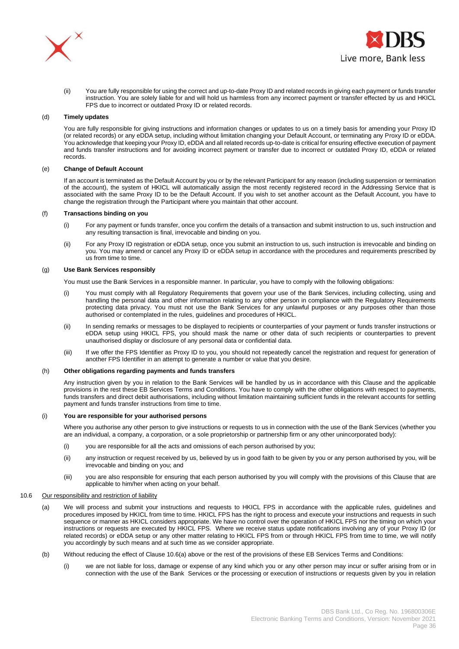



(ii) You are fully responsible for using the correct and up-to-date Proxy ID and related records in giving each payment or funds transfer instruction. You are solely liable for and will hold us harmless from any incorrect payment or transfer effected by us and HKICL FPS due to incorrect or outdated Proxy ID or related records.

# (d) **Timely updates**

You are fully responsible for giving instructions and information changes or updates to us on a timely basis for amending your Proxy ID (or related records) or any eDDA setup, including without limitation changing your Default Account, or terminating any Proxy ID or eDDA. You acknowledge that keeping your Proxy ID, eDDA and all related records up-to-date is critical for ensuring effective execution of payment and funds transfer instructions and for avoiding incorrect payment or transfer due to incorrect or outdated Proxy ID, eDDA or related records.

#### (e) **Change of Default Account**

If an account is terminated as the Default Account by you or by the relevant Participant for any reason (including suspension or termination of the account), the system of HKICL will automatically assign the most recently registered record in the Addressing Service that is associated with the same Proxy ID to be the Default Account. If you wish to set another account as the Default Account, you have to change the registration through the Participant where you maintain that other account.

#### (f) **Transactions binding on you**

- (i) For any payment or funds transfer, once you confirm the details of a transaction and submit instruction to us, such instruction and any resulting transaction is final, irrevocable and binding on you.
- (ii) For any Proxy ID registration or eDDA setup, once you submit an instruction to us, such instruction is irrevocable and binding on you. You may amend or cancel any Proxy ID or eDDA setup in accordance with the procedures and requirements prescribed by us from time to time.

#### (g) **Use Bank Services responsibly**

You must use the Bank Services in a responsible manner. In particular, you have to comply with the following obligations:

- (i) You must comply with all Regulatory Requirements that govern your use of the Bank Services, including collecting, using and handling the personal data and other information relating to any other person in compliance with the Regulatory Requirements protecting data privacy. You must not use the Bank Services for any unlawful purposes or any purposes other than those authorised or contemplated in the rules, guidelines and procedures of HKICL.
- (ii) In sending remarks or messages to be displayed to recipients or counterparties of your payment or funds transfer instructions or eDDA setup using HKICL FPS, you should mask the name or other data of such recipients or counterparties to prevent unauthorised display or disclosure of any personal data or confidential data.
- (iii) If we offer the FPS Identifier as Proxy ID to you, you should not repeatedly cancel the registration and request for generation of another FPS Identifier in an attempt to generate a number or value that you desire.

#### (h) **Other obligations regarding payments and funds transfers**

Any instruction given by you in relation to the Bank Services will be handled by us in accordance with this Clause and the applicable provisions in the rest these EB Services Terms and Conditions. You have to comply with the other obligations with respect to payments, funds transfers and direct debit authorisations, including without limitation maintaining sufficient funds in the relevant accounts for settling payment and funds transfer instructions from time to time.

#### (i) **You are responsible for your authorised persons**

Where you authorise any other person to give instructions or requests to us in connection with the use of the Bank Services (whether you are an individual, a company, a corporation, or a sole proprietorship or partnership firm or any other unincorporated body):

- (i) you are responsible for all the acts and omissions of each person authorised by you;
- (ii) any instruction or request received by us, believed by us in good faith to be given by you or any person authorised by you, will be irrevocable and binding on you; and
- (iii) you are also responsible for ensuring that each person authorised by you will comply with the provisions of this Clause that are applicable to him/her when acting on your behalf.

#### 10.6 Our responsibility and restriction of liability

- (a) We will process and submit your instructions and requests to HKICL FPS in accordance with the applicable rules, guidelines and procedures imposed by HKICL from time to time. HKICL FPS has the right to process and execute your instructions and requests in such sequence or manner as HKICL considers appropriate. We have no control over the operation of HKICL FPS nor the timing on which your instructions or requests are executed by HKICL FPS. Where we receive status update notifications involving any of your Proxy ID (or related records) or eDDA setup or any other matter relating to HKICL FPS from or through HKICL FPS from time to time, we will notify you accordingly by such means and at such time as we consider appropriate.
- (b) Without reducing the effect of Clause 10.6(a) above or the rest of the provisions of these EB Services Terms and Conditions:
	- (i) we are not liable for loss, damage or expense of any kind which you or any other person may incur or suffer arising from or in connection with the use of the Bank Services or the processing or execution of instructions or requests given by you in relation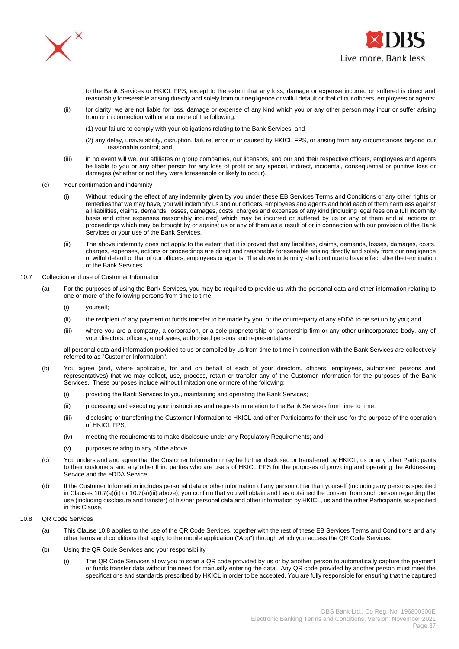



to the Bank Services or HKICL FPS, except to the extent that any loss, damage or expense incurred or suffered is direct and reasonably foreseeable arising directly and solely from our negligence or wilful default or that of our officers, employees or agents;

- (ii) for clarity, we are not liable for loss, damage or expense of any kind which you or any other person may incur or suffer arising from or in connection with one or more of the following:
	- (1) your failure to comply with your obligations relating to the Bank Services; and
	- (2) any delay, unavailability, disruption, failure, error of or caused by HKICL FPS, or arising from any circumstances beyond our reasonable control; and
- (iii) in no event will we, our affiliates or group companies, our licensors, and our and their respective officers, employees and agents be liable to you or any other person for any loss of profit or any special, indirect, incidental, consequential or punitive loss or damages (whether or not they were foreseeable or likely to occur).
- (c) Your confirmation and indemnity
	- (i) Without reducing the effect of any indemnity given by you under these EB Services Terms and Conditions or any other rights or remedies that we may have, you will indemnify us and our officers, employees and agents and hold each of them harmless against all liabilities, claims, demands, losses, damages, costs, charges and expenses of any kind (including legal fees on a full indemnity basis and other expenses reasonably incurred) which may be incurred or suffered by us or any of them and all actions or proceedings which may be brought by or against us or any of them as a result of or in connection with our provision of the Bank Services or your use of the Bank Services.
	- (ii) The above indemnity does not apply to the extent that it is proved that any liabilities, claims, demands, losses, damages, costs, charges, expenses, actions or proceedings are direct and reasonably foreseeable arising directly and solely from our negligence or wilful default or that of our officers, employees or agents. The above indemnity shall continue to have effect after the termination of the Bank Services.

### 10.7 Collection and use of Customer Information

- (a) For the purposes of using the Bank Services, you may be required to provide us with the personal data and other information relating to one or more of the following persons from time to time:
	- (i) yourself;
	- (ii) the recipient of any payment or funds transfer to be made by you, or the counterparty of any eDDA to be set up by you; and
	- (iii) where you are a company, a corporation, or a sole proprietorship or partnership firm or any other unincorporated body, any of your directors, officers, employees, authorised persons and representatives,

all personal data and information provided to us or compiled by us from time to time in connection with the Bank Services are collectively referred to as "Customer Information".

- (b) You agree (and, where applicable, for and on behalf of each of your directors, officers, employees, authorised persons and representatives) that we may collect, use, process, retain or transfer any of the Customer Information for the purposes of the Bank Services. These purposes include without limitation one or more of the following:
	- (i) providing the Bank Services to you, maintaining and operating the Bank Services;
	- (ii) processing and executing your instructions and requests in relation to the Bank Services from time to time;
	- (iii) disclosing or transferring the Customer Information to HKICL and other Participants for their use for the purpose of the operation of HKICL FPS;
	- (iv) meeting the requirements to make disclosure under any Regulatory Requirements; and
	- (v) purposes relating to any of the above.
- (c) You understand and agree that the Customer Information may be further disclosed or transferred by HKICL, us or any other Participants to their customers and any other third parties who are users of HKICL FPS for the purposes of providing and operating the Addressing Service and the eDDA Service.
- (d) If the Customer Information includes personal data or other information of any person other than yourself (including any persons specified in Clauses 10.7(a)(ii) or 10.7(a)(iii) above), you confirm that you will obtain and has obtained the consent from such person regarding the use (including disclosure and transfer) of his/her personal data and other information by HKICL, us and the other Participants as specified in this Clause.

## 10.8 QR Code Services

- (a) This Clause 10.8 applies to the use of the QR Code Services, together with the rest of these EB Services Terms and Conditions and any other terms and conditions that apply to the mobile application ("App") through which you access the QR Code Services.
- (b) Using the QR Code Services and your responsibility
	- (i) The QR Code Services allow you to scan a QR code provided by us or by another person to automatically capture the payment or funds transfer data without the need for manually entering the data. Any QR code provided by another person must meet the specifications and standards prescribed by HKICL in order to be accepted. You are fully responsible for ensuring that the captured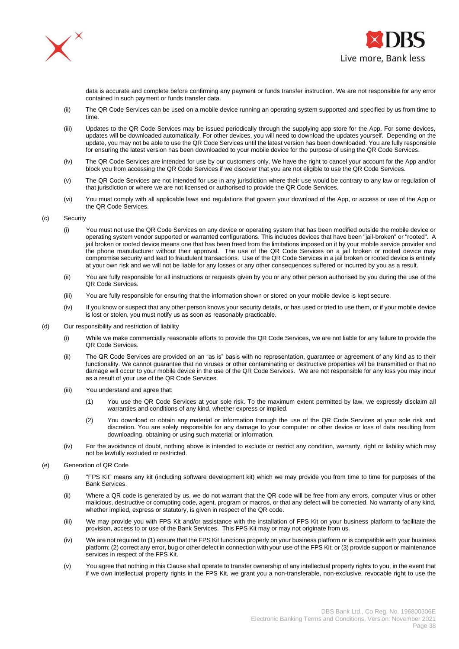



data is accurate and complete before confirming any payment or funds transfer instruction. We are not responsible for any error contained in such payment or funds transfer data.

- (ii) The QR Code Services can be used on a mobile device running an operating system supported and specified by us from time to time.
- (iii) Updates to the QR Code Services may be issued periodically through the supplying app store for the App. For some devices, updates will be downloaded automatically. For other devices, you will need to download the updates yourself. Depending on the update, you may not be able to use the QR Code Services until the latest version has been downloaded. You are fully responsible for ensuring the latest version has been downloaded to your mobile device for the purpose of using the QR Code Services.
- (iv) The QR Code Services are intended for use by our customers only. We have the right to cancel your account for the App and/or block you from accessing the QR Code Services if we discover that you are not eligible to use the QR Code Services.
- (v) The QR Code Services are not intended for use in any jurisdiction where their use would be contrary to any law or regulation of that jurisdiction or where we are not licensed or authorised to provide the QR Code Services.
- (vi) You must comply with all applicable laws and regulations that govern your download of the App, or access or use of the App or the QR Code Services.

### (c) Security

- (i) You must not use the QR Code Services on any device or operating system that has been modified outside the mobile device or operating system vendor supported or warranted configurations. This includes devices that have been "jail-broken" or "rooted". A jail broken or rooted device means one that has been freed from the limitations imposed on it by your mobile service provider and the phone manufacturer without their approval. The use of the QR Code Services on a jail broken or rooted device may compromise security and lead to fraudulent transactions. Use of the QR Code Services in a jail broken or rooted device is entirely at your own risk and we will not be liable for any losses or any other consequences suffered or incurred by you as a result.
- (ii) You are fully responsible for all instructions or requests given by you or any other person authorised by you during the use of the QR Code Services.
- (iii) You are fully responsible for ensuring that the information shown or stored on your mobile device is kept secure.
- (iv) If you know or suspect that any other person knows your security details, or has used or tried to use them, or if your mobile device is lost or stolen, you must notify us as soon as reasonably practicable.
- (d) Our responsibility and restriction of liability
	- (i) While we make commercially reasonable efforts to provide the QR Code Services, we are not liable for any failure to provide the QR Code Services.
	- (ii) The QR Code Services are provided on an "as is" basis with no representation, guarantee or agreement of any kind as to their functionality. We cannot quarantee that no viruses or other contaminating or destructive properties will be transmitted or that no damage will occur to your mobile device in the use of the QR Code Services. We are not responsible for any loss you may incur as a result of your use of the QR Code Services.
	- (iii) You understand and agree that:
		- (1) You use the QR Code Services at your sole risk. To the maximum extent permitted by law, we expressly disclaim all warranties and conditions of any kind, whether express or implied.
		- (2) You download or obtain any material or information through the use of the QR Code Services at your sole risk and discretion. You are solely responsible for any damage to your computer or other device or loss of data resulting from downloading, obtaining or using such material or information.
	- (iv) For the avoidance of doubt, nothing above is intended to exclude or restrict any condition, warranty, right or liability which may not be lawfully excluded or restricted.

### (e) Generation of QR Code

- (i) "FPS Kit" means any kit (including software development kit) which we may provide you from time to time for purposes of the Bank Services.
- (ii) Where a QR code is generated by us, we do not warrant that the QR code will be free from any errors, computer virus or other malicious, destructive or corrupting code, agent, program or macros, or that any defect will be corrected. No warranty of any kind, whether implied, express or statutory, is given in respect of the QR code.
- (iii) We may provide you with FPS Kit and/or assistance with the installation of FPS Kit on your business platform to facilitate the provision, access to or use of the Bank Services. This FPS Kit may or may not originate from us.
- (iv) We are not required to (1) ensure that the FPS Kit functions properly on your business platform or is compatible with your business platform; (2) correct any error, bug or other defect in connection with your use of the FPS Kit; or (3) provide support or maintenance services in respect of the FPS Kit.
- (v) You agree that nothing in this Clause shall operate to transfer ownership of any intellectual property rights to you, in the event that if we own intellectual property rights in the FPS Kit, we grant you a non-transferable, non-exclusive, revocable right to use the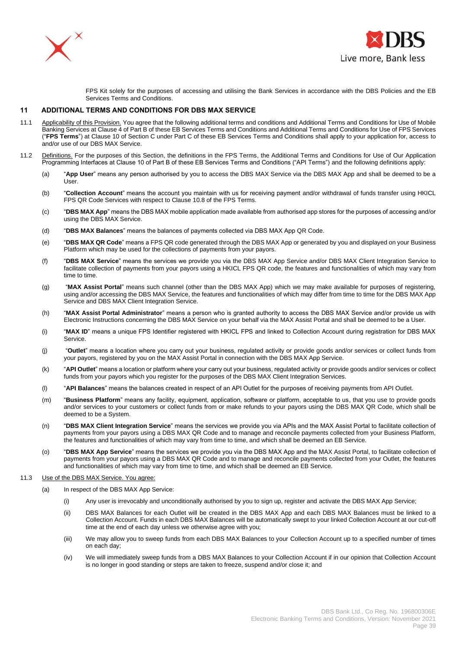



FPS Kit solely for the purposes of accessing and utilising the Bank Services in accordance with the DBS Policies and the EB Services Terms and Conditions.

## **11 ADDITIONAL TERMS AND CONDITIONS FOR DBS MAX SERVICE**

- 11.1 Applicability of this Provision. You agree that the following additional terms and conditions and Additional Terms and Conditions for Use of Mobile Banking Services at Clause 4 of Part B of these EB Services Terms and Conditions and Additional Terms and Conditions for Use of FPS Services ("**FPS Terms**") at Clause 10 of Section C under Part C of these EB Services Terms and Conditions shall apply to your application for, access to and/or use of our DBS MAX Service.
- 11.2 Definitions. For the purposes of this Section, the definitions in the FPS Terms, the Additional Terms and Conditions for Use of Our Application Programming Interfaces at Clause 10 of Part B of these EB Services Terms and Conditions ("API Terms") and the following definitions apply:
	- (a) "**App User**" means any person authorised by you to access the DBS MAX Service via the DBS MAX App and shall be deemed to be a User.
	- (b) "**Collection Account**" means the account you maintain with us for receiving payment and/or withdrawal of funds transfer using HKICL FPS QR Code Services with respect to Clause 10.8 of the FPS Terms.
	- (c) "**DBS MAX App**" means the DBS MAX mobile application made available from authorised app stores for the purposes of accessing and/or using the DBS MAX Service.
	- (d) "**DBS MAX Balances**" means the balances of payments collected via DBS MAX App QR Code.
	- (e) "**DBS MAX QR Code**" means a FPS QR code generated through the DBS MAX App or generated by you and displayed on your Business Platform which may be used for the collections of payments from your payors.
	- (f) "**DBS MAX Service**" means the services we provide you via the DBS MAX App Service and/or DBS MAX Client Integration Service to facilitate collection of payments from your payors using a HKICL FPS QR code, the features and functionalities of which may vary from time to time.
	- (g) "**MAX Assist Portal**" means such channel (other than the DBS MAX App) which we may make available for purposes of registering, using and/or accessing the DBS MAX Service, the features and functionalities of which may differ from time to time for the DBS MAX App Service and DBS MAX Client Integration Service.
	- (h) "**MAX Assist Portal Administrator**" means a person who is granted authority to access the DBS MAX Service and/or provide us with Electronic Instructions concerning the DBS MAX Service on your behalf via the MAX Assist Portal and shall be deemed to be a User.
	- (i) "**MAX ID**" means a unique FPS Identifier registered with HKICL FPS and linked to Collection Account during registration for DBS MAX Service.
	- (j) "**Outlet**" means a location where you carry out your business, regulated activity or provide goods and/or services or collect funds from your payors, registered by you on the MAX Assist Portal in connection with the DBS MAX App Service.
	- (k) "**API Outlet**" means a location or platform where your carry out your business, regulated activity or provide goods and/or services or collect funds from your payors which you register for the purposes of the DBS MAX Client Integration Services.
	- (l) "**API Balances**" means the balances created in respect of an API Outlet for the purposes of receiving payments from API Outlet.
	- (m) "**Business Platform**" means any facility, equipment, application, software or platform, acceptable to us, that you use to provide goods and/or services to your customers or collect funds from or make refunds to your payors using the DBS MAX QR Code, which shall be deemed to be a System.
	- (n) "**DBS MAX Client Integration Service**" means the services we provide you via APIs and the MAX Assist Portal to facilitate collection of payments from your payors using a DBS MAX QR Code and to manage and reconcile payments collected from your Business Platform, the features and functionalities of which may vary from time to time, and which shall be deemed an EB Service.
	- (o) "**DBS MAX App Service**" means the services we provide you via the DBS MAX App and the MAX Assist Portal, to facilitate collection of payments from your payors using a DBS MAX QR Code and to manage and reconcile payments collected from your Outlet, the features and functionalities of which may vary from time to time, and which shall be deemed an EB Service.

### 11.3 Use of the DBS MAX Service. You agree:

- (a) In respect of the DBS MAX App Service:
	- (i) Any user is irrevocably and unconditionally authorised by you to sign up, register and activate the DBS MAX App Service;
	- (ii) DBS MAX Balances for each Outlet will be created in the DBS MAX App and each DBS MAX Balances must be linked to a Collection Account. Funds in each DBS MAX Balances will be automatically swept to your linked Collection Account at our cut-off time at the end of each day unless we otherwise agree with you;
	- (iii) We may allow you to sweep funds from each DBS MAX Balances to your Collection Account up to a specified number of times on each day;
	- (iv) We will immediately sweep funds from a DBS MAX Balances to your Collection Account if in our opinion that Collection Account is no longer in good standing or steps are taken to freeze, suspend and/or close it; and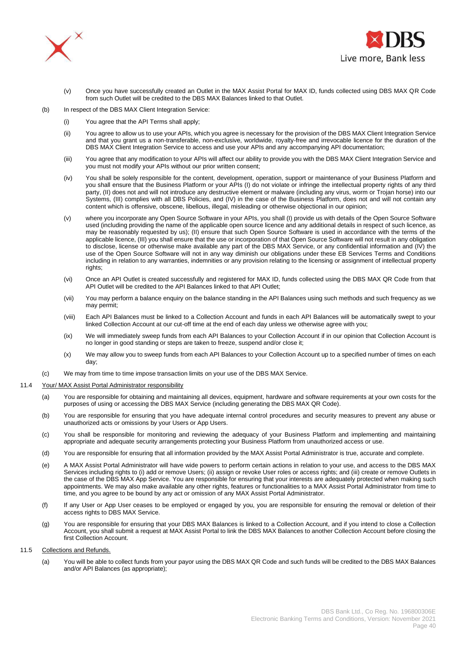



- (v) Once you have successfully created an Outlet in the MAX Assist Portal for MAX ID, funds collected using DBS MAX QR Code from such Outlet will be credited to the DBS MAX Balances linked to that Outlet.
- (b) In respect of the DBS MAX Client Integration Service:
	- (i) You agree that the API Terms shall apply;
	- (ii) You agree to allow us to use your APIs, which you agree is necessary for the provision of the DBS MAX Client Integration Service and that you grant us a non-transferable, non-exclusive, worldwide, royalty-free and irrevocable licence for the duration of the DBS MAX Client Integration Service to access and use your APIs and any accompanying API documentation;
	- (iii) You agree that any modification to your APIs will affect our ability to provide you with the DBS MAX Client Integration Service and you must not modify your APIs without our prior written consent;
	- (iv) You shall be solely responsible for the content, development, operation, support or maintenance of your Business Platform and you shall ensure that the Business Platform or your APIs (I) do not violate or infringe the intellectual property rights of any third party, (II) does not and will not introduce any destructive element or malware (including any virus, worm or Trojan horse) into our Systems, (III) complies with all DBS Policies, and (IV) in the case of the Business Platform, does not and will not contain any content which is offensive, obscene, libellous, illegal, misleading or otherwise objectional in our opinion;
	- (v) where you incorporate any Open Source Software in your APIs, you shall (I) provide us with details of the Open Source Software used (including providing the name of the applicable open source licence and any additional details in respect of such licence, as may be reasonably requested by us); (II) ensure that such Open Source Software is used in accordance with the terms of the applicable licence, (III) you shall ensure that the use or incorporation of that Open Source Software will not result in any obligation to disclose, license or otherwise make available any part of the DBS MAX Service, or any confidential information and (IV) the use of the Open Source Software will not in any way diminish our obligations under these EB Services Terms and Conditions including in relation to any warranties, indemnities or any provision relating to the licensing or assignment of intellectual property rights;
	- (vi) Once an API Outlet is created successfully and registered for MAX ID, funds collected using the DBS MAX QR Code from that API Outlet will be credited to the API Balances linked to that API Outlet;
	- (vii) You may perform a balance enquiry on the balance standing in the API Balances using such methods and such frequency as we may permit;
	- (viii) Each API Balances must be linked to a Collection Account and funds in each API Balances will be automatically swept to your linked Collection Account at our cut-off time at the end of each day unless we otherwise agree with you;
	- (ix) We will immediately sweep funds from each API Balances to your Collection Account if in our opinion that Collection Account is no longer in good standing or steps are taken to freeze, suspend and/or close it;
	- (x) We may allow you to sweep funds from each API Balances to your Collection Account up to a specified number of times on each day;
- (c) We may from time to time impose transaction limits on your use of the DBS MAX Service.

#### 11.4 Your/ MAX Assist Portal Administrator responsibility

- (a) You are responsible for obtaining and maintaining all devices, equipment, hardware and software requirements at your own costs for the purposes of using or accessing the DBS MAX Service (including generating the DBS MAX QR Code).
- (b) You are responsible for ensuring that you have adequate internal control procedures and security measures to prevent any abuse or unauthorized acts or omissions by your Users or App Users.
- (c) You shall be responsible for monitoring and reviewing the adequacy of your Business Platform and implementing and maintaining appropriate and adequate security arrangements protecting your Business Platform from unauthorized access or use.
- (d) You are responsible for ensuring that all information provided by the MAX Assist Portal Administrator is true, accurate and complete.
- (e) A MAX Assist Portal Administrator will have wide powers to perform certain actions in relation to your use, and access to the DBS MAX Services including rights to (i) add or remove Users; (ii) assign or revoke User roles or access rights; and (iii) create or remove Outlets in the case of the DBS MAX App Service. You are responsible for ensuring that your interests are adequately protected when making such appointments. We may also make available any other rights, features or functionalities to a MAX Assist Portal Administrator from time to time, and you agree to be bound by any act or omission of any MAX Assist Portal Administrator.
- (f) If any User or App User ceases to be employed or engaged by you, you are responsible for ensuring the removal or deletion of their access rights to DBS MAX Service.
- (g) You are responsible for ensuring that your DBS MAX Balances is linked to a Collection Account, and if you intend to close a Collection Account, you shall submit a request at MAX Assist Portal to link the DBS MAX Balances to another Collection Account before closing the first Collection Account.
- 11.5 Collections and Refunds.
	- (a) You will be able to collect funds from your payor using the DBS MAX QR Code and such funds will be credited to the DBS MAX Balances and/or API Balances (as appropriate);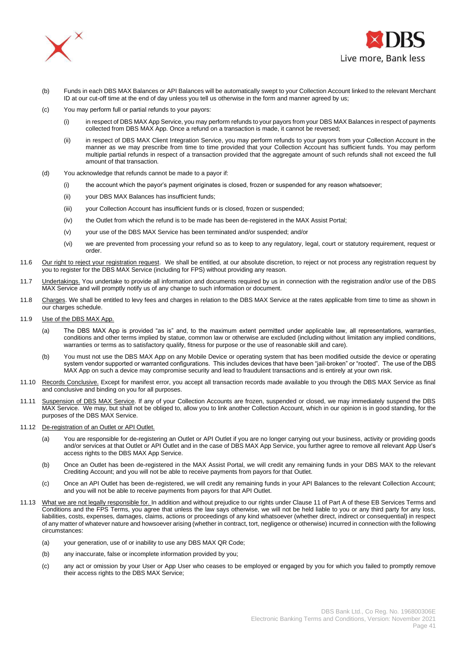



- (b) Funds in each DBS MAX Balances or API Balances will be automatically swept to your Collection Account linked to the relevant Merchant ID at our cut-off time at the end of day unless you tell us otherwise in the form and manner agreed by us;
- (c) You may perform full or partial refunds to your payors:
	- (i) in respect of DBS MAX App Service, you may perform refunds to your payors from your DBS MAX Balances in respect of payments collected from DBS MAX App. Once a refund on a transaction is made, it cannot be reversed;
	- (ii) in respect of DBS MAX Client Integration Service, you may perform refunds to your payors from your Collection Account in the manner as we may prescribe from time to time provided that your Collection Account has sufficient funds. You may perform multiple partial refunds in respect of a transaction provided that the aggregate amount of such refunds shall not exceed the full amount of that transaction.
- (d) You acknowledge that refunds cannot be made to a payor if:
	- (i) the account which the payor's payment originates is closed, frozen or suspended for any reason whatsoever;
	- (ii) your DBS MAX Balances has insufficient funds;
	- (iii) your Collection Account has insufficient funds or is closed, frozen or suspended;
	- (iv) the Outlet from which the refund is to be made has been de-registered in the MAX Assist Portal;
	- (v) your use of the DBS MAX Service has been terminated and/or suspended; and/or
	- (vi) we are prevented from processing your refund so as to keep to any regulatory, legal, court or statutory requirement, request or order.
- 11.6 Our right to reject your registration request. We shall be entitled, at our absolute discretion, to reject or not process any registration request by you to register for the DBS MAX Service (including for FPS) without providing any reason.
- 11.7 Undertakings. You undertake to provide all information and documents required by us in connection with the registration and/or use of the DBS MAX Service and will promptly notify us of any change to such information or document.
- 11.8 Charges. We shall be entitled to levy fees and charges in relation to the DBS MAX Service at the rates applicable from time to time as shown in our charges schedule.
- 11.9 Use of the DBS MAX App.
	- (a) The DBS MAX App is provided "as is" and, to the maximum extent permitted under applicable law, all representations, warranties, conditions and other terms implied by statue, common law or otherwise are excluded (including without limitation any implied conditions, warranties or terms as to satisfactory qualify, fitness for purpose or the use of reasonable skill and care).
	- (b) You must not use the DBS MAX App on any Mobile Device or operating system that has been modified outside the device or operating system vendor supported or warranted configurations. This includes devices that have been "jail-broken" or "rooted". The use of the DBS MAX App on such a device may compromise security and lead to fraudulent transactions and is entirely at your own risk.
- 11.10 Records Conclusive. Except for manifest error, you accept all transaction records made available to you through the DBS MAX Service as final and conclusive and binding on you for all purposes.
- 11.11 Suspension of DBS MAX Service. If any of your Collection Accounts are frozen, suspended or closed, we may immediately suspend the DBS MAX Service. We may, but shall not be obliged to, allow you to link another Collection Account, which in our opinion is in good standing, for the purposes of the DBS MAX Service.
- 11.12 De-registration of an Outlet or API Outlet.
	- (a) You are responsible for de-registering an Outlet or API Outlet if you are no longer carrying out your business, activity or providing goods and/or services at that Outlet or API Outlet and in the case of DBS MAX App Service, you further agree to remove all relevant App User's access rights to the DBS MAX App Service.
	- (b) Once an Outlet has been de-registered in the MAX Assist Portal, we will credit any remaining funds in your DBS MAX to the relevant Crediting Account; and you will not be able to receive payments from payors for that Outlet.
	- (c) Once an API Outlet has been de-registered, we will credit any remaining funds in your API Balances to the relevant Collection Account; and you will not be able to receive payments from payors for that API Outlet.
- 11.13 What we are not legally responsible for. In addition and without prejudice to our rights under Clause 11 of Part A of these EB Services Terms and Conditions and the FPS Terms, you agree that unless the law says otherwise, we will not be held liable to you or any third party for any loss, liabilities, costs, expenses, damages, claims, actions or proceedings of any kind whatsoever (whether direct, indirect or consequential) in respect of any matter of whatever nature and howsoever arising (whether in contract, tort, negligence or otherwise) incurred in connection with the following circumstances:
	- (a) your generation, use of or inability to use any DBS MAX QR Code;
	- (b) any inaccurate, false or incomplete information provided by you;
	- (c) any act or omission by your User or App User who ceases to be employed or engaged by you for which you failed to promptly remove their access rights to the DBS MAX Service;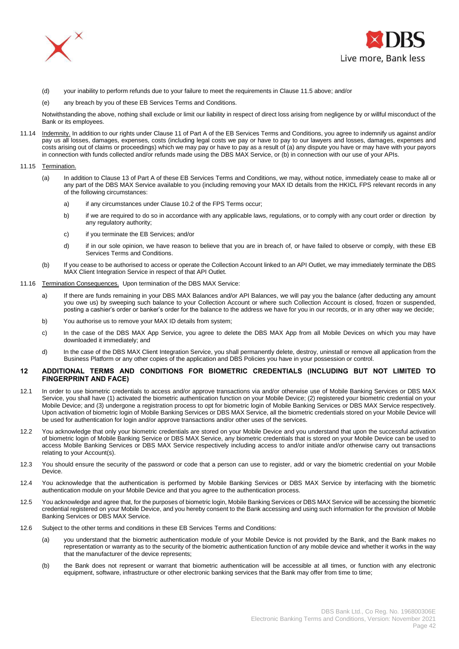



- (d) your inability to perform refunds due to your failure to meet the requirements in Clause 11.5 above; and/or
- (e) any breach by you of these EB Services Terms and Conditions.

Notwithstanding the above, nothing shall exclude or limit our liability in respect of direct loss arising from negligence by or willful misconduct of the Bank or its employees.

- 11.14 Indemnity. In addition to our rights under Clause 11 of Part A of the EB Services Terms and Conditions, you agree to indemnify us against and/or pay us all losses, damages, expenses, costs (including legal costs we pay or have to pay to our lawyers and losses, damages, expenses and costs arising out of claims or proceedings) which we may pay or have to pay as a result of (a) any dispute you have or may have with your payors in connection with funds collected and/or refunds made using the DBS MAX Service, or (b) in connection with our use of your APIs.
- 11.15 Termination.
	- (a) In addition to Clause 13 of Part A of these EB Services Terms and Conditions, we may, without notice, immediately cease to make all or any part of the DBS MAX Service available to you (including removing your MAX ID details from the HKICL FPS relevant records in any of the following circumstances:
		- a) if any circumstances under Clause 10.2 of the FPS Terms occur;
		- b) if we are required to do so in accordance with any applicable laws, regulations, or to comply with any court order or direction by any regulatory authority;
		- c) if you terminate the EB Services; and/or
		- d) if in our sole opinion, we have reason to believe that you are in breach of, or have failed to observe or comply, with these EB Services Terms and Conditions.
	- (b) If you cease to be authorised to access or operate the Collection Account linked to an API Outlet, we may immediately terminate the DBS MAX Client Integration Service in respect of that API Outlet.
- 11.16 Termination Consequences. Upon termination of the DBS MAX Service:
	- a) If there are funds remaining in your DBS MAX Balances and/or API Balances, we will pay you the balance (after deducting any amount you owe us) by sweeping such balance to your Collection Account or where such Collection Account is closed, frozen or suspended, posting a cashier's order or banker's order for the balance to the address we have for you in our records, or in any other way we decide;
	- b) You authorise us to remove your MAX ID details from system;
	- c) In the case of the DBS MAX App Service, you agree to delete the DBS MAX App from all Mobile Devices on which you may have downloaded it immediately; and
	- d) In the case of the DBS MAX Client Integration Service, you shall permanently delete, destroy, uninstall or remove all application from the Business Platform or any other copies of the application and DBS Policies you have in your possession or control.

### **12 ADDITIONAL TERMS AND CONDITIONS FOR BIOMETRIC CREDENTIALS (INCLUDING BUT NOT LIMITED TO FINGERPRINT AND FACE)**

- 12.1 In order to use biometric credentials to access and/or approve transactions via and/or otherwise use of Mobile Banking Services or DBS MAX Service, you shall have (1) activated the biometric authentication function on your Mobile Device; (2) registered your biometric credential on your Mobile Device; and (3) undergone a registration process to opt for biometric login of Mobile Banking Services or DBS MAX Service respectively. Upon activation of biometric login of Mobile Banking Services or DBS MAX Service, all the biometric credentials stored on your Mobile Device will be used for authentication for login and/or approve transactions and/or other uses of the services.
- 12.2 You acknowledge that only your biometric credentials are stored on your Mobile Device and you understand that upon the successful activation of biometric login of Mobile Banking Service or DBS MAX Service, any biometric credentials that is stored on your Mobile Device can be used to access Mobile Banking Services or DBS MAX Service respectively including access to and/or initiate and/or otherwise carry out transactions relating to your Account(s).
- 12.3 You should ensure the security of the password or code that a person can use to register, add or vary the biometric credential on your Mobile Device.
- 12.4 You acknowledge that the authentication is performed by Mobile Banking Services or DBS MAX Service by interfacing with the biometric authentication module on your Mobile Device and that you agree to the authentication process.
- 12.5 You acknowledge and agree that, for the purposes of biometric login, Mobile Banking Services or DBS MAX Service will be accessing the biometric credential registered on your Mobile Device, and you hereby consent to the Bank accessing and using such information for the provision of Mobile Banking Services or DBS MAX Service.
- 12.6 Subject to the other terms and conditions in these EB Services Terms and Conditions:
	- (a) you understand that the biometric authentication module of your Mobile Device is not provided by the Bank, and the Bank makes no representation or warranty as to the security of the biometric authentication function of any mobile device and whether it works in the way that the manufacturer of the device represents;
	- (b) the Bank does not represent or warrant that biometric authentication will be accessible at all times, or function with any electronic equipment, software, infrastructure or other electronic banking services that the Bank may offer from time to time;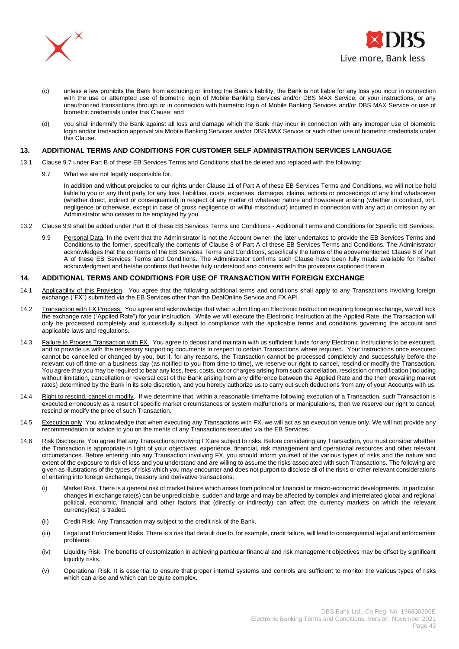



- (c) unless a law prohibits the Bank from excluding or limiting the Bank's liability, the Bank is not liable for any loss you incur in connection with the use or attempted use of biometric login of Mobile Banking Services and/or DBS MAX Service, or your instructions, or any unauthorized transactions through or in connection with biometric login of Mobile Banking Services and/or DBS MAX Service or use of biometric credentials under this Clause; and
- (d) you shall indemnify the Bank against all loss and damage which the Bank may incur in connection with any improper use of biometric login and/or transaction approval via Mobile Banking Services and/or DBS MAX Service or such other use of biometric credentials under this Clause.

## **13. ADDITIONAL TERMS AND CONDITIONS FOR CUSTOMER SELF ADMINISTRATION SERVICES LANGUAGE**

- 13.1 Clause 9.7 under Part B of these EB Services Terms and Conditions shall be deleted and replaced with the following:
	- 9.7 What we are not legally responsible for.

In addition and without prejudice to our rights under Clause 11 of Part A of these EB Services Terms and Conditions, we will not be held liable to you or any third party for any loss, liabilities, costs, expenses, damages, claims, actions or proceedings of any kind whatsoever (whether direct, indirect or consequential) in respect of any matter of whatever nature and howsoever arising (whether in contract, tort, negligence or otherwise, except in case of gross negligence or willful misconduct) incurred in connection with any act or omission by an Administrator who ceases to be employed by you.

- 13.2 Clause 9.9 shall be added under Part B of these EB Services Terms and Conditions Additional Terms and Conditions for Specific EB Services:
	- 9.9 Personal Data. In the event that the Administrator is not the Account owner, the later undertakes to provide the EB Services Terms and Conditions to the former, specifically the contents of Clause 8 of Part A of these EB Services Terms and Conditions. The Administrator acknowledges that the contents of the EB Services Terms and Conditions, specifically the terms of the abovementioned Clause 8 of Part A of these EB Services Terms and Conditions. The Administrator confirms such Clause have been fully made available for his/her acknowledgment and he/she confirms that he/she fully understood and consents with the provisions captioned therein.

### **14. ADDITIONAL TERMS AND CONDITIONS FOR USE OF TRANSACTION WITH FOREIGN EXCHANGE**

- 14.1 Applicability of this Provision. You agree that the following additional terms and conditions shall apply to any Transactions involving foreign exchange ("FX") submitted via the EB Services other than the DealOnline Service and FX API.
- 14.2 Transaction with FX Process. You agree and acknowledge that when submitting an Electronic Instruction requiring foreign exchange, we will lock the exchange rate ("Applied Rate") for your instruction. While we will execute the Electronic Instruction at the Applied Rate, the Transaction will only be processed completely and successfully subject to compliance with the applicable terms and conditions governing the account and applicable laws and regulations.
- 14.3 Failure to Process Transaction with FX. You agree to deposit and maintain with us sufficient funds for any Electronic Instructions to be executed, and to provide us with the necessary supporting documents in respect to certain Transactions where required. Your instructions once executed cannot be cancelled or changed by you, but if, for any reasons, the Transaction cannot be processed completely and successfully before the relevant cut-off time on a business day (as notified to you from time to time), we reserve our right to cancel, rescind or modify the Transaction. You agree that you may be required to bear any loss, fees, costs, tax or charges arising from such cancellation, rescission or modification (including without limitation, cancellation or reversal cost of the Bank arising from any difference between the Applied Rate and the then prevailing market rates) determined by the Bank in its sole discretion, and you hereby authorize us to carry out such deductions from any of your Accounts with us.
- 14.4 Right to rescind, cancel or modify. If we determine that, within a reasonable timeframe following execution of a Transaction, such Transaction is executed erroneously as a result of specific market circumstances or system malfunctions or manipulations, then we reserve our right to cancel, rescind or modify the price of such Transaction.
- 14.5 Execution only. You acknowledge that when executing any Transactions with FX, we will act as an execution venue only. We will not provide any recommendation or advice to you on the merits of any Transactions executed via the EB Services.
- 14.6 Risk Disclosure. You agree that any Transactions involving FX are subject to risks. Before considering any Transaction, you must consider whether the Transaction is appropriate in light of your objectives, experience, financial, risk management and operational resources and other relevant circumstances. Before entering into any Transaction involving FX, you should inform yourself of the various types of risks and the nature and extent of the exposure to risk of loss and you understand and are willing to assume the risks associated with such Transactions. The following are given as illustrations of the types of risks which you may encounter and does not purport to disclose all of the risks or other relevant considerations of entering into foreign exchange, treasury and derivative transactions.
	- (i) Market Risk. There is a general risk of market failure which arises from political or financial or macro-economic developments. In particular, changes in exchange rate(s) can be unpredictable, sudden and large and may be affected by complex and interrelated global and regional political, economic, financial and other factors that (directly or indirectly) can affect the currency markets on which the relevant currency(ies) is traded.
	- (ii) Credit Risk. Any Transaction may subject to the credit risk of the Bank.
	- (iii) Legal and Enforcement Risks. There is a risk that default due to, for example, credit failure, will lead to consequential legal and enforcement problems.
	- (iv) Liquidity Risk. The benefits of customization in achieving particular financial and risk management objectives may be offset by significant liquidity risks.
	- (v) Operational Risk. It is essential to ensure that proper internal systems and controls are sufficient to monitor the various types of risks which can arise and which can be quite complex.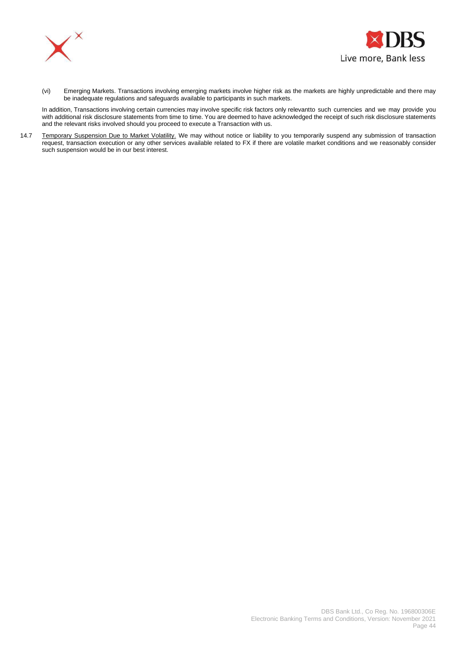



(vi) Emerging Markets. Transactions involving emerging markets involve higher risk as the markets are highly unpredictable and there may be inadequate regulations and safeguards available to participants in such markets.

In addition, Transactions involving certain currencies may involve specific risk factors only relevantto such currencies and we may provide you with additional risk disclosure statements from time to time. You are deemed to have acknowledged the receipt of such risk disclosure statements and the relevant risks involved should you proceed to execute a Transaction with us.

14.7 Temporary Suspension Due to Market Volatility. We may without notice or liability to you temporarily suspend any submission of transaction request, transaction execution or any other services available related to FX if there are volatile market conditions and we reasonably consider such suspension would be in our best interest.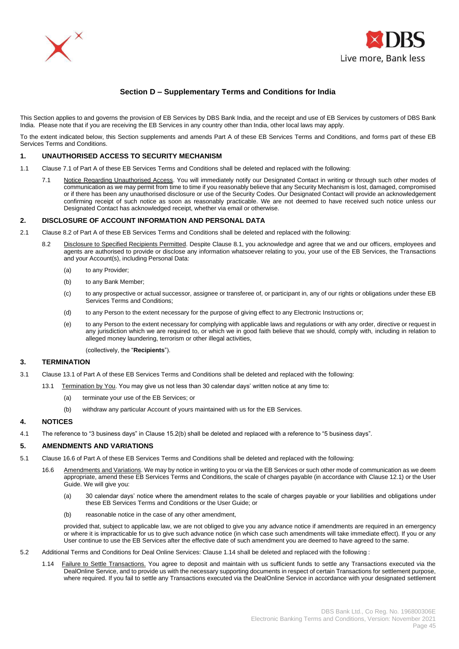



# **Section D – Supplementary Terms and Conditions for India**

This Section applies to and governs the provision of EB Services by DBS Bank India, and the receipt and use of EB Services by customers of DBS Bank India. Please note that if you are receiving the EB Services in any country other than India, other local laws may apply.

To the extent indicated below, this Section supplements and amends Part A of these EB Services Terms and Conditions, and forms part of these EB Services Terms and Conditions.

# **1. UNAUTHORISED ACCESS TO SECURITY MECHANISM**

- 1.1 Clause 7.1 of Part A of these EB Services Terms and Conditions shall be deleted and replaced with the following:
	- 7.1 Notice Regarding Unauthorised Access. You will immediately notify our Designated Contact in writing or through such other modes of communication as we may permit from time to time if you reasonably believe that any Security Mechanism is lost, damaged, compromised or if there has been any unauthorised disclosure or use of the Security Codes. Our Designated Contact will provide an acknowledgement confirming receipt of such notice as soon as reasonably practicable. We are not deemed to have received such notice unless our Designated Contact has acknowledged receipt, whether via email or otherwise.

## **2. DISCLOSURE OF ACCOUNT INFORMATION AND PERSONAL DATA**

- 2.1 Clause 8.2 of Part A of these EB Services Terms and Conditions shall be deleted and replaced with the following:
	- 8.2 Disclosure to Specified Recipients Permitted. Despite Clause 8.1, you acknowledge and agree that we and our officers, employees and agents are authorised to provide or disclose any information whatsoever relating to you, your use of the EB Services, the Transactions and your Account(s), including Personal Data:
		- (a) to any Provider;
		- (b) to any Bank Member;
		- (c) to any prospective or actual successor, assignee or transferee of, or participant in, any of our rights or obligations under these EB Services Terms and Conditions:
		- (d) to any Person to the extent necessary for the purpose of giving effect to any Electronic Instructions or;
		- (e) to any Person to the extent necessary for complying with applicable laws and regulations or with any order, directive or request in any jurisdiction which we are required to, or which we in good faith believe that we should, comply with, including in relation to alleged money laundering, terrorism or other illegal activities,

(collectively, the "**Recipients**").

### **3. TERMINATION**

- 3.1 Clause 13.1 of Part A of these EB Services Terms and Conditions shall be deleted and replaced with the following:
	- 13.1 Termination by You. You may give us not less than 30 calendar days' written notice at any time to:
		- (a) terminate your use of the EB Services; or
		- (b) withdraw any particular Account of yours maintained with us for the EB Services.

## **4. NOTICES**

4.1 The reference to "3 business days" in Clause 15.2(b) shall be deleted and replaced with a reference to "5 business days".

## **5. AMENDMENTS AND VARIATIONS**

- 5.1 Clause 16.6 of Part A of these EB Services Terms and Conditions shall be deleted and replaced with the following:
	- 16.6 Amendments and Variations. We may by notice in writing to you or via the EB Services or such other mode of communication as we deem appropriate, amend these EB Services Terms and Conditions, the scale of charges payable (in accordance with Clause 12.1) or the User Guide. We will give you:
		- (a) 30 calendar days' notice where the amendment relates to the scale of charges payable or your liabilities and obligations under these EB Services Terms and Conditions or the User Guide; or
		- (b) reasonable notice in the case of any other amendment,

provided that, subject to applicable law, we are not obliged to give you any advance notice if amendments are required in an emergency or where it is impracticable for us to give such advance notice (in which case such amendments will take immediate effect). If you or any User continue to use the EB Services after the effective date of such amendment you are deemed to have agreed to the same.

- 5.2 Additional Terms and Conditions for Deal Online Services: Clause 1.14 shall be deleted and replaced with the following :
	- 1.14 Failure to Settle Transactions. You agree to deposit and maintain with us sufficient funds to settle any Transactions executed via the DealOnline Service, and to provide us with the necessary supporting documents in respect of certain Transactions for settlement purpose, where required. If you fail to settle any Transactions executed via the DealOnline Service in accordance with your designated settlement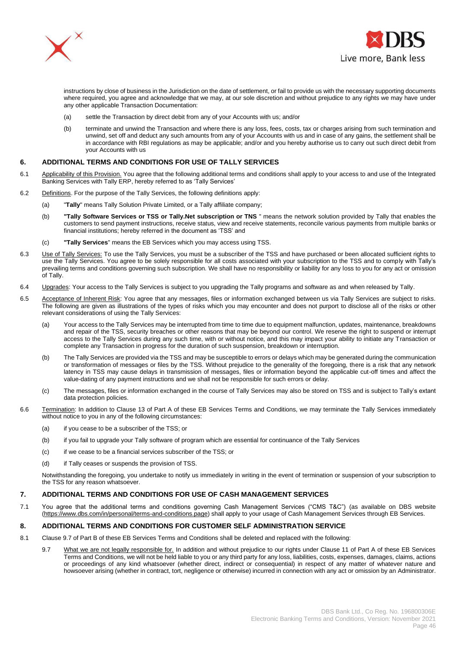



instructions by close of business in the Jurisdiction on the date of settlement, or fail to provide us with the necessary supporting documents where required, you agree and acknowledge that we may, at our sole discretion and without prejudice to any rights we may have under any other applicable Transaction Documentation:

- (a) settle the Transaction by direct debit from any of your Accounts with us; and/or
- (b) terminate and unwind the Transaction and where there is any loss, fees, costs, tax or charges arising from such termination and unwind, set off and deduct any such amounts from any of your Accounts with us and in case of any gains, the settlement shall be in accordance with RBI regulations as may be applicable; and/or and you hereby authorise us to carry out such direct debit from your Accounts with us

## **6. ADDITIONAL TERMS AND CONDITIONS FOR USE OF TALLY SERVICES**

- 6.1 Applicability of this Provision. You agree that the following additional terms and conditions shall apply to your access to and use of the Integrated Banking Services with Tally ERP, hereby referred to as 'Tally Services'
- 6.2 Definitions. For the purpose of the Tally Services, the following definitions apply:
	- (a) "**Tally**" means Tally Solution Private Limited, or a Tally affiliate company;
		- (b) **"Tally Software Services or TSS or Tally.Net subscription or TNS** " means the network solution provided by Tally that enables the customers to send payment instructions, receive status, view and receive statements, reconcile various payments from multiple banks or financial institutions; hereby referred in the document as 'TSS' and
		- (c) **"Tally Services**" means the EB Services which you may access using TSS.
- 6.3 Use of Tally Services: To use the Tally Services, you must be a subscriber of the TSS and have purchased or been allocated sufficient rights to use the Tally Services. You agree to be solely responsible for all costs associated with your subscription to the TSS and to comply with Tally's prevailing terms and conditions governing such subscription. We shall have no responsibility or liability for any loss to you for any act or omission of Tally.
- 6.4 Upgrades: Your access to the Tally Services is subject to you upgrading the Tally programs and software as and when released by Tally.
- 6.5 Acceptance of Inherent Risk: You agree that any messages, files or information exchanged between us via Tally Services are subject to risks. The following are given as illustrations of the types of risks which you may encounter and does not purport to disclose all of the risks or other relevant considerations of using the Tally Services:
	- (a) Your access to the Tally Services may be interrupted from time to time due to equipment malfunction, updates, maintenance, breakdowns and repair of the TSS, security breaches or other reasons that may be beyond our control. We reserve the right to suspend or interrupt access to the Tally Services during any such time, with or without notice, and this may impact your ability to initiate any Transaction or complete any Transaction in progress for the duration of such suspension, breakdown or interruption.
	- (b) The Tally Services are provided via the TSS and may be susceptible to errors or delays which may be generated during the communication or transformation of messages or files by the TSS. Without prejudice to the generality of the foregoing, there is a risk that any network latency in TSS may cause delays in transmission of messages, files or information beyond the applicable cut-off times and affect the value-dating of any payment instructions and we shall not be responsible for such errors or delay.
	- (c) The messages, files or information exchanged in the course of Tally Services may also be stored on TSS and is subject to Tally's extant data protection policies.
- 6.6 Termination: In addition to Clause 13 of Part A of these EB Services Terms and Conditions, we may terminate the Tally Services immediately without notice to you in any of the following circumstances:
	- (a) if you cease to be a subscriber of the TSS; or
	- (b) if you fail to upgrade your Tally software of program which are essential for continuance of the Tally Services
	- (c) if we cease to be a financial services subscriber of the TSS; or
	- (d) if Tally ceases or suspends the provision of TSS.

Notwithstanding the foregoing, you undertake to notify us immediately in writing in the event of termination or suspension of your subscription to the TSS for any reason whatsoever.

# **7. ADDITIONAL TERMS AND CONDITIONS FOR USE OF CASH MANAGEMENT SERVICES**

7.1 You agree that the additional terms and conditions governing Cash Management Services ("CMS T&C") (as available on DBS website [\(https://www.dbs.com/in/personal/terms-and-conditions.page\)](https://www.dbs.com/in/personal/terms-and-conditions.page) shall apply to your usage of Cash Management Services through EB Services.

### **8. ADDITIONAL TERMS AND CONDITIONS FOR CUSTOMER SELF ADMINISTRATION SERVICE**

- 8.1 Clause 9.7 of Part B of these EB Services Terms and Conditions shall be deleted and replaced with the following:
	- 9.7 What we are not legally responsible for. In addition and without prejudice to our rights under Clause 11 of Part A of these EB Services Terms and Conditions, we will not be held liable to you or any third party for any loss, liabilities, costs, expenses, damages, claims, actions or proceedings of any kind whatsoever (whether direct, indirect or consequential) in respect of any matter of whatever nature and howsoever arising (whether in contract, tort, negligence or otherwise) incurred in connection with any act or omission by an Administrator.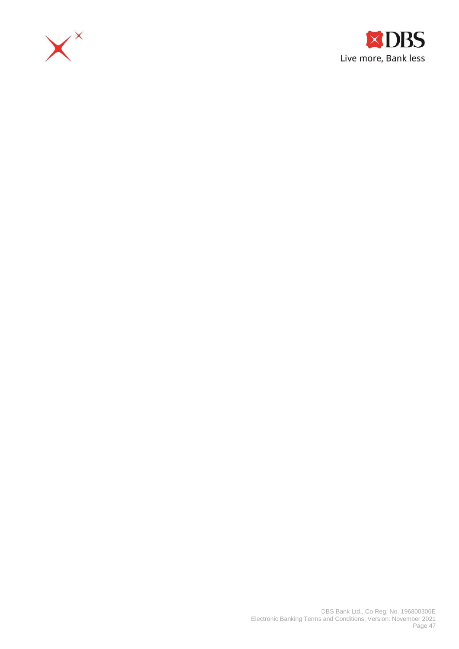

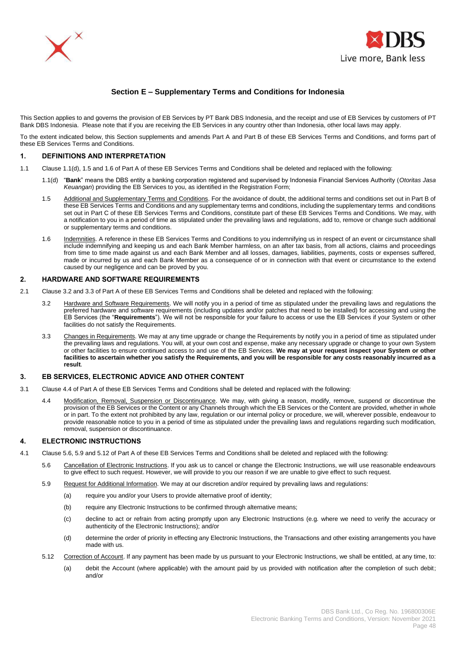



# **Section E – Supplementary Terms and Conditions for Indonesia**

This Section applies to and governs the provision of EB Services by PT Bank DBS Indonesia, and the receipt and use of EB Services by customers of PT Bank DBS Indonesia. Please note that if you are receiving the EB Services in any country other than Indonesia, other local laws may apply.

To the extent indicated below, this Section supplements and amends Part A and Part B of these EB Services Terms and Conditions, and forms part of these EB Services Terms and Conditions.

# **1. DEFINITIONS AND INTERPRETATION**

- 1.1 Clause 1.1(d), 1.5 and 1.6 of Part A of these EB Services Terms and Conditions shall be deleted and replaced with the following:
	- 1.1(d) "**Bank**" means the DBS entity a banking corporation registered and supervised by Indonesia Financial Services Authority (*Otoritas Jasa Keuangan*) providing the EB Services to you, as identified in the Registration Form;
	- 1.5 Additional and Supplementary Terms and Conditions. For the avoidance of doubt, the additional terms and conditions set out in Part B of these EB Services Terms and Conditions and any supplementary terms and conditions, including the supplementary terms and conditions set out in Part C of these EB Services Terms and Conditions, constitute part of these EB Services Terms and Conditions. We may, with a notification to you in a period of time as stipulated under the prevailing laws and regulations, add to, remove or change such additional or supplementary terms and conditions.
	- 1.6 Indemnities. A reference in these EB Services Terms and Conditions to you indemnifying us in respect of an event or circumstance shall include indemnifying and keeping us and each Bank Member harmless, on an after tax basis, from all actions, claims and proceedings from time to time made against us and each Bank Member and all losses, damages, liabilities, payments, costs or expenses suffered, made or incurred by us and each Bank Member as a consequence of or in connection with that event or circumstance to the extend caused by our negligence and can be proved by you.

## **2. HARDWARE AND SOFTWARE REQUIREMENTS**

- 2.1 Clause 3.2 and 3.3 of Part A of these EB Services Terms and Conditions shall be deleted and replaced with the following:
	- 3.2 Hardware and Software Requirements. We will notify you in a period of time as stipulated under the prevailing laws and regulations the preferred hardware and software requirements (including updates and/or patches that need to be installed) for accessing and using the EB Services (the "**Requirements**"). We will not be responsible for your failure to access or use the EB Services if your System or other facilities do not satisfy the Requirements.
	- 3.3 Changes in Requirements. We may at any time upgrade or change the Requirements by notify you in a period of time as stipulated under the prevailing laws and regulations. You will, at your own cost and expense, make any necessary upgrade or change to your own System or other facilities to ensure continued access to and use of the EB Services. **We may at your request inspect your System or other facilities to ascertain whether you satisfy the Requirements, and you will be responsible for any costs reasonably incurred as a result**.

## **3. EB SERVICES, ELECTRONIC ADVICE AND OTHER CONTENT**

- 3.1 Clause 4.4 of Part A of these EB Services Terms and Conditions shall be deleted and replaced with the following:
	- 4.4 Modification, Removal, Suspension or Discontinuance. We may, with giving a reason, modify, remove, suspend or discontinue the provision of the EB Services or the Content or any Channels through which the EB Services or the Content are provided, whether in whole or in part. To the extent not prohibited by any law, regulation or our internal policy or procedure, we will, wherever possible, endeavour to provide reasonable notice to you in a period of time as stipulated under the prevailing laws and regulations regarding such modification, removal, suspension or discontinuance.

## **4. ELECTRONIC INSTRUCTIONS**

- 4.1 Clause 5.6, 5.9 and 5.12 of Part A of these EB Services Terms and Conditions shall be deleted and replaced with the following:
	- 5.6 Cancellation of Electronic Instructions. If you ask us to cancel or change the Electronic Instructions, we will use reasonable endeavours to give effect to such request. However, we will provide to you our reason if we are unable to give effect to such request.
	- 5.9 Request for Additional Information. We may at our discretion and/or required by prevailing laws and regulations:
		- (a) require you and/or your Users to provide alternative proof of identity;
		- (b) require any Electronic Instructions to be confirmed through alternative means;
		- (c) decline to act or refrain from acting promptly upon any Electronic Instructions (e.g. where we need to verify the accuracy or authenticity of the Electronic Instructions); and/or
		- (d) determine the order of priority in effecting any Electronic Instructions, the Transactions and other existing arrangements you have made with us.
	- 5.12 Correction of Account. If any payment has been made by us pursuant to your Electronic Instructions, we shall be entitled, at any time, to:
		- (a) debit the Account (where applicable) with the amount paid by us provided with notification after the completion of such debit; and/or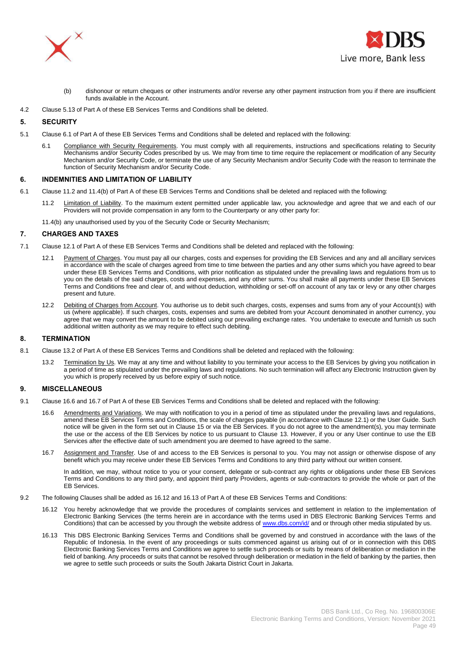



- (b) dishonour or return cheques or other instruments and/or reverse any other payment instruction from you if there are insufficient funds available in the Account.
- 4.2 Clause 5.13 of Part A of these EB Services Terms and Conditions shall be deleted.

# **5. SECURITY**

- 5.1 Clause 6.1 of Part A of these EB Services Terms and Conditions shall be deleted and replaced with the following:
	- 6.1 Compliance with Security Requirements. You must comply with all requirements, instructions and specifications relating to Security Mechanisms and/or Security Codes prescribed by us. We may from time to time require the replacement or modification of any Security Mechanism and/or Security Code, or terminate the use of any Security Mechanism and/or Security Code with the reason to terminate the function of Security Mechanism and/or Security Code.

## **6. INDEMNITIES AND LIMITATION OF LIABILITY**

- 6.1 Clause 11.2 and 11.4(b) of Part A of these EB Services Terms and Conditions shall be deleted and replaced with the following:
	- Limitation of Liability. To the maximum extent permitted under applicable law, you acknowledge and agree that we and each of our Providers will not provide compensation in any form to the Counterparty or any other party for:

11.4(b) any unauthorised used by you of the Security Code or Security Mechanism;

# **7. CHARGES AND TAXES**

- 7.1 Clause 12.1 of Part A of these EB Services Terms and Conditions shall be deleted and replaced with the following:
	- 12.1 Payment of Charges. You must pay all our charges, costs and expenses for providing the EB Services and any and all ancillary services in accordance with the scale of charges agreed from time to time between the parties and any other sums which you have agreed to bear under these EB Services Terms and Conditions, with prior notification as stipulated under the prevailing laws and regulations from us to you on the details of the said charges, costs and expenses, and any other sums. You shall make all payments under these EB Services Terms and Conditions free and clear of, and without deduction, withholding or set-off on account of any tax or levy or any other charges present and future.
	- 12.2 Debiting of Charges from Account. You authorise us to debit such charges, costs, expenses and sums from any of your Account(s) with us (where applicable). If such charges, costs, expenses and sums are debited from your Account denominated in another currency, you agree that we may convert the amount to be debited using our prevailing exchange rates. You undertake to execute and furnish us such additional written authority as we may require to effect such debiting.

## **8. TERMINATION**

- 8.1 Clause 13.2 of Part A of these EB Services Terms and Conditions shall be deleted and replaced with the following:
	- 13.2 Termination by Us. We may at any time and without liability to you terminate your access to the EB Services by giving you notification in a period of time as stipulated under the prevailing laws and regulations. No such termination will affect any Electronic Instruction given by you which is properly received by us before expiry of such notice.

## **9. MISCELLANEOUS**

- 9.1 Clause 16.6 and 16.7 of Part A of these EB Services Terms and Conditions shall be deleted and replaced with the following:
	- 16.6 Amendments and Variations. We may with notification to you in a period of time as stipulated under the prevailing laws and regulations, amend these EB Services Terms and Conditions, the scale of charges payable (in accordance with Clause 12.1) or the User Guide. Such notice will be given in the form set out in Clause 15 or via the EB Services. If you do not agree to the amendment(s), you may terminate the use or the access of the EB Services by notice to us pursuant to Clause 13. However, if you or any User continue to use the EB Services after the effective date of such amendment you are deemed to have agreed to the same.
	- 16.7 Assignment and Transfer. Use of and access to the EB Services is personal to you. You may not assign or otherwise dispose of any benefit which you may receive under these EB Services Terms and Conditions to any third party without our written consent.

In addition, we may, without notice to you or your consent, delegate or sub-contract any rights or obligations under these EB Services Terms and Conditions to any third party, and appoint third party Providers, agents or sub-contractors to provide the whole or part of the EB Services.

- 9.2 The following Clauses shall be added as 16.12 and 16.13 of Part A of these EB Services Terms and Conditions:
	- 16.12 You hereby acknowledge that we provide the procedures of complaints services and settlement in relation to the implementation of Electronic Banking Services (the terms herein are in accordance with the terms used in DBS Electronic Banking Services Terms and Conditions) that can be accessed by you through the website address o[f www.dbs.com/id/](http://www.dbs.com/id/) and or through other media stipulated by us.
	- 16.13 This DBS Electronic Banking Services Terms and Conditions shall be governed by and construed in accordance with the laws of the Republic of Indonesia. In the event of any proceedings or suits commenced against us arising out of or in connection with this DBS Electronic Banking Services Terms and Conditions we agree to settle such proceeds or suits by means of deliberation or mediation in the field of banking. Any proceeds or suits that cannot be resolved through deliberation or mediation in the field of banking by the parties, then we agree to settle such proceeds or suits the South Jakarta District Court in Jakarta.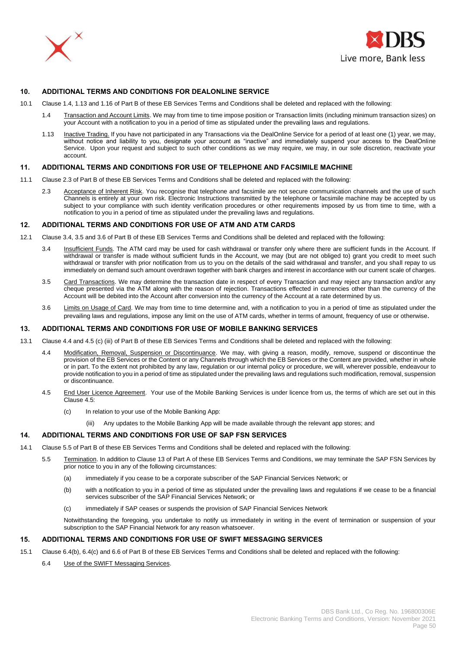



# **10. ADDITIONAL TERMS AND CONDITIONS FOR DEALONLINE SERVICE**

- 10.1 Clause 1.4, 1.13 and 1.16 of Part B of these EB Services Terms and Conditions shall be deleted and replaced with the following:
	- 1.4 Transaction and Account Limits. We may from time to time impose position or Transaction limits (including minimum transaction sizes) on your Account with a notification to you in a period of time as stipulated under the prevailing laws and regulations.
	- 1.13 Inactive Trading. If you have not participated in any Transactions via the DealOnline Service for a period of at least one (1) year, we may, without notice and liability to you, designate your account as "inactive" and immediately suspend your access to the DealOnline Service. Upon your request and subject to such other conditions as we may require, we may, in our sole discretion, reactivate your account.

## **11. ADDITIONAL TERMS AND CONDITIONS FOR USE OF TELEPHONE AND FACSIMILE MACHINE**

- 11.1 Clause 2.3 of Part B of these EB Services Terms and Conditions shall be deleted and replaced with the following:
	- 2.3 Acceptance of Inherent Risk. You recognise that telephone and facsimile are not secure communication channels and the use of such Channels is entirely at your own risk. Electronic Instructions transmitted by the telephone or facsimile machine may be accepted by us subject to your compliance with such identity verification procedures or other requirements imposed by us from time to time, with a notification to you in a period of time as stipulated under the prevailing laws and regulations.

### **12. ADDITIONAL TERMS AND CONDITIONS FOR USE OF ATM AND ATM CARDS**

- 12.1 Clause 3.4, 3.5 and 3.6 of Part B of these EB Services Terms and Conditions shall be deleted and replaced with the following:
	- 3.4 Insufficient Funds. The ATM card may be used for cash withdrawal or transfer only where there are sufficient funds in the Account. If withdrawal or transfer is made without sufficient funds in the Account, we may (but are not obliged to) grant you credit to meet such withdrawal or transfer with prior notification from us to you on the details of the said withdrawal and transfer, and you shall repay to us immediately on demand such amount overdrawn together with bank charges and interest in accordance with our current scale of charges.
	- 3.5 Card Transactions. We may determine the transaction date in respect of every Transaction and may reject any transaction and/or any cheque presented via the ATM along with the reason of rejection. Transactions effected in currencies other than the currency of the Account will be debited into the Account after conversion into the currency of the Account at a rate determined by us.
	- 3.6 Limits on Usage of Card. We may from time to time determine and, with a notification to you in a period of time as stipulated under the prevailing laws and regulations, impose any limit on the use of ATM cards, whether in terms of amount, frequency of use or otherwise.

### **13. ADDITIONAL TERMS AND CONDITIONS FOR USE OF MOBILE BANKING SERVICES**

- 13.1 Clause 4.4 and 4.5 (c) (iii) of Part B of these EB Services Terms and Conditions shall be deleted and replaced with the following:
	- 4.4 Modification, Removal, Suspension or Discontinuance. We may, with giving a reason, modify, remove, suspend or discontinue the provision of the EB Services or the Content or any Channels through which the EB Services or the Content are provided, whether in whole or in part. To the extent not prohibited by any law, regulation or our internal policy or procedure, we will, wherever possible, endeavour to provide notification to you in a period of time as stipulated under the prevailing laws and regulations such modification, removal, suspension or discontinuance.
	- 4.5 End User Licence Agreement. Your use of the Mobile Banking Services is under licence from us, the terms of which are set out in this Clause 4.5:
		- (c) In relation to your use of the Mobile Banking App:
			- (iii) Any updates to the Mobile Banking App will be made available through the relevant app stores; and

## **14. ADDITIONAL TERMS AND CONDITIONS FOR USE OF SAP FSN SERVICES**

- 14.1 Clause 5.5 of Part B of these EB Services Terms and Conditions shall be deleted and replaced with the following:
	- 5.5 Termination. In addition to Clause 13 of Part A of these EB Services Terms and Conditions, we may terminate the SAP FSN Services by prior notice to you in any of the following circumstances:
		- (a) immediately if you cease to be a corporate subscriber of the SAP Financial Services Network; or
		- (b) with a notification to you in a period of time as stipulated under the prevailing laws and regulations if we cease to be a financial services subscriber of the SAP Financial Services Network; or
		- (c) immediately if SAP ceases or suspends the provision of SAP Financial Services Network

Notwithstanding the foregoing, you undertake to notify us immediately in writing in the event of termination or suspension of your subscription to the SAP Financial Network for any reason whatsoever.

## **15. ADDITIONAL TERMS AND CONDITIONS FOR USE OF SWIFT MESSAGING SERVICES**

- 15.1 Clause 6.4(b), 6.4(c) and 6.6 of Part B of these EB Services Terms and Conditions shall be deleted and replaced with the following:
	- 6.4 Use of the SWIFT Messaging Services.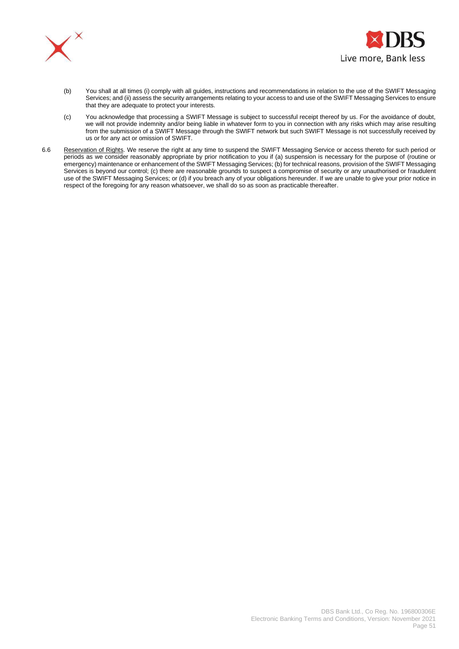



- (b) You shall at all times (i) comply with all guides, instructions and recommendations in relation to the use of the SWIFT Messaging Services; and (ii) assess the security arrangements relating to your access to and use of the SWIFT Messaging Services to ensure that they are adequate to protect your interests.
- (c) You acknowledge that processing a SWIFT Message is subject to successful receipt thereof by us. For the avoidance of doubt, we will not provide indemnity and/or being liable in whatever form to you in connection with any risks which may arise resulting from the submission of a SWIFT Message through the SWIFT network but such SWIFT Message is not successfully received by us or for any act or omission of SWIFT.
- 6.6 Reservation of Rights. We reserve the right at any time to suspend the SWIFT Messaging Service or access thereto for such period or periods as we consider reasonably appropriate by prior notification to you if (a) suspension is necessary for the purpose of (routine or emergency) maintenance or enhancement of the SWIFT Messaging Services; (b) for technical reasons, provision of the SWIFT Messaging Services is beyond our control; (c) there are reasonable grounds to suspect a compromise of security or any unauthorised or fraudulent use of the SWIFT Messaging Services; or (d) if you breach any of your obligations hereunder. If we are unable to give your prior notice in respect of the foregoing for any reason whatsoever, we shall do so as soon as practicable thereafter.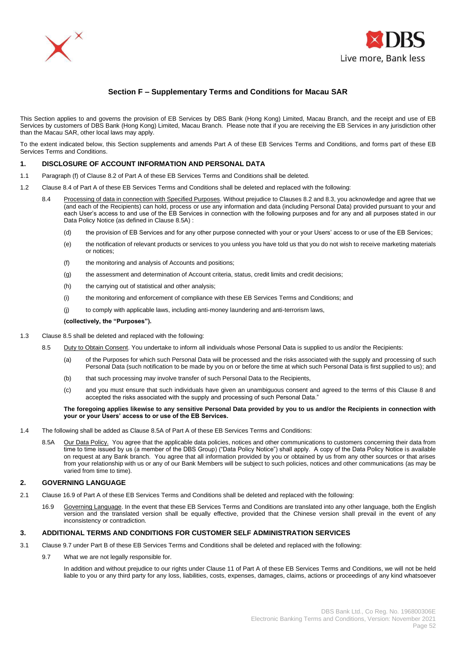



# **Section F – Supplementary Terms and Conditions for Macau SAR**

This Section applies to and governs the provision of EB Services by DBS Bank (Hong Kong) Limited, Macau Branch, and the receipt and use of EB Services by customers of DBS Bank (Hong Kong) Limited, Macau Branch. Please note that if you are receiving the EB Services in any jurisdiction other than the Macau SAR, other local laws may apply.

To the extent indicated below, this Section supplements and amends Part A of these EB Services Terms and Conditions, and forms part of these EB Services Terms and Conditions.

## **1. DISCLOSURE OF ACCOUNT INFORMATION AND PERSONAL DATA**

- 1.1 Paragraph (f) of Clause 8.2 of Part A of these EB Services Terms and Conditions shall be deleted.
- 1.2 Clause 8.4 of Part A of these EB Services Terms and Conditions shall be deleted and replaced with the following:
	- 8.4 Processing of data in connection with Specified Purposes. Without prejudice to Clauses 8.2 and 8.3, you acknowledge and agree that we (and each of the Recipients) can hold, process or use any information and data (including Personal Data) provided pursuant to your and each User's access to and use of the EB Services in connection with the following purposes and for any and all purposes stated in our Data Policy Notice (as defined in Clause 8.5A) :
		- (d) the provision of EB Services and for any other purpose connected with your or your Users' access to or use of the EB Services;
		- (e) the notification of relevant products or services to you unless you have told us that you do not wish to receive marketing materials or notices;
		- (f) the monitoring and analysis of Accounts and positions;
		- (g) the assessment and determination of Account criteria, status, credit limits and credit decisions;
		- (h) the carrying out of statistical and other analysis;
		- (i) the monitoring and enforcement of compliance with these EB Services Terms and Conditions; and
		- (j) to comply with applicable laws, including anti-money laundering and anti-terrorism laws,

### **(collectively, the "Purposes").**

- 1.3 Clause 8.5 shall be deleted and replaced with the following:
	- 8.5 Duty to Obtain Consent. You undertake to inform all individuals whose Personal Data is supplied to us and/or the Recipients:
		- (a) of the Purposes for which such Personal Data will be processed and the risks associated with the supply and processing of such Personal Data (such notification to be made by you on or before the time at which such Personal Data is first supplied to us); and
		- (b) that such processing may involve transfer of such Personal Data to the Recipients,
		- (c) and you must ensure that such individuals have given an unambiguous consent and agreed to the terms of this Clause 8 and accepted the risks associated with the supply and processing of such Personal Data."

### **The foregoing applies likewise to any sensitive Personal Data provided by you to us and/or the Recipients in connection with your or your Users' access to or use of the EB Services.**

- 1.4 The following shall be added as Clause 8.5A of Part A of these EB Services Terms and Conditions:
	- 8.5A Our Data Policy. You agree that the applicable data policies, notices and other communications to customers concerning their data from time to time issued by us (a member of the DBS Group) ("Data Policy Notice") shall apply. A copy of the Data Policy Notice is available on request at any Bank branch. You agree that all information provided by you or obtained by us from any other sources or that arises from your relationship with us or any of our Bank Members will be subject to such policies, notices and other communications (as may be varied from time to time).

## **2. GOVERNING LANGUAGE**

- 2.1 Clause 16.9 of Part A of these EB Services Terms and Conditions shall be deleted and replaced with the following:
	- 16.9 Governing Language. In the event that these EB Services Terms and Conditions are translated into any other language, both the English version and the translated version shall be equally effective, provided that the Chinese version shall prevail in the event of any inconsistency or contradiction.

### **3. ADDITIONAL TERMS AND CONDITIONS FOR CUSTOMER SELF ADMINISTRATION SERVICES**

- 3.1 Clause 9.7 under Part B of these EB Services Terms and Conditions shall be deleted and replaced with the following:
	- 9.7 What we are not legally responsible for.

In addition and without prejudice to our rights under Clause 11 of Part A of these EB Services Terms and Conditions, we will not be held liable to you or any third party for any loss, liabilities, costs, expenses, damages, claims, actions or proceedings of any kind whatsoever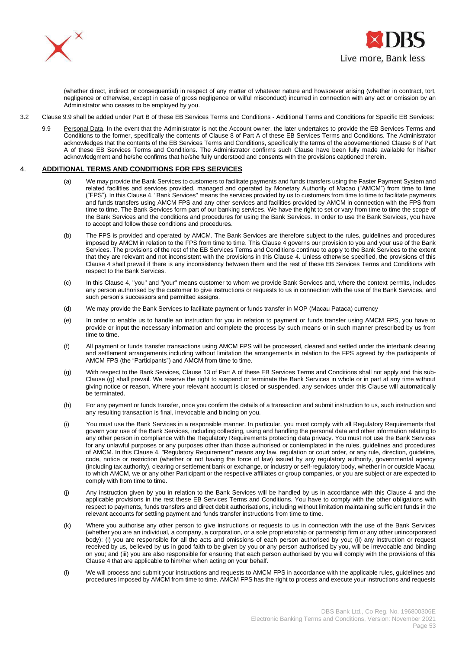



(whether direct, indirect or consequential) in respect of any matter of whatever nature and howsoever arising (whether in contract, tort, negligence or otherwise, except in case of gross negligence or wilful misconduct) incurred in connection with any act or omission by an Administrator who ceases to be employed by you.

- 3.2 Clause 9.9 shall be added under Part B of these EB Services Terms and Conditions Additional Terms and Conditions for Specific EB Services:
	- 9.9 Personal Data. In the event that the Administrator is not the Account owner, the later undertakes to provide the EB Services Terms and Conditions to the former, specifically the contents of Clause 8 of Part A of these EB Services Terms and Conditions. The Administrator acknowledges that the contents of the EB Services Terms and Conditions, specifically the terms of the abovementioned Clause 8 of Part A of these EB Services Terms and Conditions. The Administrator confirms such Clause have been fully made available for his/her acknowledgment and he/she confirms that he/she fully understood and consents with the provisions captioned therein.

## 4. **ADDITIONAL TERMS AND CONDITIONS FOR FPS SERVICES**

- (a) We may provide the Bank Services to customers to facilitate payments and funds transfers using the Faster Payment System and related facilities and services provided, managed and operated by Monetary Authority of Macao ("AMCM") from time to time ("FPS"). In this Clause 4, "Bank Services" means the services provided by us to customers from time to time to facilitate payments and funds transfers using AMCM FPS and any other services and facilities provided by AMCM in connection with the FPS from time to time. The Bank Services form part of our banking services. We have the right to set or vary from time to time the scope of the Bank Services and the conditions and procedures for using the Bank Services. In order to use the Bank Services, you have to accept and follow these conditions and procedures.
- (b) The FPS is provided and operated by AMCM. The Bank Services are therefore subject to the rules, guidelines and procedures imposed by AMCM in relation to the FPS from time to time. This Clause 4 governs our provision to you and your use of the Bank Services. The provisions of the rest of the EB Services Terms and Conditions continue to apply to the Bank Services to the extent that they are relevant and not inconsistent with the provisions in this Clause 4. Unless otherwise specified, the provisions of this Clause 4 shall prevail if there is any inconsistency between them and the rest of these EB Services Terms and Conditions with respect to the Bank Services.
- (c) In this Clause 4, "you" and "your" means customer to whom we provide Bank Services and, where the context permits, includes any person authorised by the customer to give instructions or requests to us in connection with the use of the Bank Services, and such person's successors and permitted assigns.
- (d) We may provide the Bank Services to facilitate payment or funds transfer in MOP (Macau Pataca) currency
- (e) In order to enable us to handle an instruction for you in relation to payment or funds transfer using AMCM FPS, you have to provide or input the necessary information and complete the process by such means or in such manner prescribed by us from time to time.
- (f) All payment or funds transfer transactions using AMCM FPS will be processed, cleared and settled under the interbank clearing and settlement arrangements including without limitation the arrangements in relation to the FPS agreed by the participants of AMCM FPS (the "Participants") and AMCM from time to time.
- (g) With respect to the Bank Services, Clause 13 of Part A of these EB Services Terms and Conditions shall not apply and this sub-Clause (g) shall prevail. We reserve the right to suspend or terminate the Bank Services in whole or in part at any time without giving notice or reason. Where your relevant account is closed or suspended, any services under this Clause will automatically be terminated.
- (h) For any payment or funds transfer, once you confirm the details of a transaction and submit instruction to us, such instruction and any resulting transaction is final, irrevocable and binding on you.
- (i) You must use the Bank Services in a responsible manner. In particular, you must comply with all Regulatory Requirements that govern your use of the Bank Services, including collecting, using and handling the personal data and other information relating to any other person in compliance with the Regulatory Requirements protecting data privacy. You must not use the Bank Services for any unlawful purposes or any purposes other than those authorised or contemplated in the rules, guidelines and procedures of AMCM. In this Clause 4, "Regulatory Requirement" means any law, regulation or court order, or any rule, direction, guideline, code, notice or restriction (whether or not having the force of law) issued by any regulatory authority, governmental agency (including tax authority), clearing or settlement bank or exchange, or industry or self-regulatory body, whether in or outside Macau, to which AMCM, we or any other Participant or the respective affiliates or group companies, or you are subject or are expected to comply with from time to time.
- (j) Any instruction given by you in relation to the Bank Services will be handled by us in accordance with this Clause 4 and the applicable provisions in the rest these EB Services Terms and Conditions. You have to comply with the other obligations with respect to payments, funds transfers and direct debit authorisations, including without limitation maintaining sufficient funds in the relevant accounts for settling payment and funds transfer instructions from time to time.
- (k) Where you authorise any other person to give instructions or requests to us in connection with the use of the Bank Services (whether you are an individual, a company, a corporation, or a sole proprietorship or partnership firm or any other unincorporated body): (i) you are responsible for all the acts and omissions of each person authorised by you; (ii) any instruction or request received by us, believed by us in good faith to be given by you or any person authorised by you, will be irrevocable and binding on you; and (iii) you are also responsible for ensuring that each person authorised by you will comply with the provisions of this Clause 4 that are applicable to him/her when acting on your behalf.
- (l) We will process and submit your instructions and requests to AMCM FPS in accordance with the applicable rules, guidelines and procedures imposed by AMCM from time to time. AMCM FPS has the right to process and execute your instructions and requests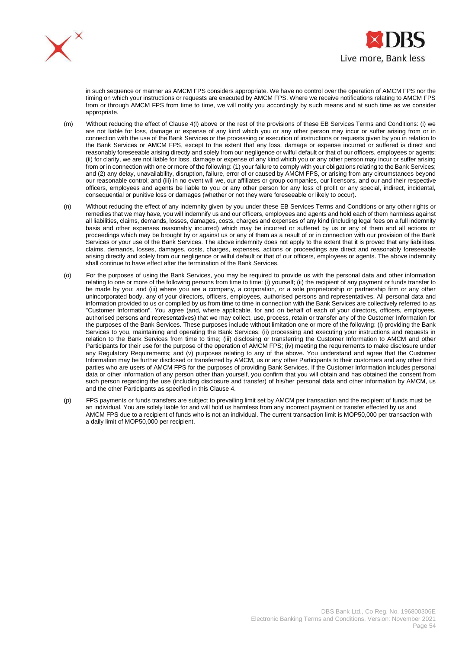



in such sequence or manner as AMCM FPS considers appropriate. We have no control over the operation of AMCM FPS nor the timing on which your instructions or requests are executed by AMCM FPS. Where we receive notifications relating to AMCM FPS from or through AMCM FPS from time to time, we will notify you accordingly by such means and at such time as we consider appropriate.

- (m) Without reducing the effect of Clause 4(l) above or the rest of the provisions of these EB Services Terms and Conditions: (i) we are not liable for loss, damage or expense of any kind which you or any other person may incur or suffer arising from or in connection with the use of the Bank Services or the processing or execution of instructions or requests given by you in relation to the Bank Services or AMCM FPS, except to the extent that any loss, damage or expense incurred or suffered is direct and reasonably foreseeable arising directly and solely from our negligence or wilful default or that of our officers, employees or agents; (ii) for clarity, we are not liable for loss, damage or expense of any kind which you or any other person may incur or suffer arising from or in connection with one or more of the following: (1) your failure to comply with your obligations relating to the Bank Services; and (2) any delay, unavailability, disruption, failure, error of or caused by AMCM FPS, or arising from any circumstances beyond our reasonable control; and (iii) in no event will we, our affiliates or group companies, our licensors, and our and their respective officers, employees and agents be liable to you or any other person for any loss of profit or any special, indirect, incidental, consequential or punitive loss or damages (whether or not they were foreseeable or likely to occur).
- (n) Without reducing the effect of any indemnity given by you under these EB Services Terms and Conditions or any other rights or remedies that we may have, you will indemnify us and our officers, employees and agents and hold each of them harmless against all liabilities, claims, demands, losses, damages, costs, charges and expenses of any kind (including legal fees on a full indemnity basis and other expenses reasonably incurred) which may be incurred or suffered by us or any of them and all actions or proceedings which may be brought by or against us or any of them as a result of or in connection with our provision of the Bank Services or your use of the Bank Services. The above indemnity does not apply to the extent that it is proved that any liabilities, claims, demands, losses, damages, costs, charges, expenses, actions or proceedings are direct and reasonably foreseeable arising directly and solely from our negligence or wilful default or that of our officers, employees or agents. The above indemnity shall continue to have effect after the termination of the Bank Services.
- (o) For the purposes of using the Bank Services, you may be required to provide us with the personal data and other information relating to one or more of the following persons from time to time: (i) yourself; (ii) the recipient of any payment or funds transfer to be made by you; and (iii) where you are a company, a corporation, or a sole proprietorship or partnership firm or any other unincorporated body, any of your directors, officers, employees, authorised persons and representatives. All personal data and information provided to us or compiled by us from time to time in connection with the Bank Services are collectively referred to as "Customer Information". You agree (and, where applicable, for and on behalf of each of your directors, officers, employees, authorised persons and representatives) that we may collect, use, process, retain or transfer any of the Customer Information for the purposes of the Bank Services. These purposes include without limitation one or more of the following: (i) providing the Bank Services to you, maintaining and operating the Bank Services; (ii) processing and executing your instructions and requests in relation to the Bank Services from time to time; (iii) disclosing or transferring the Customer Information to AMCM and other Participants for their use for the purpose of the operation of AMCM FPS; (iv) meeting the requirements to make disclosure under any Regulatory Requirements; and (v) purposes relating to any of the above. You understand and agree that the Customer Information may be further disclosed or transferred by AMCM, us or any other Participants to their customers and any other third parties who are users of AMCM FPS for the purposes of providing Bank Services. If the Customer Information includes personal data or other information of any person other than yourself, you confirm that you will obtain and has obtained the consent from such person regarding the use (including disclosure and transfer) of his/her personal data and other information by AMCM, us and the other Participants as specified in this Clause 4.
- (p) FPS payments or funds transfers are subject to prevailing limit set by AMCM per transaction and the recipient of funds must be an individual. You are solely liable for and will hold us harmless from any incorrect payment or transfer effected by us and AMCM FPS due to a recipient of funds who is not an individual. The current transaction limit is MOP50,000 per transaction with a daily limit of MOP50,000 per recipient.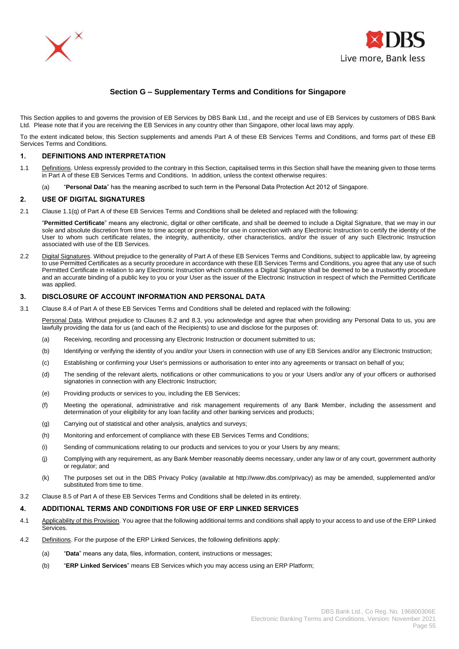



# **Section G – Supplementary Terms and Conditions for Singapore**

This Section applies to and governs the provision of EB Services by DBS Bank Ltd., and the receipt and use of EB Services by customers of DBS Bank Ltd. Please note that if you are receiving the EB Services in any country other than Singapore, other local laws may apply.

To the extent indicated below, this Section supplements and amends Part A of these EB Services Terms and Conditions, and forms part of these EB Services Terms and Conditions.

# **1. DEFINITIONS AND INTERPRETATION**

- 1.1 Definitions. Unless expressly provided to the contrary in this Section, capitalised terms in this Section shall have the meaning given to those terms in Part A of these EB Services Terms and Conditions. In addition, unless the context otherwise requires:
	- (a) "**Personal Data**" has the meaning ascribed to such term in the Personal Data Protection Act 2012 of Singapore.

# **2. USE OF DIGITAL SIGNATURES**

2.1 Clause 1.1(q) of Part A of these EB Services Terms and Conditions shall be deleted and replaced with the following:

"**Permitted Certificate**" means any electronic, digital or other certificate, and shall be deemed to include a Digital Signature, that we may in our sole and absolute discretion from time to time accept or prescribe for use in connection with any Electronic Instruction to certify the identity of the User to whom such certificate relates, the integrity, authenticity, other characteristics, and/or the issuer of any such Electronic Instruction associated with use of the EB Services.

2.2 Digital Signatures. Without prejudice to the generality of Part A of these EB Services Terms and Conditions, subject to applicable law, by agreeing to use Permitted Certificates as a security procedure in accordance with these EB Services Terms and Conditions, you agree that any use of such Permitted Certificate in relation to any Electronic Instruction which constitutes a Digital Signature shall be deemed to be a trustworthy procedure and an accurate binding of a public key to you or your User as the issuer of the Electronic Instruction in respect of which the Permitted Certificate was applied.

## **3. DISCLOSURE OF ACCOUNT INFORMATION AND PERSONAL DATA**

3.1 Clause 8.4 of Part A of these EB Services Terms and Conditions shall be deleted and replaced with the following:

Personal Data. Without prejudice to Clauses 8.2 and 8.3, you acknowledge and agree that when providing any Personal Data to us, you are lawfully providing the data for us (and each of the Recipients) to use and disclose for the purposes of:

- (a) Receiving, recording and processing any Electronic Instruction or document submitted to us;
- (b) Identifying or verifying the identity of you and/or your Users in connection with use of any EB Services and/or any Electronic Instruction;
- (c) Establishing or confirming your User's permissions or authorisation to enter into any agreements or transact on behalf of you;
- (d) The sending of the relevant alerts, notifications or other communications to you or your Users and/or any of your officers or authorised signatories in connection with any Electronic Instruction;
- (e) Providing products or services to you, including the EB Services;
- (f) Meeting the operational, administrative and risk management requirements of any Bank Member, including the assessment and determination of your eligibility for any loan facility and other banking services and products;
- (g) Carrying out of statistical and other analysis, analytics and surveys;
- (h) Monitoring and enforcement of compliance with these EB Services Terms and Conditions;
- (i) Sending of communications relating to our products and services to you or your Users by any means;
- (j) Complying with any requirement, as any Bank Member reasonably deems necessary, under any law or of any court, government authority or regulator; and
- (k) The purposes set out in the DBS Privacy Policy (available at http://www.dbs.com/privacy) as may be amended, supplemented and/or substituted from time to time.
- 3.2 Clause 8.5 of Part A of these EB Services Terms and Conditions shall be deleted in its entirety.

### **4. ADDITIONAL TERMS AND CONDITIONS FOR USE OF ERP LINKED SERVICES**

- 4.1 Applicability of this Provision. You agree that the following additional terms and conditions shall apply to your access to and use of the ERP Linked Services.
- 4.2 Definitions. For the purpose of the ERP Linked Services, the following definitions apply:
	- (a) "**Data**" means any data, files, information, content, instructions or messages;
	- (b) "**ERP Linked Services**" means EB Services which you may access using an ERP Platform;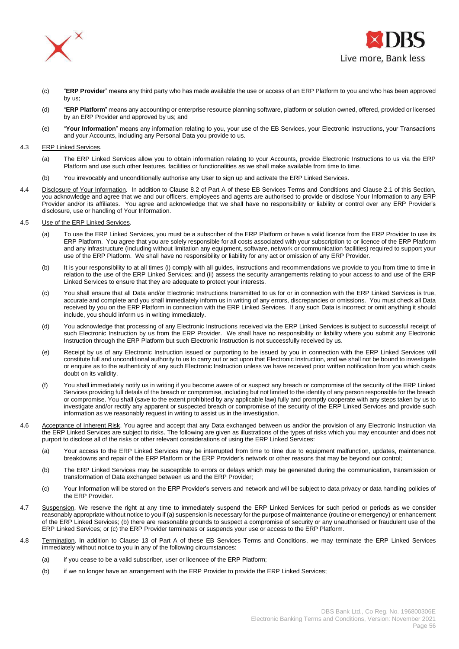



- (c) "**ERP Provider**" means any third party who has made available the use or access of an ERP Platform to you and who has been approved by us;
- (d) "**ERP Platform**" means any accounting or enterprise resource planning software, platform or solution owned, offered, provided or licensed by an ERP Provider and approved by us; and
- (e) "**Your Information**" means any information relating to you, your use of the EB Services, your Electronic Instructions, your Transactions and your Accounts, including any Personal Data you provide to us.
- 4.3 ERP Linked Services.
	- (a) The ERP Linked Services allow you to obtain information relating to your Accounts, provide Electronic Instructions to us via the ERP Platform and use such other features, facilities or functionalities as we shall make available from time to time.
	- (b) You irrevocably and unconditionally authorise any User to sign up and activate the ERP Linked Services.
- 4.4 Disclosure of Your Information. In addition to Clause 8.2 of Part A of these EB Services Terms and Conditions and Clause 2.1 of this Section, you acknowledge and agree that we and our officers, employees and agents are authorised to provide or disclose Your Information to any ERP Provider and/or its affiliates. You agree and acknowledge that we shall have no responsibility or liability or control over any ERP Provider's disclosure, use or handling of Your Information.
- 4.5 Use of the ERP Linked Services.
	- (a) To use the ERP Linked Services, you must be a subscriber of the ERP Platform or have a valid licence from the ERP Provider to use its ERP Platform. You agree that you are solely responsible for all costs associated with your subscription to or licence of the ERP Platform and any infrastructure (including without limitation any equipment, software, network or communication facilities) required to support your use of the ERP Platform. We shall have no responsibility or liability for any act or omission of any ERP Provider.
	- (b) It is your responsibility to at all times (i) comply with all guides, instructions and recommendations we provide to you from time to time in relation to the use of the ERP Linked Services; and (ii) assess the security arrangements relating to your access to and use of the ERP Linked Services to ensure that they are adequate to protect your interests.
	- (c) You shall ensure that all Data and/or Electronic Instructions transmitted to us for or in connection with the ERP Linked Services is true, accurate and complete and you shall immediately inform us in writing of any errors, discrepancies or omissions. You must check all Data received by you on the ERP Platform in connection with the ERP Linked Services. If any such Data is incorrect or omit anything it should include, you should inform us in writing immediately.
	- (d) You acknowledge that processing of any Electronic Instructions received via the ERP Linked Services is subject to successful receipt of such Electronic Instruction by us from the ERP Provider. We shall have no responsibility or liability where you submit any Electronic Instruction through the ERP Platform but such Electronic Instruction is not successfully received by us.
	- (e) Receipt by us of any Electronic Instruction issued or purporting to be issued by you in connection with the ERP Linked Services will constitute full and unconditional authority to us to carry out or act upon that Electronic Instruction, and we shall not be bound to investigate or enquire as to the authenticity of any such Electronic Instruction unless we have received prior written notification from you which casts doubt on its validity.
	- (f) You shall immediately notify us in writing if you become aware of or suspect any breach or compromise of the security of the ERP Linked Services providing full details of the breach or compromise, including but not limited to the identity of any person responsible for the breach or compromise. You shall (save to the extent prohibited by any applicable law) fully and promptly cooperate with any steps taken by us to investigate and/or rectify any apparent or suspected breach or compromise of the security of the ERP Linked Services and provide such information as we reasonably request in writing to assist us in the investigation.
- 4.6 Acceptance of Inherent Risk. You agree and accept that any Data exchanged between us and/or the provision of any Electronic Instruction via the ERP Linked Services are subject to risks. The following are given as illustrations of the types of risks which you may encounter and does not purport to disclose all of the risks or other relevant considerations of using the ERP Linked Services:
	- (a) Your access to the ERP Linked Services may be interrupted from time to time due to equipment malfunction, updates, maintenance, breakdowns and repair of the ERP Platform or the ERP Provider's network or other reasons that may be beyond our control;
	- (b) The ERP Linked Services may be susceptible to errors or delays which may be generated during the communication, transmission or transformation of Data exchanged between us and the ERP Provider;
	- (c) Your Information will be stored on the ERP Provider's servers and network and will be subject to data privacy or data handling policies of the ERP Provider.
- 4.7 Suspension. We reserve the right at any time to immediately suspend the ERP Linked Services for such period or periods as we consider reasonably appropriate without notice to you if (a) suspension is necessary for the purpose of maintenance (routine or emergency) or enhancement of the ERP Linked Services; (b) there are reasonable grounds to suspect a compromise of security or any unauthorised or fraudulent use of the ERP Linked Services; or (c) the ERP Provider terminates or suspends your use or access to the ERP Platform.
- 4.8 Termination. In addition to Clause 13 of Part A of these EB Services Terms and Conditions, we may terminate the ERP Linked Services immediately without notice to you in any of the following circumstances:
	- (a) if you cease to be a valid subscriber, user or licencee of the ERP Platform;
	- (b) if we no longer have an arrangement with the ERP Provider to provide the ERP Linked Services;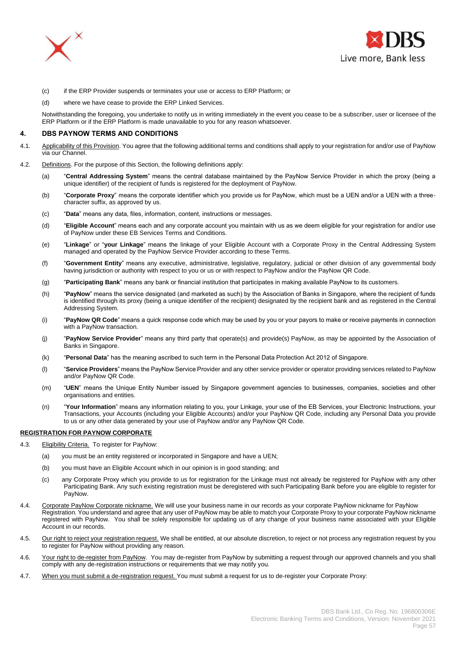



- (c) if the ERP Provider suspends or terminates your use or access to ERP Platform; or
- (d) where we have cease to provide the ERP Linked Services.

Notwithstanding the foregoing, you undertake to notify us in writing immediately in the event you cease to be a subscriber, user or licensee of the ERP Platform or if the ERP Platform is made unavailable to you for any reason whatsoever.

### **4. DBS PAYNOW TERMS AND CONDITIONS**

- 4.1. Applicability of this Provision. You agree that the following additional terms and conditions shall apply to your registration for and/or use of PayNow via our Channel.
- 4.2. Definitions. For the purpose of this Section, the following definitions apply:
	- (a) "**Central Addressing System**" means the central database maintained by the PayNow Service Provider in which the proxy (being a unique identifier) of the recipient of funds is registered for the deployment of PayNow.
	- (b) "**Corporate Proxy**" means the corporate identifier which you provide us for PayNow, which must be a UEN and/or a UEN with a threecharacter suffix, as approved by us.
	- (c) "**Data**" means any data, files, information, content, instructions or messages.
	- (d) "**Eligible Account**" means each and any corporate account you maintain with us as we deem eligible for your registration for and/or use of PayNow under these EB Services Terms and Conditions.
	- (e) "**Linkage**" or "**your Linkage**" means the linkage of your Eligible Account with a Corporate Proxy in the Central Addressing System managed and operated by the PayNow Service Provider according to these Terms.
	- (f) "**Government Entity**" means any executive, administrative, legislative, regulatory, judicial or other division of any governmental body having jurisdiction or authority with respect to you or us or with respect to PayNow and/or the PayNow QR Code.
	- (g) "**Participating Bank**" means any bank or financial institution that participates in making available PayNow to its customers.
	- (h) "**PayNow**" means the service designated (and marketed as such) by the Association of Banks in Singapore, where the recipient of funds is identified through its proxy (being a unique identifier of the recipient) designated by the recipient bank and as registered in the Central Addressing System.
	- (i) "**PayNow QR Code**" means a quick response code which may be used by you or your payors to make or receive payments in connection with a PayNow transaction.
	- (j) "**PayNow Service Provider**" means any third party that operate(s) and provide(s) PayNow, as may be appointed by the Association of Banks in Singapore.
	- (k) "**Personal Data**" has the meaning ascribed to such term in the Personal Data Protection Act 2012 of Singapore.
	- (l) "**Service Providers**" means the PayNow Service Provider and any other service provider or operator providing services related to PayNow and/or PayNow QR Code.
	- (m) "**UEN**" means the Unique Entity Number issued by Singapore government agencies to businesses, companies, societies and other organisations and entities.
	- (n) "**Your Information**" means any information relating to you, your Linkage, your use of the EB Services, your Electronic Instructions, your Transactions, your Accounts (including your Eligible Accounts) and/or your PayNow QR Code, including any Personal Data you provide to us or any other data generated by your use of PayNow and/or any PayNow QR Code.

## **REGISTRATION FOR PAYNOW CORPORATE**

- 4.3. Eligibility Criteria. To register for PayNow:
	- (a) you must be an entity registered or incorporated in Singapore and have a UEN;
	- (b) you must have an Eligible Account which in our opinion is in good standing; and
	- (c) any Corporate Proxy which you provide to us for registration for the Linkage must not already be registered for PayNow with any other Participating Bank. Any such existing registration must be deregistered with such Participating Bank before you are eligible to register for PayNow.
- 4.4. Corporate PayNow Corporate nickname. We will use your business name in our records as your corporate PayNow nickname for PayNow Registration. You understand and agree that any user of PayNow may be able to match your Corporate Proxy to your corporate PayNow nickname registered with PayNow. You shall be solely responsible for updating us of any change of your business name associated with your Eligible Account in our records.
- 4.5. Our right to reject your registration request. We shall be entitled, at our absolute discretion, to reject or not process any registration request by you to register for PayNow without providing any reason.
- 4.6. Your right to de-register from PayNow. You may de-register from PayNow by submitting a request through our approved channels and you shall comply with any de-registration instructions or requirements that we may notify you.
- 4.7. When you must submit a de-registration request. You must submit a request for us to de-register your Corporate Proxy: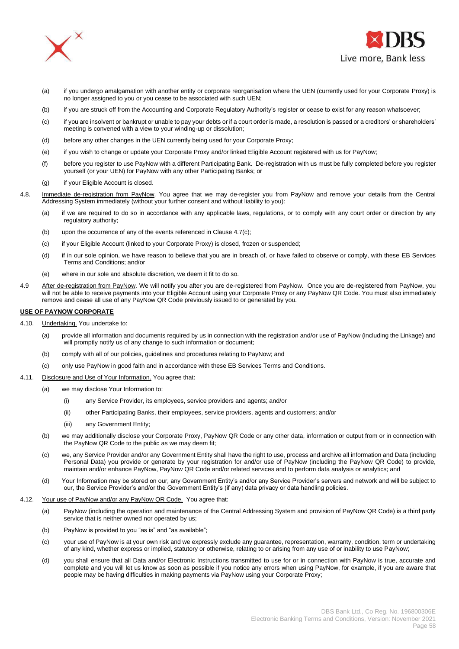



- (a) if you undergo amalgamation with another entity or corporate reorganisation where the UEN (currently used for your Corporate Proxy) is no longer assigned to you or you cease to be associated with such UEN;
- (b) if you are struck off from the Accounting and Corporate Regulatory Authority's register or cease to exist for any reason whatsoever;
- (c) if you are insolvent or bankrupt or unable to pay your debts or if a court order is made, a resolution is passed or a creditors' or shareholders' meeting is convened with a view to your winding-up or dissolution;
- (d) before any other changes in the UEN currently being used for your Corporate Proxy;
- (e) if you wish to change or update your Corporate Proxy and/or linked Eligible Account registered with us for PayNow;
- (f) before you register to use PayNow with a different Participating Bank. De-registration with us must be fully completed before you register yourself (or your UEN) for PayNow with any other Participating Banks; or
- (g) if your Eligible Account is closed.
- 4.8. Immediate de-registration from PayNow. You agree that we may de-register you from PayNow and remove your details from the Central Addressing System immediately (without your further consent and without liability to you):
	- (a) if we are required to do so in accordance with any applicable laws, regulations, or to comply with any court order or direction by any regulatory authority;
	- (b) upon the occurrence of any of the events referenced in Clause 4.7(c);
	- (c) if your Eligible Account (linked to your Corporate Proxy) is closed, frozen or suspended;
	- (d) if in our sole opinion, we have reason to believe that you are in breach of, or have failed to observe or comply, with these EB Services Terms and Conditions; and/or
	- (e) where in our sole and absolute discretion, we deem it fit to do so.
- 4.9 After de-registration from PayNow. We will notify you after you are de-registered from PayNow. Once you are de-registered from PayNow, you will not be able to receive payments into your Eligible Account using your Corporate Proxy or any PayNow QR Code. You must also immediately remove and cease all use of any PayNow QR Code previously issued to or generated by you.

## **USE OF PAYNOW CORPORATE**

- 4.10. Undertaking. You undertake to:
	- (a) provide all information and documents required by us in connection with the registration and/or use of PayNow (including the Linkage) and will promptly notify us of any change to such information or document;
	- (b) comply with all of our policies, guidelines and procedures relating to PayNow; and
	- (c) only use PayNow in good faith and in accordance with these EB Services Terms and Conditions.
- 4.11. Disclosure and Use of Your Information. You agree that:
	- (a) we may disclose Your Information to:
		- (i) any Service Provider, its employees, service providers and agents; and/or
		- (ii) other Participating Banks, their employees, service providers, agents and customers; and/or
		- (iii) any Government Entity;
	- (b) we may additionally disclose your Corporate Proxy, PayNow QR Code or any other data, information or output from or in connection with the PayNow QR Code to the public as we may deem fit;
	- (c) we, any Service Provider and/or any Government Entity shall have the right to use, process and archive all information and Data (including Personal Data) you provide or generate by your registration for and/or use of PayNow (including the PayNow QR Code) to provide, maintain and/or enhance PayNow, PayNow QR Code and/or related services and to perform data analysis or analytics; and
	- (d) Your Information may be stored on our, any Government Entity's and/or any Service Provider's servers and network and will be subject to our, the Service Provider's and/or the Government Entity's (if any) data privacy or data handling policies.
- 4.12. Your use of PayNow and/or any PayNow QR Code. You agree that:
	- (a) PayNow (including the operation and maintenance of the Central Addressing System and provision of PayNow QR Code) is a third party service that is neither owned nor operated by us;
	- (b) PayNow is provided to you "as is" and "as available";
	- (c) your use of PayNow is at your own risk and we expressly exclude any guarantee, representation, warranty, condition, term or undertaking of any kind, whether express or implied, statutory or otherwise, relating to or arising from any use of or inability to use PayNow;
	- (d) you shall ensure that all Data and/or Electronic Instructions transmitted to use for or in connection with PayNow is true, accurate and complete and you will let us know as soon as possible if you notice any errors when using PayNow, for example, if you are aware that people may be having difficulties in making payments via PayNow using your Corporate Proxy;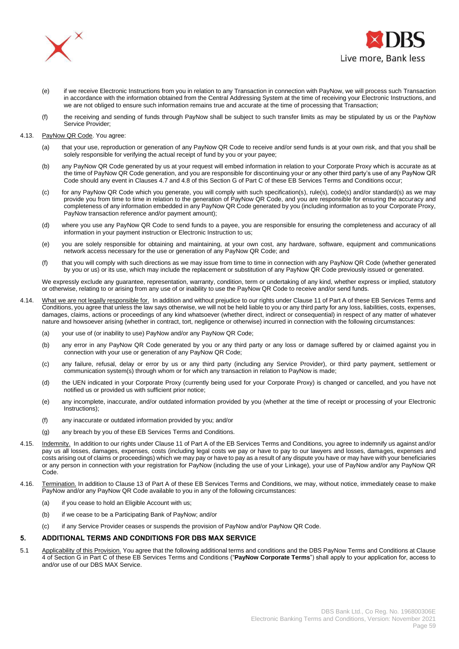



- (e) if we receive Electronic Instructions from you in relation to any Transaction in connection with PayNow, we will process such Transaction in accordance with the information obtained from the Central Addressing System at the time of receiving your Electronic Instructions, and we are not obliged to ensure such information remains true and accurate at the time of processing that Transaction;
- (f) the receiving and sending of funds through PayNow shall be subject to such transfer limits as may be stipulated by us or the PayNow Service Provider;
- 4.13. PayNow QR Code. You agree:
	- (a) that your use, reproduction or generation of any PayNow QR Code to receive and/or send funds is at your own risk, and that you shall be solely responsible for verifying the actual receipt of fund by you or your payee;
	- (b) any PayNow QR Code generated by us at your request will embed information in relation to your Corporate Proxy which is accurate as at the time of PayNow QR Code generation, and you are responsible for discontinuing your or any other third party's use of any PayNow QR Code should any event in Clauses 4.7 and 4.8 of this Section G of Part C of these EB Services Terms and Conditions occur;
	- (c) for any PayNow QR Code which you generate, you will comply with such specification(s), rule(s), code(s) and/or standard(s) as we may provide you from time to time in relation to the generation of PayNow QR Code, and you are responsible for ensuring the accuracy and completeness of any information embedded in any PayNow QR Code generated by you (including information as to your Corporate Proxy, PayNow transaction reference and/or payment amount);
	- (d) where you use any PayNow QR Code to send funds to a payee, you are responsible for ensuring the completeness and accuracy of all information in your payment instruction or Electronic Instruction to us;
	- (e) you are solely responsible for obtaining and maintaining, at your own cost, any hardware, software, equipment and communications network access necessary for the use or generation of any PayNow QR Code; and
	- (f) that you will comply with such directions as we may issue from time to time in connection with any PayNow QR Code (whether generated by you or us) or its use, which may include the replacement or substitution of any PayNow QR Code previously issued or generated.

We expressly exclude any guarantee, representation, warranty, condition, term or undertaking of any kind, whether express or implied, statutory or otherwise, relating to or arising from any use of or inability to use the PayNow QR Code to receive and/or send funds.

- 4.14. What we are not legally responsible for. In addition and without prejudice to our rights under Clause 11 of Part A of these EB Services Terms and Conditions, you agree that unless the law says otherwise, we will not be held liable to you or any third party for any loss, liabilities, costs, expenses, damages, claims, actions or proceedings of any kind whatsoever (whether direct, indirect or consequential) in respect of any matter of whatever nature and howsoever arising (whether in contract, tort, negligence or otherwise) incurred in connection with the following circumstances:
	- (a) your use of (or inability to use) PayNow and/or any PayNow QR Code;
	- (b) any error in any PayNow QR Code generated by you or any third party or any loss or damage suffered by or claimed against you in connection with your use or generation of any PayNow QR Code;
	- (c) any failure, refusal, delay or error by us or any third party (including any Service Provider), or third party payment, settlement or communication system(s) through whom or for which any transaction in relation to PayNow is made;
	- (d) the UEN indicated in your Corporate Proxy (currently being used for your Corporate Proxy) is changed or cancelled, and you have not notified us or provided us with sufficient prior notice;
	- (e) any incomplete, inaccurate, and/or outdated information provided by you (whether at the time of receipt or processing of your Electronic Instructions);
	- (f) any inaccurate or outdated information provided by you; and/or
	- (g) any breach by you of these EB Services Terms and Conditions.
- 4.15. Indemnity. In addition to our rights under Clause 11 of Part A of the EB Services Terms and Conditions, you agree to indemnify us against and/or pay us all losses, damages, expenses, costs (including legal costs we pay or have to pay to our lawyers and losses, damages, expenses and costs arising out of claims or proceedings) which we may pay or have to pay as a result of any dispute you have or may have with your beneficiaries or any person in connection with your registration for PayNow (including the use of your Linkage), your use of PayNow and/or any PayNow QR Code.
- 4.16. Termination. In addition to Clause 13 of Part A of these EB Services Terms and Conditions, we may, without notice, immediately cease to make PayNow and/or any PayNow QR Code available to you in any of the following circumstances:
	- (a) if you cease to hold an Eligible Account with us;
	- (b) if we cease to be a Participating Bank of PayNow; and/or
	- (c) if any Service Provider ceases or suspends the provision of PayNow and/or PayNow QR Code.

### **5. ADDITIONAL TERMS AND CONDITIONS FOR DBS MAX SERVICE**

5.1 Applicability of this Provision. You agree that the following additional terms and conditions and the DBS PayNow Terms and Conditions at Clause 4 of Section G in Part C of these EB Services Terms and Conditions ("**PayNow Corporate Terms**") shall apply to your application for, access to and/or use of our DBS MAX Service.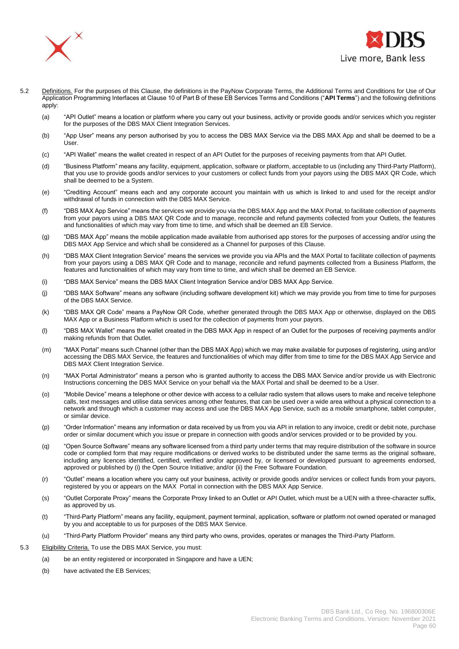



- 5.2 Definitions. For the purposes of this Clause, the definitions in the PayNow Corporate Terms, the Additional Terms and Conditions for Use of Our Application Programming Interfaces at Clause 10 of Part B of these EB Services Terms and Conditions ("**API Terms**") and the following definitions apply:
	- (a) "API Outlet" means a location or platform where you carry out your business, activity or provide goods and/or services which you register for the purposes of the DBS MAX Client Integration Services.
	- (b) "App User" means any person authorised by you to access the DBS MAX Service via the DBS MAX App and shall be deemed to be a User.
	- (c) "API Wallet" means the wallet created in respect of an API Outlet for the purposes of receiving payments from that API Outlet.
	- (d) "Business Platform" means any facility, equipment, application, software or platform, acceptable to us (including any Third-Party Platform), that you use to provide goods and/or services to your customers or collect funds from your payors using the DBS MAX QR Code, which shall be deemed to be a System.
	- (e) "Crediting Account" means each and any corporate account you maintain with us which is linked to and used for the receipt and/or withdrawal of funds in connection with the DBS MAX Service.
	- (f) "DBS MAX App Service" means the services we provide you via the DBS MAX App and the MAX Portal, to facilitate collection of payments from your payors using a DBS MAX QR Code and to manage, reconcile and refund payments collected from your Outlets, the features and functionalities of which may vary from time to time, and which shall be deemed an EB Service.
	- (g) "DBS MAX App" means the mobile application made available from authorised app stores for the purposes of accessing and/or using the DBS MAX App Service and which shall be considered as a Channel for purposes of this Clause.
	- (h) "DBS MAX Client Integration Service" means the services we provide you via APIs and the MAX Portal to facilitate collection of payments from your payors using a DBS MAX QR Code and to manage, reconcile and refund payments collected from a Business Platform, the features and functionalities of which may vary from time to time, and which shall be deemed an EB Service.
	- (i) "DBS MAX Service" means the DBS MAX Client Integration Service and/or DBS MAX App Service.
	- (j) "DBS MAX Software" means any software (including software development kit) which we may provide you from time to time for purposes of the DBS MAX Service.
	- (k) "DBS MAX QR Code" means a PayNow QR Code, whether generated through the DBS MAX App or otherwise, displayed on the DBS MAX App or a Business Platform which is used for the collection of payments from your payors.
	- (l) "DBS MAX Wallet" means the wallet created in the DBS MAX App in respect of an Outlet for the purposes of receiving payments and/or making refunds from that Outlet.
	- (m) "MAX Portal" means such Channel (other than the DBS MAX App) which we may make available for purposes of registering, using and/or accessing the DBS MAX Service, the features and functionalities of which may differ from time to time for the DBS MAX App Service and DBS MAX Client Integration Service.
	- (n) "MAX Portal Administrator" means a person who is granted authority to access the DBS MAX Service and/or provide us with Electronic Instructions concerning the DBS MAX Service on your behalf via the MAX Portal and shall be deemed to be a User.
	- (o) "Mobile Device" means a telephone or other device with access to a cellular radio system that allows users to make and receive telephone calls, text messages and utilise data services among other features, that can be used over a wide area without a physical connection to a network and through which a customer may access and use the DBS MAX App Service, such as a mobile smartphone, tablet computer, or similar device.
	- (p) "Order Information" means any information or data received by us from you via API in relation to any invoice, credit or debit note, purchase order or similar document which you issue or prepare in connection with goods and/or services provided or to be provided by you.
	- (q) "Open Source Software" means any software licensed from a third party under terms that may require distribution of the software in source code or complied form that may require modifications or derived works to be distributed under the same terms as the original software, including any licences identified, certified, verified and/or approved by, or licensed or developed pursuant to agreements endorsed, approved or published by (i) the Open Source Initiative; and/or (ii) the Free Software Foundation.
	- (r) "Outlet" means a location where you carry out your business, activity or provide goods and/or services or collect funds from your payors, registered by you or appears on the MAX Portal in connection with the DBS MAX App Service.
	- (s) "Outlet Corporate Proxy" means the Corporate Proxy linked to an Outlet or API Outlet, which must be a UEN with a three-character suffix, as approved by us.
	- (t) "Third-Party Platform" means any facility, equipment, payment terminal, application, software or platform not owned operated or managed by you and acceptable to us for purposes of the DBS MAX Service.
	- (u) "Third-Party Platform Provider" means any third party who owns, provides, operates or manages the Third-Party Platform.
- 5.3 Eligibility Criteria. To use the DBS MAX Service, you must:
	- (a) be an entity registered or incorporated in Singapore and have a UEN;
	- (b) have activated the EB Services;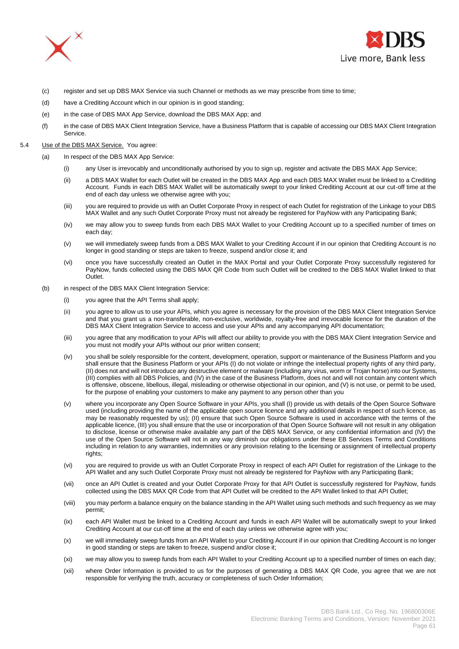



- (c) register and set up DBS MAX Service via such Channel or methods as we may prescribe from time to time;
- (d) have a Crediting Account which in our opinion is in good standing;
- (e) in the case of DBS MAX App Service, download the DBS MAX App; and
- (f) in the case of DBS MAX Client Integration Service, have a Business Platform that is capable of accessing our DBS MAX Client Integration Service.

### 5.4 Use of the DBS MAX Service. You agree:

- (a) In respect of the DBS MAX App Service:
	- (i) any User is irrevocably and unconditionally authorised by you to sign up, register and activate the DBS MAX App Service;
	- (ii) a DBS MAX Wallet for each Outlet will be created in the DBS MAX App and each DBS MAX Wallet must be linked to a Crediting Account. Funds in each DBS MAX Wallet will be automatically swept to your linked Crediting Account at our cut-off time at the end of each day unless we otherwise agree with you;
	- (iii) you are required to provide us with an Outlet Corporate Proxy in respect of each Outlet for registration of the Linkage to your DBS MAX Wallet and any such Outlet Corporate Proxy must not already be registered for PayNow with any Participating Bank;
	- (iv) we may allow you to sweep funds from each DBS MAX Wallet to your Crediting Account up to a specified number of times on each day;
	- (v) we will immediately sweep funds from a DBS MAX Wallet to your Crediting Account if in our opinion that Crediting Account is no longer in good standing or steps are taken to freeze, suspend and/or close it; and
	- (vi) once you have successfully created an Outlet in the MAX Portal and your Outlet Corporate Proxy successfully registered for PayNow, funds collected using the DBS MAX QR Code from such Outlet will be credited to the DBS MAX Wallet linked to that Outlet.
- (b) in respect of the DBS MAX Client Integration Service:
	- (i) you agree that the API Terms shall apply;
	- (ii) you agree to allow us to use your APIs, which you agree is necessary for the provision of the DBS MAX Client Integration Service and that you grant us a non-transferable, non-exclusive, worldwide, royalty-free and irrevocable licence for the duration of the DBS MAX Client Integration Service to access and use your APIs and any accompanying API documentation;
	- (iii) you agree that any modification to your APIs will affect our ability to provide you with the DBS MAX Client Integration Service and you must not modify your APIs without our prior written consent;
	- (iv) you shall be solely responsible for the content, development, operation, support or maintenance of the Business Platform and you shall ensure that the Business Platform or your APIs (I) do not violate or infringe the intellectual property rights of any third party, (II) does not and will not introduce any destructive element or malware (including any virus, worm or Trojan horse) into our Systems, (III) complies with all DBS Policies, and (IV) in the case of the Business Platform, does not and will not contain any content which is offensive, obscene, libellous, illegal, misleading or otherwise objectional in our opinion, and (V) is not use, or permit to be used, for the purpose of enabling your customers to make any payment to any person other than you
	- (v) where you incorporate any Open Source Software in your APIs, you shall (I) provide us with details of the Open Source Software used (including providing the name of the applicable open source licence and any additional details in respect of such licence, as may be reasonably requested by us); (II) ensure that such Open Source Software is used in accordance with the terms of the applicable licence, (III) you shall ensure that the use or incorporation of that Open Source Software will not result in any obligation to disclose, license or otherwise make available any part of the DBS MAX Service, or any confidential information and (IV) the use of the Open Source Software will not in any way diminish our obligations under these EB Services Terms and Conditions including in relation to any warranties, indemnities or any provision relating to the licensing or assignment of intellectual property rights;
	- (vi) you are required to provide us with an Outlet Corporate Proxy in respect of each API Outlet for registration of the Linkage to the API Wallet and any such Outlet Corporate Proxy must not already be registered for PayNow with any Participating Bank;
	- (vii) once an API Outlet is created and your Outlet Corporate Proxy for that API Outlet is successfully registered for PayNow, funds collected using the DBS MAX QR Code from that API Outlet will be credited to the API Wallet linked to that API Outlet;
	- (viii) you may perform a balance enquiry on the balance standing in the API Wallet using such methods and such frequency as we may permit;
	- (ix) each API Wallet must be linked to a Crediting Account and funds in each API Wallet will be automatically swept to your linked Crediting Account at our cut-off time at the end of each day unless we otherwise agree with you;
	- (x) we will immediately sweep funds from an API Wallet to your Crediting Account if in our opinion that Crediting Account is no longer in good standing or steps are taken to freeze, suspend and/or close it;
	- (xi) we may allow you to sweep funds from each API Wallet to your Crediting Account up to a specified number of times on each day;
	- (xii) where Order Information is provided to us for the purposes of generating a DBS MAX QR Code, you agree that we are not responsible for verifying the truth, accuracy or completeness of such Order Information;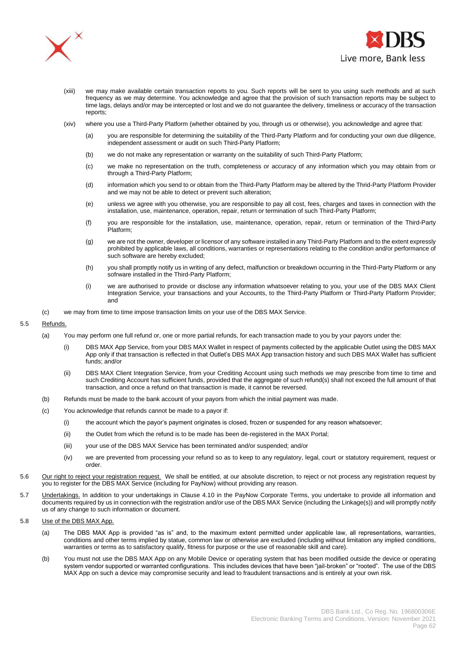



- (xiii) we may make available certain transaction reports to you. Such reports will be sent to you using such methods and at such frequency as we may determine. You acknowledge and agree that the provision of such transaction reports may be subject to time lags, delays and/or may be intercepted or lost and we do not guarantee the delivery, timeliness or accuracy of the transaction reports;
- (xiv) where you use a Third-Party Platform (whether obtained by you, through us or otherwise), you acknowledge and agree that:
	- (a) you are responsible for determining the suitability of the Third-Party Platform and for conducting your own due diligence, independent assessment or audit on such Third-Party Platform;
	- (b) we do not make any representation or warranty on the suitability of such Third-Party Platform;
	- (c) we make no representation on the truth, completeness or accuracy of any information which you may obtain from or through a Third-Party Platform;
	- (d) information which you send to or obtain from the Third-Party Platform may be altered by the Thrid-Party Platform Provider and we may not be able to detect or prevent such alteration;
	- (e) unless we agree with you otherwise, you are responsible to pay all cost, fees, charges and taxes in connection with the installation, use, maintenance, operation, repair, return or termination of such Third-Party Platform;
	- (f) you are responsible for the installation, use, maintenance, operation, repair, return or termination of the Third-Party Platform;
	- (g) we are not the owner, developer or licensor of any software installed in any Third-Party Platform and to the extent expressly prohibited by applicable laws, all conditions, warranties or representations relating to the condition and/or performance of such software are hereby excluded;
	- (h) you shall promptly notify us in writing of any defect, malfunction or breakdown occurring in the Third-Party Platform or any sofrware installed in the Third-Party Platform;
	- (i) we are authorised to provide or disclose any information whatsoever relating to you, your use of the DBS MAX Client Integration Service, your transactions and your Accounts, to the Third-Party Platform or Third-Party Platform Provider; and
- (c) we may from time to time impose transaction limits on your use of the DBS MAX Service.

## 5.5 Refunds.

- (a) You may perform one full refund or, one or more partial refunds, for each transaction made to you by your payors under the:
	- (i) DBS MAX App Service, from your DBS MAX Wallet in respect of payments collected by the applicable Outlet using the DBS MAX App only if that transaction is reflected in that Outlet's DBS MAX App transaction history and such DBS MAX Wallet has sufficient funds; and/or
	- (ii) DBS MAX Client Integration Service, from your Crediting Account using such methods we may prescribe from time to time and such Crediting Account has sufficient funds, provided that the aggregate of such refund(s) shall not exceed the full amount of that transaction, and once a refund on that transaction is made, it cannot be reversed.
- (b) Refunds must be made to the bank account of your payors from which the initial payment was made.
- (c) You acknowledge that refunds cannot be made to a payor if:
	- (i) the account which the payor's payment originates is closed, frozen or suspended for any reason whatsoever;
	- (ii) the Outlet from which the refund is to be made has been de-registered in the MAX Portal;
	- (iii) your use of the DBS MAX Service has been terminated and/or suspended; and/or
	- (iv) we are prevented from processing your refund so as to keep to any regulatory, legal, court or statutory requirement, request or order.
- 5.6 Our right to reject your registration request. We shall be entitled, at our absolute discretion, to reject or not process any registration request by you to register for the DBS MAX Service (including for PayNow) without providing any reason.
- 5.7 Undertakings. In addition to your undertakings in Clause 4.10 in the PayNow Corporate Terms, you undertake to provide all information and documents required by us in connection with the registration and/or use of the DBS MAX Service (including the Linkage(s)) and will promptly notify us of any change to such information or document.
- 5.8 Use of the DBS MAX App.
	- (a) The DBS MAX App is provided "as is" and, to the maximum extent permitted under applicable law, all representations, warranties, conditions and other terms implied by statue, common law or otherwise are excluded (including without limitation any implied conditions, warranties or terms as to satisfactory qualify, fitness for purpose or the use of reasonable skill and care).
	- (b) You must not use the DBS MAX App on any Mobile Device or operating system that has been modified outside the device or operating system vendor supported or warranted configurations. This includes devices that have been "jail-broken" or "rooted". The use of the DBS MAX App on such a device may compromise security and lead to fraudulent transactions and is entirely at your own risk.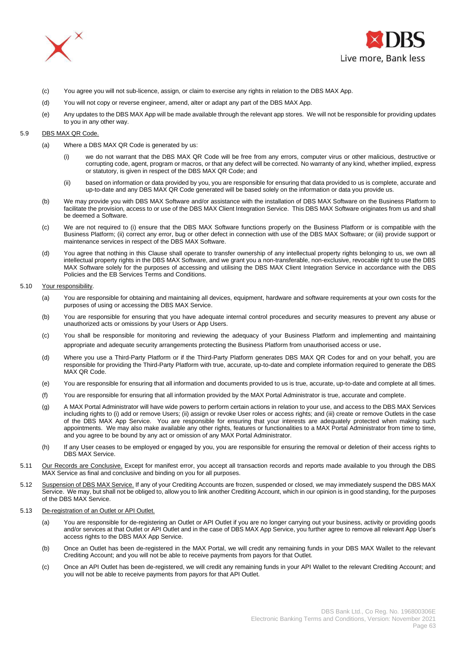



- (c) You agree you will not sub-licence, assign, or claim to exercise any rights in relation to the DBS MAX App.
- (d) You will not copy or reverse engineer, amend, alter or adapt any part of the DBS MAX App.
- (e) Any updates to the DBS MAX App will be made available through the relevant app stores. We will not be responsible for providing updates to you in any other way.

## 5.9 DBS MAX QR Code.

- (a) Where a DBS MAX QR Code is generated by us:
	- (i) we do not warrant that the DBS MAX QR Code will be free from any errors, computer virus or other malicious, destructive or corrupting code, agent, program or macros, or that any defect will be corrected. No warranty of any kind, whether implied, express or statutory, is given in respect of the DBS MAX QR Code; and
	- (ii) based on information or data provided by you, you are responsible for ensuring that data provided to us is complete, accurate and up-to-date and any DBS MAX QR Code generated will be based solely on the information or data you provide us.
- (b) We may provide you with DBS MAX Software and/or assistance with the installation of DBS MAX Software on the Business Platform to facilitate the provision, access to or use of the DBS MAX Client Integration Service. This DBS MAX Software originates from us and shall be deemed a Software.
- (c) We are not required to (i) ensure that the DBS MAX Software functions properly on the Business Platform or is compatible with the Business Platform; (ii) correct any error, bug or other defect in connection with use of the DBS MAX Software; or (iii) provide support or maintenance services in respect of the DBS MAX Software.
- (d) You agree that nothing in this Clause shall operate to transfer ownership of any intellectual property rights belonging to us, we own all intellectual property rights in the DBS MAX Software, and we grant you a non-transferable, non-exclusive, revocable right to use the DBS MAX Software solely for the purposes of accessing and utilising the DBS MAX Client Integration Service in accordance with the DBS Policies and the EB Services Terms and Conditions.

## 5.10 Your responsibility.

- (a) You are responsible for obtaining and maintaining all devices, equipment, hardware and software requirements at your own costs for the purposes of using or accessing the DBS MAX Service.
- (b) You are responsible for ensuring that you have adequate internal control procedures and security measures to prevent any abuse or unauthorized acts or omissions by your Users or App Users.
- (c) You shall be responsible for monitoring and reviewing the adequacy of your Business Platform and implementing and maintaining appropriate and adequate security arrangements protecting the Business Platform from unauthorised access or use.
- (d) Where you use a Third-Party Platform or if the Third-Party Platform generates DBS MAX QR Codes for and on your behalf, you are responsible for providing the Third-Party Platform with true, accurate, up-to-date and complete information required to generate the DBS MAX QR Code.
- (e) You are responsible for ensuring that all information and documents provided to us is true, accurate, up-to-date and complete at all times.
- (f) You are responsible for ensuring that all information provided by the MAX Portal Administrator is true, accurate and complete.
- (g) A MAX Portal Administrator will have wide powers to perform certain actions in relation to your use, and access to the DBS MAX Services including rights to (i) add or remove Users; (ii) assign or revoke User roles or access rights; and (iii) create or remove Outlets in the case of the DBS MAX App Service. You are responsible for ensuring that your interests are adequately protected when making such appointments. We may also make available any other rights, features or functionalities to a MAX Portal Administrator from time to time, and you agree to be bound by any act or omission of any MAX Portal Administrator.
- (h) If any User ceases to be employed or engaged by you, you are responsible for ensuring the removal or deletion of their access rights to DBS MAX Service.
- 5.11 Our Records are Conclusive. Except for manifest error, you accept all transaction records and reports made available to you through the DBS MAX Service as final and conclusive and binding on you for all purposes.
- 5.12 Suspension of DBS MAX Service. If any of your Crediting Accounts are frozen, suspended or closed, we may immediately suspend the DBS MAX Service. We may, but shall not be obliged to, allow you to link another Crediting Account, which in our opinion is in good standing, for the purposes of the DBS MAX Service.

### 5.13 De-registration of an Outlet or API Outlet.

- (a) You are responsible for de-registering an Outlet or API Outlet if you are no longer carrying out your business, activity or providing goods and/or services at that Outlet or API Outlet and in the case of DBS MAX App Service, you further agree to remove all relevant App User's access rights to the DBS MAX App Service.
- (b) Once an Outlet has been de-registered in the MAX Portal, we will credit any remaining funds in your DBS MAX Wallet to the relevant Crediting Account; and you will not be able to receive payments from payors for that Outlet.
- (c) Once an API Outlet has been de-registered, we will credit any remaining funds in your API Wallet to the relevant Crediting Account; and you will not be able to receive payments from payors for that API Outlet.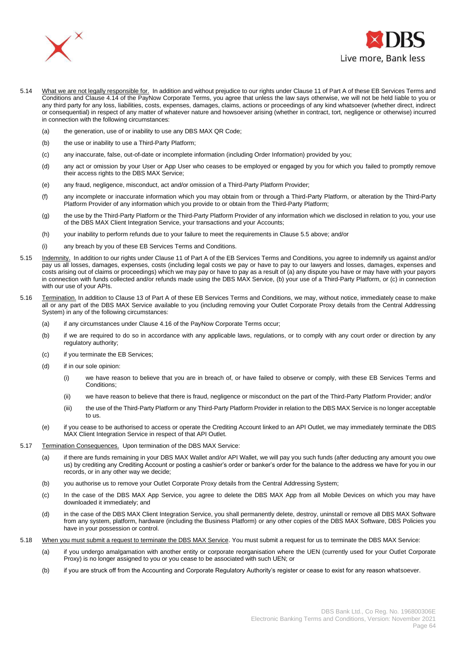



- 5.14 What we are not legally responsible for. In addition and without prejudice to our rights under Clause 11 of Part A of these EB Services Terms and Conditions and Clause 4.14 of the PayNow Corporate Terms, you agree that unless the law says otherwise, we will not be held liable to you or any third party for any loss, liabilities, costs, expenses, damages, claims, actions or proceedings of any kind whatsoever (whether direct, indirect or consequential) in respect of any matter of whatever nature and howsoever arising (whether in contract, tort, negligence or otherwise) incurred in connection with the following circumstances:
	- (a) the generation, use of or inability to use any DBS MAX QR Code;
	- (b) the use or inability to use a Third-Party Platform;
	- (c) any inaccurate, false, out-of-date or incomplete information (including Order Information) provided by you;
	- (d) any act or omission by your User or App User who ceases to be employed or engaged by you for which you failed to promptly remove their access rights to the DBS MAX Service;
	- (e) any fraud, negligence, misconduct, act and/or omission of a Third-Party Platform Provider;
	- (f) any incomplete or inaccurate information which you may obtain from or through a Third-Party Platform, or alteration by the Third-Party Platform Provider of any information which you provide to or obtain from the Third-Party Platform;
	- (g) the use by the Third-Party Platform or the Third-Party Platform Provider of any information which we disclosed in relation to you, your use of the DBS MAX Client Integration Service, your transactions and your Accounts;
	- (h) your inability to perform refunds due to your failure to meet the requirements in Clause 5.5 above; and/or
	- (i) any breach by you of these EB Services Terms and Conditions.
- 5.15 Indemnity. In addition to our rights under Clause 11 of Part A of the EB Services Terms and Conditions, you agree to indemnify us against and/or pay us all losses, damages, expenses, costs (including legal costs we pay or have to pay to our lawyers and losses, damages, expenses and costs arising out of claims or proceedings) which we may pay or have to pay as a result of (a) any dispute you have or may have with your payors in connection with funds collected and/or refunds made using the DBS MAX Service, (b) your use of a Third-Party Platform, or (c) in connection with our use of your APIs.
- 5.16 Termination. In addition to Clause 13 of Part A of these EB Services Terms and Conditions, we may, without notice, immediately cease to make all or any part of the DBS MAX Service available to you (including removing your Outlet Corporate Proxy details from the Central Addressing System) in any of the following circumstances:
	- (a) if any circumstances under Clause 4.16 of the PayNow Corporate Terms occur;
	- (b) if we are required to do so in accordance with any applicable laws, regulations, or to comply with any court order or direction by any regulatory authority;
	- (c) if you terminate the EB Services;
	- (d) if in our sole opinion:
		- (i) we have reason to believe that you are in breach of, or have failed to observe or comply, with these EB Services Terms and Conditions;
		- (ii) we have reason to believe that there is fraud, negligence or misconduct on the part of the Third-Party Platform Provider; and/or
		- (iii) the use of the Third-Party Platform or any Third-Party Platform Provider in relation to the DBS MAX Service is no longer acceptable to us.
	- (e) if you cease to be authorised to access or operate the Crediting Account linked to an API Outlet, we may immediately terminate the DBS MAX Client Integration Service in respect of that API Outlet.
- 5.17 Termination Consequences. Upon termination of the DBS MAX Service:
	- (a) if there are funds remaining in your DBS MAX Wallet and/or API Wallet, we will pay you such funds (after deducting any amount you owe us) by crediting any Crediting Account or posting a cashier's order or banker's order for the balance to the address we have for you in our records, or in any other way we decide;
	- (b) you authorise us to remove your Outlet Corporate Proxy details from the Central Addressing System;
	- (c) In the case of the DBS MAX App Service, you agree to delete the DBS MAX App from all Mobile Devices on which you may have downloaded it immediately; and
	- (d) in the case of the DBS MAX Client Integration Service, you shall permanently delete, destroy, uninstall or remove all DBS MAX Software from any system, platform, hardware (including the Business Platform) or any other copies of the DBS MAX Software, DBS Policies you have in your possession or control.
- 5.18 When you must submit a request to terminate the DBS MAX Service. You must submit a request for us to terminate the DBS MAX Service:
	- (a) if you undergo amalgamation with another entity or corporate reorganisation where the UEN (currently used for your Outlet Corporate Proxy) is no longer assigned to you or you cease to be associated with such UEN; or
	- (b) if you are struck off from the Accounting and Corporate Regulatory Authority's register or cease to exist for any reason whatsoever.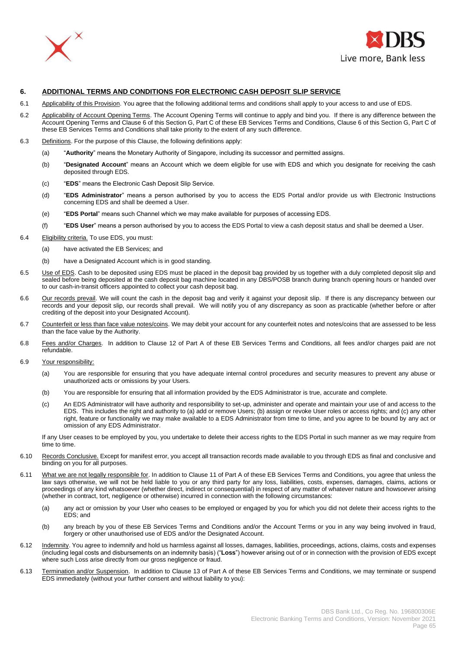



# **6. ADDITIONAL TERMS AND CONDITIONS FOR ELECTRONIC CASH DEPOSIT SLIP SERVICE**

- 6.1 Applicability of this Provision. You agree that the following additional terms and conditions shall apply to your access to and use of EDS.
- 6.2 Applicability of Account Opening Terms. The Account Opening Terms will continue to apply and bind you. If there is any difference between the Account Opening Terms and Clause 6 of this Section G, Part C of these EB Services Terms and Conditions, Clause 6 of this Section G, Part C of these EB Services Terms and Conditions shall take priority to the extent of any such difference.
- 6.3 Definitions. For the purpose of this Clause, the following definitions apply:
	- (a) "**Authority**" means the Monetary Authority of Singapore, including its successor and permitted assigns.
	- (b) "**Designated Account**" means an Account which we deem eligible for use with EDS and which you designate for receiving the cash deposited through EDS.
	- (c) "**EDS**" means the Electronic Cash Deposit Slip Service.
	- (d) "**EDS Administrator**" means a person authorised by you to access the EDS Portal and/or provide us with Electronic Instructions concerning EDS and shall be deemed a User.
	- (e) "**EDS Portal**" means such Channel which we may make available for purposes of accessing EDS.
	- (f) "**EDS User**" means a person authorised by you to access the EDS Portal to view a cash deposit status and shall be deemed a User.
- 6.4 Eligibility criteria. To use EDS, you must:
	- (a) have activated the EB Services; and
	- (b) have a Designated Account which is in good standing.
- 6.5 Use of EDS. Cash to be deposited using EDS must be placed in the deposit bag provided by us together with a duly completed deposit slip and sealed before being deposited at the cash deposit bag machine located in any DBS/POSB branch during branch opening hours or handed over to our cash-in-transit officers appointed to collect your cash deposit bag.
- 6.6 Our records prevail. We will count the cash in the deposit bag and verify it against your deposit slip. If there is any discrepancy between our records and your deposit slip, our records shall prevail. We will notify you of any discrepancy as soon as practicable (whether before or after crediting of the deposit into your Designated Account).
- 6.7 Counterfeit or less than face value notes/coins. We may debit your account for any counterfeit notes and notes/coins that are assessed to be less than the face value by the Authority.
- 6.8 Fees and/or Charges. In addition to Clause 12 of Part A of these EB Services Terms and Conditions, all fees and/or charges paid are not refundable.
- 6.9 Your responsibility:
	- (a) You are responsible for ensuring that you have adequate internal control procedures and security measures to prevent any abuse or unauthorized acts or omissions by your Users.
	- (b) You are responsible for ensuring that all information provided by the EDS Administrator is true, accurate and complete.
	- (c) An EDS Administrator will have authority and responsibility to set-up, administer and operate and maintain your use of and access to the EDS. This includes the right and authority to (a) add or remove Users; (b) assign or revoke User roles or access rights; and (c) any other right, feature or functionality we may make available to a EDS Administrator from time to time, and you agree to be bound by any act or omission of any EDS Administrator.

If any User ceases to be employed by you, you undertake to delete their access rights to the EDS Portal in such manner as we may require from time to time.

- 6.10 Records Conclusive. Except for manifest error, you accept all transaction records made available to you through EDS as final and conclusive and binding on you for all purposes.
- 6.11 What we are not legally responsible for. In addition to Clause 11 of Part A of these EB Services Terms and Conditions, you agree that unless the law says otherwise, we will not be held liable to you or any third party for any loss, liabilities, costs, expenses, damages, claims, actions or proceedings of any kind whatsoever (whether direct, indirect or consequential) in respect of any matter of whatever nature and howsoever arising (whether in contract, tort, negligence or otherwise) incurred in connection with the following circumstances:
	- (a) any act or omission by your User who ceases to be employed or engaged by you for which you did not delete their access rights to the EDS; and
	- (b) any breach by you of these EB Services Terms and Conditions and/or the Account Terms or you in any way being involved in fraud, forgery or other unauthorised use of EDS and/or the Designated Account.
- 6.12 Indemnity. You agree to indemnify and hold us harmless against all losses, damages, liabilities, proceedings, actions, claims, costs and expenses (including legal costs and disbursements on an indemnity basis) ("**Loss**") however arising out of or in connection with the provision of EDS except where such Loss arise directly from our gross negligence or fraud.
- 6.13 Termination and/or Suspension. In addition to Clause 13 of Part A of these EB Services Terms and Conditions, we may terminate or suspend EDS immediately (without your further consent and without liability to you):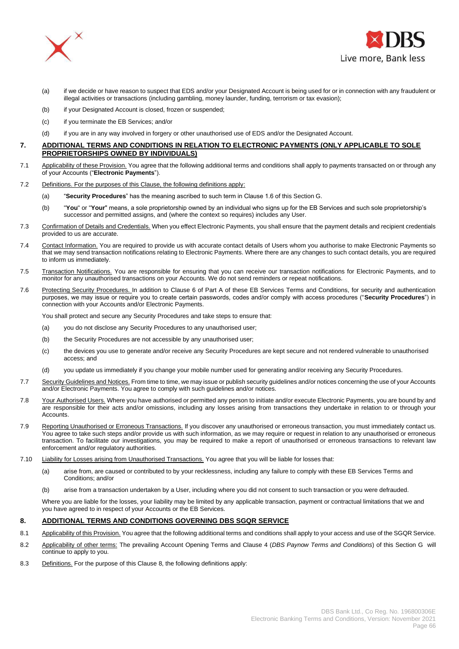



- (a) if we decide or have reason to suspect that EDS and/or your Designated Account is being used for or in connection with any fraudulent or illegal activities or transactions (including gambling, money launder, funding, terrorism or tax evasion);
- (b) if your Designated Account is closed, frozen or suspended;
- (c) if you terminate the EB Services; and/or
- (d) if you are in any way involved in forgery or other unauthorised use of EDS and/or the Designated Account.

# **7. ADDITIONAL TERMS AND CONDITIONS IN RELATION TO ELECTRONIC PAYMENTS (ONLY APPLICABLE TO SOLE PROPRIETORSHIPS OWNED BY INDIVIDUALS)**

- 7.1 Applicability of these Provision. You agree that the following additional terms and conditions shall apply to payments transacted on or through any of your Accounts ("**Electronic Payments**").
- 7.2 Definitions. For the purposes of this Clause, the following definitions apply:
	- (a) "**Security Procedures**" has the meaning ascribed to such term in Clause 1.6 of this Section G.
	- (b) "**You**" or "**Your**" means, a sole proprietorship owned by an individual who signs up for the EB Services and such sole proprietorship's successor and permitted assigns, and (where the context so requires) includes any User.
- 7.3 Confirmation of Details and Credentials. When you effect Electronic Payments, you shall ensure that the payment details and recipient credentials provided to us are accurate.
- 7.4 Contact Information. You are required to provide us with accurate contact details of Users whom you authorise to make Electronic Payments so that we may send transaction notifications relating to Electronic Payments. Where there are any changes to such contact details, you are required to inform us immediately.
- 7.5 Transaction Notifications. You are responsible for ensuring that you can receive our transaction notifications for Electronic Payments, and to monitor for any unauthorised transactions on your Accounts. We do not send reminders or repeat notifications.
- 7.6 Protecting Security Procedures. In addition to Clause 6 of Part A of these EB Services Terms and Conditions, for security and authentication purposes, we may issue or require you to create certain passwords, codes and/or comply with access procedures ("**Security Procedures**") in connection with your Accounts and/or Electronic Payments.

You shall protect and secure any Security Procedures and take steps to ensure that:

- (a) you do not disclose any Security Procedures to any unauthorised user;
- (b) the Security Procedures are not accessible by any unauthorised user;
- (c) the devices you use to generate and/or receive any Security Procedures are kept secure and not rendered vulnerable to unauthorised access; and
- (d) you update us immediately if you change your mobile number used for generating and/or receiving any Security Procedures.
- 7.7 Security Guidelines and Notices. From time to time, we may issue or publish security guidelines and/or notices concerning the use of your Accounts and/or Electronic Payments. You agree to comply with such guidelines and/or notices.
- 7.8 Your Authorised Users. Where you have authorised or permitted any person to initiate and/or execute Electronic Payments, you are bound by and are responsible for their acts and/or omissions, including any losses arising from transactions they undertake in relation to or through your Accounts.
- 7.9 Reporting Unauthorised or Erroneous Transactions. If you discover any unauthorised or erroneous transaction, you must immediately contact us. You agree to take such steps and/or provide us with such information, as we may require or request in relation to any unauthorised or erroneous transaction. To facilitate our investigations, you may be required to make a report of unauthorised or erroneous transactions to relevant law enforcement and/or regulatory authorities.
- 7.10 Liability for Losses arising from Unauthorised Transactions. You agree that you will be liable for losses that:
	- (a) arise from, are caused or contributed to by your recklessness, including any failure to comply with these EB Services Terms and Conditions; and/or
	- (b) arise from a transaction undertaken by a User, including where you did not consent to such transaction or you were defrauded.

Where you are liable for the losses, your liability may be limited by any applicable transaction, payment or contractual limitations that we and you have agreed to in respect of your Accounts or the EB Services.

## <span id="page-65-0"></span>**8. ADDITIONAL TERMS AND CONDITIONS GOVERNING DBS SGQR SERVICE**

- 8.1 Applicability of this Provision. You agree that the following additional terms and conditions shall apply to your access and use of the SGQR Service.
- 8.2 Applicability of other terms: The prevailing Account Opening Terms and Clause 4 (*DBS Paynow Terms and Conditions*) of this Section G will continue to apply to you.
- 8.3 Definitions. For the purpose of this Claus[e 8,](#page-65-0) the following definitions apply: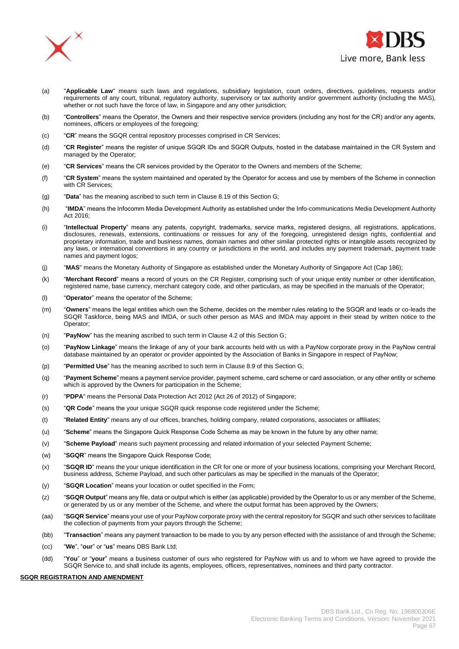



- (a) "**Applicable Law**" means such laws and regulations, subsidiary legislation, court orders, directives, guidelines, requests and/or requirements of any court, tribunal, regulatory authority, supervisory or tax authority and/or government authority (including the MAS), whether or not such have the force of law, in Singapore and any other jurisdiction;
- (b) "**Controllers**" means the Operator, the Owners and their respective service providers (including any host for the CR) and/or any agents, nominees, officers or employees of the foregoing;
- (c) "**CR**" means the SGQR central repository processes comprised in CR Services;
- (d) "**CR Register**" means the register of unique SGQR IDs and SGQR Outputs, hosted in the database maintained in the CR System and managed by the Operator;
- (e) "**CR Services**" means the CR services provided by the Operator to the Owners and members of the Scheme;
- (f) "**CR System**" means the system maintained and operated by the Operator for access and use by members of the Scheme in connection with CR Services;
- (g) "**Data**" has the meaning ascribed to such term in Clause 8.19 of this Section G;
- (h) "**IMDA**" means the Infocomm Media Development Authority as established under the Info-communications Media Development Authority Act 2016;
- (i) "**Intellectual Property**" means any patents, copyright, trademarks, service marks, registered designs, all registrations, applications, disclosures, renewals, extensions, continuations or reissues for any of the foregoing, unregistered design rights, confidential and proprietary information, trade and business names, domain names and other similar protected rights or intangible assets recognized by any laws, or international conventions in any country or jurisdictions in the world, and includes any payment trademark, payment trade names and payment logos;
- (j) "**MAS**" means the Monetary Authority of Singapore as established under the Monetary Authority of Singapore Act (Cap 186);
- (k) "**Merchant Record**" means a record of yours on the CR Register, comprising such of your unique entity number or other identification, registered name, base currency, merchant category code, and other particulars, as may be specified in the manuals of the Operator;
- (l) "**Operator**" means the operator of the Scheme;
- (m) "**Owners**" means the legal entities which own the Scheme, decides on the member rules relating to the SGQR and leads or co-leads the SGQR Taskforce, being MAS and IMDA, or such other person as MAS and IMDA may appoint in their stead by written notice to the Operator;
- (n) "**PayNow**" has the meaning ascribed to such term in Clause 4.2 of this Section G;
- (o) "**PayNow Linkage**" means the linkage of any of your bank accounts held with us with a PayNow corporate proxy in the PayNow central database maintained by an operator or provider appointed by the Association of Banks in Singapore in respect of PayNow;
- (p) "**Permitted Use**" has the meaning ascribed to such term in Clause 8.9 of this Section G;
- (q) "**Payment Scheme**" means a payment service provider, payment scheme, card scheme or card association, or any other entity or scheme which is approved by the Owners for participation in the Scheme;
- (r) "**PDPA**" means the Personal Data Protection Act 2012 (Act 26 of 2012) of Singapore;
- (s) "**QR Code**" means the your unique SGQR quick response code registered under the Scheme;
- (t) "**Related Entity**" means any of our offices, branches, holding company, related corporations, associates or affiliates;
- (u) "**Scheme**" means the Singapore Quick Response Code Scheme as may be known in the future by any other name;
- (v) "**Scheme Payload**" means such payment processing and related information of your selected Payment Scheme;
- (w) "**SGQR**" means the Singapore Quick Response Code;
- (x) "**SGQR ID**" means the your unique identification in the CR for one or more of your business locations, comprising your Merchant Record, business address, Scheme Payload, and such other particulars as may be specified in the manuals of the Operator;
- (y) "**SGQR Location**" means your location or outlet specified in the Form;
- (z) "**SGQR Output**" means any file, data or output which is either (as applicable) provided by the Operator to us or any member of the Scheme, or generated by us or any member of the Scheme, and where the output format has been approved by the Owners;
- (aa) "**SGQR Service**" means your use of your PayNow corporate proxy with the central repository for SGQR and such other services to facilitate the collection of payments from your payors through the Scheme;
- (bb) "**Transaction**" means any payment transaction to be made to you by any person effected with the assistance of and through the Scheme;
- (cc) "**We**", "**our**" or "**us**" means DBS Bank Ltd;
- (dd) "**You**" or "**your**" means a business customer of ours who registered for PayNow with us and to whom we have agreed to provide the SGQR Service to, and shall include its agents, employees, officers, representatives, nominees and third party contractor.

### **SGQR REGISTRATION AND AMENDMENT**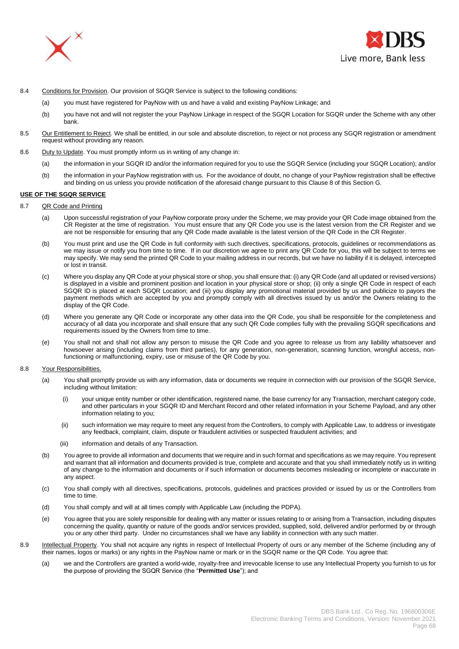



- 8.4 Conditions for Provision. Our provision of SGQR Service is subject to the following conditions:
	- (a) you must have registered for PayNow with us and have a valid and existing PayNow Linkage; and
	- (b) you have not and will not register the your PayNow Linkage in respect of the SGQR Location for SGQR under the Scheme with any other bank.
- 8.5 Our Entitlement to Reject. We shall be entitled, in our sole and absolute discretion, to reject or not process any SGQR registration or amendment request without providing any reason.
- 8.6 Duty to Update. You must promptly inform us in writing of any change in:
	- (a) the information in your SGQR ID and/or the information required for you to use the SGQR Service (including your SGQR Location); and/or
	- (b) the information in your PayNow registration with us. For the avoidance of doubt, no change of your PayNow registration shall be effective and binding on us unless you provide notification of the aforesaid change pursuant to this Clause 8 of this Section G.

#### **USE OF THE SGQR SERVICE**

- 8.7 QR Code and Printing
	- (a) Upon successful registration of your PayNow corporate proxy under the Scheme, we may provide your QR Code image obtained from the CR Register at the time of registration. You must ensure that any QR Code you use is the latest version from the CR Register and we are not be responsible for ensuring that any QR Code made available is the latest version of the QR Code in the CR Register.
	- (b) You must print and use the QR Code in full conformity with such directives, specifications, protocols, guidelines or recommendations as we may issue or notify you from time to time. If in our discretion we agree to print any QR Code for you, this will be subject to terms we may specify. We may send the printed QR Code to your mailing address in our records, but we have no liability if it is delayed, intercepted or lost in transit.
	- (c) Where you display any QR Code at your physical store or shop, you shall ensure that: (i) any QR Code (and all updated or revised versions) is displayed in a visible and prominent position and location in your physical store or shop; (ii) only a single QR Code in respect of each SGQR ID is placed at each SGQR Location; and (iii) you display any promotional material provided by us and publicize to payors the payment methods which are accepted by you and promptly comply with all directives issued by us and/or the Owners relating to the display of the QR Code.
	- (d) Where you generate any QR Code or incorporate any other data into the QR Code, you shall be responsible for the completeness and accuracy of all data you incorporate and shall ensure that any such QR Code complies fully with the prevailing SGQR specifications and requirements issued by the Owners from time to time.
	- (e) You shall not and shall not allow any person to misuse the QR Code and you agree to release us from any liability whatsoever and howsoever arising (including claims from third parties), for any generation, non-generation, scanning function, wrongful access, nonfunctioning or malfunctioning, expiry, use or misuse of the QR Code by you.

## 8.8 Your Responsibilities.

- (a) You shall promptly provide us with any information, data or documents we require in connection with our provision of the SGQR Service, including without limitation:
	- (i) your unique entity number or other identification, registered name, the base currency for any Transaction, merchant category code, and other particulars in your SGQR ID and Merchant Record and other related information in your Scheme Payload, and any other information relating to you;
	- (ii) such information we may require to meet any request from the Controllers, to comply with Applicable Law, to address or investigate any feedback, complaint, claim, dispute or fraudulent activities or suspected fraudulent activities; and
	- (iii) information and details of any Transaction.
- (b) You agree to provide all information and documents that we require and in such format and specifications as we may require. You represent and warrant that all information and documents provided is true, complete and accurate and that you shall immediately notify us in writing of any change to the information and documents or if such information or documents becomes misleading or incomplete or inaccurate in any aspect.
- (c) You shall comply with all directives, specifications, protocols, guidelines and practices provided or issued by us or the Controllers from time to time.
- (d) You shall comply and will at all times comply with Applicable Law (including the PDPA).
- (e) You agree that you are solely responsible for dealing with any matter or issues relating to or arising from a Transaction, including disputes concerning the quality, quantity or nature of the goods and/or services provided, supplied, sold, delivered and/or performed by or through you or any other third party. Under no circumstances shall we have any liability in connection with any such matter.
- 8.9 Intellectual Property. You shall not acquire any rights in respect of Intellectual Property of ours or any member of the Scheme (including any of their names, logos or marks) or any rights in the PayNow name or mark or in the SGQR name or the QR Code. You agree that:
	- (a) we and the Controllers are granted a world-wide, royalty-free and irrevocable license to use any Intellectual Property you furnish to us for the purpose of providing the SGQR Service (the "**Permitted Use**"); and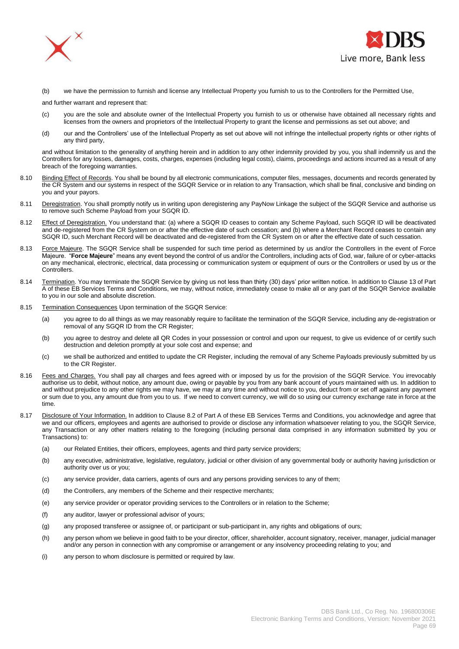



(b) we have the permission to furnish and license any Intellectual Property you furnish to us to the Controllers for the Permitted Use,

and further warrant and represent that:

- (c) you are the sole and absolute owner of the Intellectual Property you furnish to us or otherwise have obtained all necessary rights and licenses from the owners and proprietors of the Intellectual Property to grant the license and permissions as set out above; and
- (d) our and the Controllers' use of the Intellectual Property as set out above will not infringe the intellectual property rights or other rights of any third party,

and without limitation to the generality of anything herein and in addition to any other indemnity provided by you, you shall indemnify us and the Controllers for any losses, damages, costs, charges, expenses (including legal costs), claims, proceedings and actions incurred as a result of any breach of the foregoing warranties.

- 8.10 Binding Effect of Records. You shall be bound by all electronic communications, computer files, messages, documents and records generated by the CR System and our systems in respect of the SGQR Service or in relation to any Transaction, which shall be final, conclusive and binding on you and your payors.
- 8.11 Deregistration. You shall promptly notify us in writing upon deregistering any PayNow Linkage the subject of the SGQR Service and authorise us to remove such Scheme Payload from your SGQR ID.
- 8.12 Effect of Deregistration. You understand that: (a) where a SGQR ID ceases to contain any Scheme Payload, such SGQR ID will be deactivated and de-registered from the CR System on or after the effective date of such cessation; and (b) where a Merchant Record ceases to contain any SGQR ID, such Merchant Record will be deactivated and de-registered from the CR System on or after the effective date of such cessation.
- 8.13 Force Majeure. The SGQR Service shall be suspended for such time period as determined by us and/or the Controllers in the event of Force Majeure. "**Force Majeure**" means any event beyond the control of us and/or the Controllers, including acts of God, war, failure of or cyber-attacks on any mechanical, electronic, electrical, data processing or communication system or equipment of ours or the Controllers or used by us or the Controllers.
- 8.14 Termination. You may terminate the SGQR Service by giving us not less than thirty (30) days' prior written notice. In addition to Clause 13 of Part A of these EB Services Terms and Conditions, we may, without notice, immediately cease to make all or any part of the SGQR Service available to you in our sole and absolute discretion.
- 8.15 Termination Consequences Upon termination of the SGQR Service:
	- (a) you agree to do all things as we may reasonably require to facilitate the termination of the SGQR Service, including any de-registration or removal of any SGQR ID from the CR Register;
	- (b) you agree to destroy and delete all QR Codes in your possession or control and upon our request, to give us evidence of or certify such destruction and deletion promptly at your sole cost and expense; and
	- (c) we shall be authorized and entitled to update the CR Register, including the removal of any Scheme Payloads previously submitted by us to the CR Register.
- 8.16 Fees and Charges. You shall pay all charges and fees agreed with or imposed by us for the provision of the SGQR Service. You irrevocably authorise us to debit, without notice, any amount due, owing or payable by you from any bank account of yours maintained with us. In addition to and without prejudice to any other rights we may have, we may at any time and without notice to you, deduct from or set off against any payment or sum due to you, any amount due from you to us. If we need to convert currency, we will do so using our currency exchange rate in force at the time.
- 8.17 Disclosure of Your Information. In addition to Clause 8.2 of Part A of these EB Services Terms and Conditions, you acknowledge and agree that we and our officers, employees and agents are authorised to provide or disclose any information whatsoever relating to you, the SGQR Service, any Transaction or any other matters relating to the foregoing (including personal data comprised in any information submitted by you or Transactions) to:
	- (a) our Related Entities, their officers, employees, agents and third party service providers;
	- (b) any executive, administrative, legislative, regulatory, judicial or other division of any governmental body or authority having jurisdiction or authority over us or you;
	- (c) any service provider, data carriers, agents of ours and any persons providing services to any of them;
	- (d) the Controllers, any members of the Scheme and their respective merchants;
	- (e) any service provider or operator providing services to the Controllers or in relation to the Scheme;
	- (f) any auditor, lawyer or professional advisor of yours;
	- (g) any proposed transferee or assignee of, or participant or sub-participant in, any rights and obligations of ours;
	- (h) any person whom we believe in good faith to be your director, officer, shareholder, account signatory, receiver, manager, judicial manager and/or any person in connection with any compromise or arrangement or any insolvency proceeding relating to you; and
	- (i) any person to whom disclosure is permitted or required by law.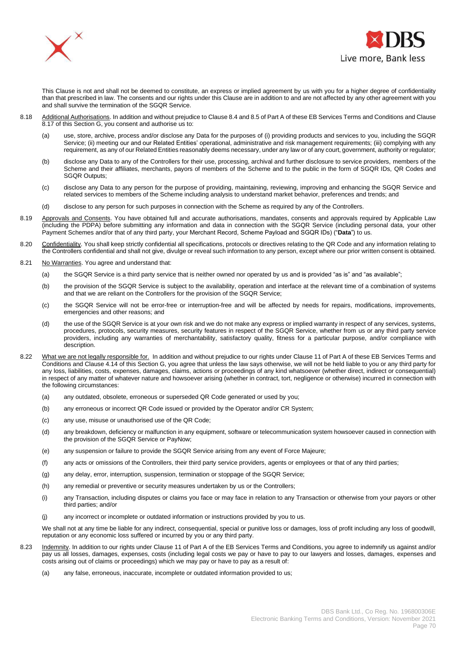



This Clause is not and shall not be deemed to constitute, an express or implied agreement by us with you for a higher degree of confidentiality than that prescribed in law. The consents and our rights under this Clause are in addition to and are not affected by any other agreement with you and shall survive the termination of the SGQR Service.

- 8.18 Additional Authorisations. In addition and without prejudice to Clause 8.4 and 8.5 of Part A of these EB Services Terms and Conditions and Clause 8.17 of this Section G, you consent and authorise us to:
	- (a) use, store, archive, process and/or disclose any Data for the purposes of (i) providing products and services to you, including the SGQR Service; (ii) meeting our and our Related Entities' operational, administrative and risk management requirements; (iii) complying with any requirement, as any of our Related Entities reasonably deems necessary, under any law or of any court, government, authority or regulator;
	- (b) disclose any Data to any of the Controllers for their use, processing, archival and further disclosure to service providers, members of the Scheme and their affiliates, merchants, payors of members of the Scheme and to the public in the form of SGQR IDs, QR Codes and SGQR Outputs;
	- (c) disclose any Data to any person for the purpose of providing, maintaining, reviewing, improving and enhancing the SGQR Service and related services to members of the Scheme including analysis to understand market behavior, preferences and trends; and
	- (d) disclose to any person for such purposes in connection with the Scheme as required by any of the Controllers.
- 8.19 Approvals and Consents. You have obtained full and accurate authorisations, mandates, consents and approvals required by Applicable Law (including the PDPA) before submitting any information and data in connection with the SGQR Service (including personal data, your other Payment Schemes and/or that of any third party, your Merchant Record, Scheme Payload and SGQR IDs) ("**Data**") to us.
- 8.20 Confidentiality. You shall keep strictly confidential all specifications, protocols or directives relating to the QR Code and any information relating to the Controllers confidential and shall not give, divulge or reveal such information to any person, except where our prior written consent is obtained.
- 8.21 No Warranties. You agree and understand that:
	- (a) the SGQR Service is a third party service that is neither owned nor operated by us and is provided "as is" and "as available";
	- (b) the provision of the SGQR Service is subject to the availability, operation and interface at the relevant time of a combination of systems and that we are reliant on the Controllers for the provision of the SGQR Service;
	- (c) the SGQR Service will not be error-free or interruption-free and will be affected by needs for repairs, modifications, improvements, emergencies and other reasons; and
	- (d) the use of the SGQR Service is at your own risk and we do not make any express or implied warranty in respect of any services, systems, procedures, protocols, security measures, security features in respect of the SGQR Service, whether from us or any third party service providers, including any warranties of merchantability, satisfactory quality, fitness for a particular purpose, and/or compliance with description.
- 8.22 What we are not legally responsible for. In addition and without prejudice to our rights under Clause 11 of Part A of these EB Services Terms and Conditions and Clause 4.14 of this Section G, you agree that unless the law says otherwise, we will not be held liable to you or any third party for any loss, liabilities, costs, expenses, damages, claims, actions or proceedings of any kind whatsoever (whether direct, indirect or consequential) in respect of any matter of whatever nature and howsoever arising (whether in contract, tort, negligence or otherwise) incurred in connection with the following circumstances:
	- (a) any outdated, obsolete, erroneous or superseded QR Code generated or used by you;
	- (b) any erroneous or incorrect QR Code issued or provided by the Operator and/or CR System;
	- (c) any use, misuse or unauthorised use of the QR Code;
	- (d) any breakdown, deficiency or malfunction in any equipment, software or telecommunication system howsoever caused in connection with the provision of the SGQR Service or PayNow;
	- (e) any suspension or failure to provide the SGQR Service arising from any event of Force Majeure;
	- (f) any acts or omissions of the Controllers, their third party service providers, agents or employees or that of any third parties;
	- (g) any delay, error, interruption, suspension, termination or stoppage of the SGQR Service;
	- (h) any remedial or preventive or security measures undertaken by us or the Controllers;
	- (i) any Transaction, including disputes or claims you face or may face in relation to any Transaction or otherwise from your payors or other third parties; and/or
	- (j) any incorrect or incomplete or outdated information or instructions provided by you to us.

We shall not at any time be liable for any indirect, consequential, special or punitive loss or damages, loss of profit including any loss of goodwill, reputation or any economic loss suffered or incurred by you or any third party.

- 8.23 Indemnity. In addition to our rights under Clause 11 of Part A of the EB Services Terms and Conditions, you agree to indemnify us against and/or pay us all losses, damages, expenses, costs (including legal costs we pay or have to pay to our lawyers and losses, damages, expenses and costs arising out of claims or proceedings) which we may pay or have to pay as a result of:
	- (a) any false, erroneous, inaccurate, incomplete or outdated information provided to us;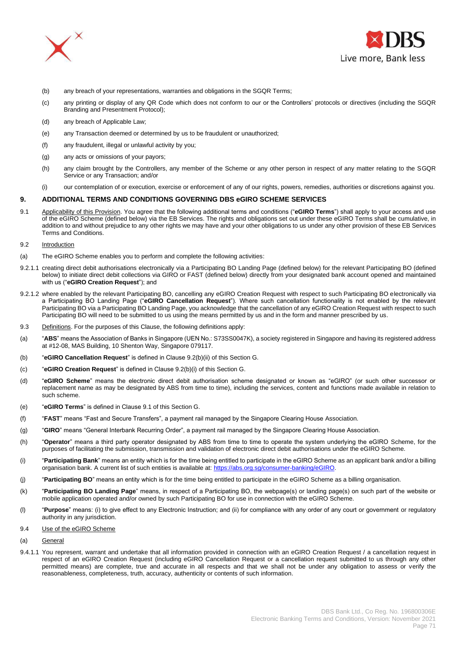



- (b) any breach of your representations, warranties and obligations in the SGQR Terms;
- (c) any printing or display of any QR Code which does not conform to our or the Controllers' protocols or directives (including the SGQR Branding and Presentment Protocol);
- (d) any breach of Applicable Law;
- (e) any Transaction deemed or determined by us to be fraudulent or unauthorized;
- (f) any fraudulent, illegal or unlawful activity by you;
- (g) any acts or omissions of your payors;
- (h) any claim brought by the Controllers, any member of the Scheme or any other person in respect of any matter relating to the SGQR Service or any Transaction; and/or
- (i) our contemplation of or execution, exercise or enforcement of any of our rights, powers, remedies, authorities or discretions against you.

## **9. ADDITIONAL TERMS AND CONDITIONS GOVERNING DBS eGIRO SCHEME SERVICES**

- 9.1 Applicability of this Provision. You agree that the following additional terms and conditions ("**eGIRO Terms**") shall apply to your access and use of the eGIRO Scheme (defined below) via the EB Services. The rights and obligations set out under these eGIRO Terms shall be cumulative, in addition to and without prejudice to any other rights we may have and your other obligations to us under any other provision of these EB Services Terms and Conditions.
- 9.2 Introduction
- (a) The eGIRO Scheme enables you to perform and complete the following activities:
- 9.2.1.1 creating direct debit authorisations electronically via a Participating BO Landing Page (defined below) for the relevant Participating BO (defined below) to initiate direct debit collections via GIRO or FAST (defined below) directly from your designated bank account opened and maintained with us ("**eGIRO Creation Request**"); and
- 9.2.1.2 where enabled by the relevant Participating BO, cancelling any eGIRO Creation Request with respect to such Participating BO electronically via a Participating BO Landing Page ("**eGIRO Cancellation Request**"). Where such cancellation functionality is not enabled by the relevant Participating BO via a Participating BO Landing Page, you acknowledge that the cancellation of any eGIRO Creation Request with respect to such Participating BO will need to be submitted to us using the means permitted by us and in the form and manner prescribed by us.
- 9.3 Definitions. For the purposes of this Clause, the following definitions apply:
- (a) "**ABS**" means the Association of Banks in Singapore (UEN No.: S73SS0047K), a society registered in Singapore and having its registered address at #12-08, MAS Building, 10 Shenton Way, Singapore 079117.
- (b) "**eGIRO Cancellation Request**" is defined in Clause 9.2(b)(ii) of this Section G.
- (c) "**eGIRO Creation Request**" is defined in Clause 9.2(b)(i) of this Section G.
- (d) "**eGIRO Scheme**" means the electronic direct debit authorisation scheme designated or known as "eGIRO" (or such other successor or replacement name as may be designated by ABS from time to time), including the services, content and functions made available in relation to such scheme.
- (e) "**eGIRO Terms**" is defined in Clause 9.1 of this Section G.
- (f) "**FAST**" means "Fast and Secure Transfers", a payment rail managed by the Singapore Clearing House Association.
- (g) "**GIRO**" means "General Interbank Recurring Order", a payment rail managed by the Singapore Clearing House Association.
- (h) "**Operator**" means a third party operator designated by ABS from time to time to operate the system underlying the eGIRO Scheme, for the purposes of facilitating the submission, transmission and validation of electronic direct debit authorisations under the eGIRO Scheme.
- (i) "**Participating Bank**" means an entity which is for the time being entitled to participate in the eGIRO Scheme as an applicant bank and/or a billing organisation bank. A current list of such entities is available at: [https://abs.org.sg/consumer-banking/eGIRO.](https://abs.org.sg/consumer-banking/eGIRO)
- (j) "**Participating BO**" means an entity which is for the time being entitled to participate in the eGIRO Scheme as a billing organisation.
- (k) "**Participating BO Landing Page**" means, in respect of a Participating BO, the webpage(s) or landing page(s) on such part of the website or mobile application operated and/or owned by such Participating BO for use in connection with the eGIRO Scheme.
- (l) "**Purpose**" means: (i) to give effect to any Electronic Instruction; and (ii) for compliance with any order of any court or government or regulatory authority in any jurisdiction.

### 9.4 Use of the eGIRO Scheme

- (a) General
- 9.4.1.1 You represent, warrant and undertake that all information provided in connection with an eGIRO Creation Request / a cancellation request in respect of an eGIRO Creation Request (including eGIRO Cancellation Request or a cancellation request submitted to us through any other permitted means) are complete, true and accurate in all respects and that we shall not be under any obligation to assess or verify the reasonableness, completeness, truth, accuracy, authenticity or contents of such information.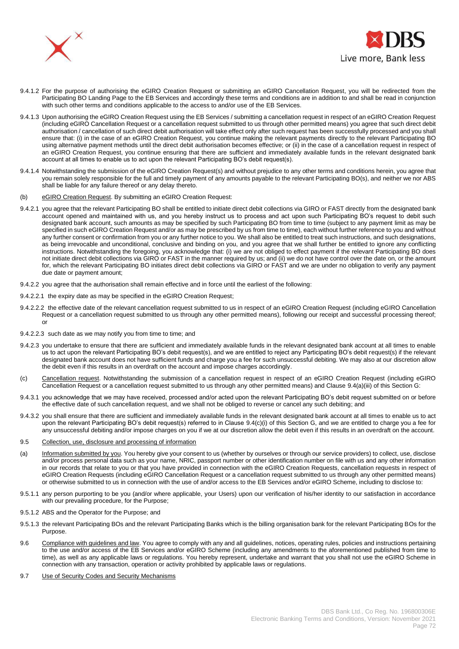



- 9.4.1.2 For the purpose of authorising the eGIRO Creation Request or submitting an eGIRO Cancellation Request, you will be redirected from the Participating BO Landing Page to the EB Services and accordingly these terms and conditions are in addition to and shall be read in conjunction with such other terms and conditions applicable to the access to and/or use of the EB Services.
- 9.4.1.3 Upon authorising the eGIRO Creation Request using the EB Services / submitting a cancellation request in respect of an eGIRO Creation Request (including eGIRO Cancellation Request or a cancellation request submitted to us through other permitted means) you agree that such direct debit authorisation / cancellation of such direct debit authorisation will take effect only after such request has been successfully processed and you shall ensure that: (i) in the case of an eGIRO Creation Request, you continue making the relevant payments directly to the relevant Participating BO using alternative payment methods until the direct debit authorisation becomes effective; or (ii) in the case of a cancellation request in respect of an eGIRO Creation Request, you continue ensuring that there are sufficient and immediately available funds in the relevant designated bank account at all times to enable us to act upon the relevant Participating BO's debit request(s).
- 9.4.1.4 Notwithstanding the submission of the eGIRO Creation Request(s) and without prejudice to any other terms and conditions herein, you agree that you remain solely responsible for the full and timely payment of any amounts payable to the relevant Participating BO(s), and neither we nor ABS shall be liable for any failure thereof or any delay thereto.
- (b) eGIRO Creation Request. By submitting an eGIRO Creation Request:
- 9.4.2.1 you agree that the relevant Participating BO shall be entitled to initiate direct debit collections via GIRO or FAST directly from the designated bank account opened and maintained with us, and you hereby instruct us to process and act upon such Participating BO's request to debit such designated bank account, such amounts as may be specified by such Participating BO from time to time (subject to any payment limit as may be specified in such eGIRO Creation Request and/or as may be prescribed by us from time to time), each without further reference to you and without any further consent or confirmation from you or any further notice to you. We shall also be entitled to treat such instructions, and such designations, as being irrevocable and unconditional, conclusive and binding on you, and you agree that we shall further be entitled to ignore any conflicting instructions. Notwithstanding the foregoing, you acknowledge that: (i) we are not obliged to effect payment if the relevant Participating BO does not initiate direct debit collections via GIRO or FAST in the manner required by us; and (ii) we do not have control over the date on, or the amount for, which the relevant Participating BO initiates direct debit collections via GIRO or FAST and we are under no obligation to verify any payment due date or payment amount;
- 9.4.2.2 you agree that the authorisation shall remain effective and in force until the earliest of the following:
- 9.4.2.2.1 the expiry date as may be specified in the eGIRO Creation Request;
- 9.4.2.2.2 the effective date of the relevant cancellation request submitted to us in respect of an eGIRO Creation Request (including eGIRO Cancellation Request or a cancellation request submitted to us through any other permitted means), following our receipt and successful processing thereof; or
- 9.4.2.2.3 such date as we may notify you from time to time; and
- 9.4.2.3 you undertake to ensure that there are sufficient and immediately available funds in the relevant designated bank account at all times to enable us to act upon the relevant Participating BO's debit request(s), and we are entitled to reject any Participating BO's debit request(s) if the relevant designated bank account does not have sufficient funds and charge you a fee for such unsuccessful debiting. We may also at our discretion allow the debit even if this results in an overdraft on the account and impose charges accordingly.
- (c) Cancellation request. Notwithstanding the submission of a cancellation request in respect of an eGIRO Creation Request (including eGIRO Cancellation Request or a cancellation request submitted to us through any other permitted means) and Clause 9.4(a)(iii) of this Section G:
- 9.4.3.1 you acknowledge that we may have received, processed and/or acted upon the relevant Participating BO's debit request submitted on or before the effective date of such cancellation request, and we shall not be obliged to reverse or cancel any such debiting; and
- 9.4.3.2 you shall ensure that there are sufficient and immediately available funds in the relevant designated bank account at all times to enable us to act upon the relevant Participating BO's debit request(s) referred to in Clause 9.4(c)(i) of this Section G, and we are entitled to charge you a fee for any unsuccessful debiting and/or impose charges on you if we at our discretion allow the debit even if this results in an overdraft on the account.
- 9.5 Collection, use, disclosure and processing of information
- (a) Information submitted by you. You hereby give your consent to us (whether by ourselves or through our service providers) to collect, use, disclose and/or process personal data such as your name, NRIC, passport number or other identification number on file with us and any other information in our records that relate to you or that you have provided in connection with the eGIRO Creation Requests, cancellation requests in respect of eGIRO Creation Requests (including eGIRO Cancellation Request or a cancellation request submitted to us through any other permitted means) or otherwise submitted to us in connection with the use of and/or access to the EB Services and/or eGIRO Scheme, including to disclose to:
- 9.5.1.1 any person purporting to be you (and/or where applicable, your Users) upon our verification of his/her identity to our satisfaction in accordance with our prevailing procedure, for the Purpose;
- 9.5.1.2 ABS and the Operator for the Purpose; and
- 9.5.1.3 the relevant Participating BOs and the relevant Participating Banks which is the billing organisation bank for the relevant Participating BOs for the Purpose.
- 9.6 Compliance with guidelines and law. You agree to comply with any and all guidelines, notices, operating rules, policies and instructions pertaining to the use and/or access of the EB Services and/or eGIRO Scheme (including any amendments to the aforementioned published from time to time), as well as any applicable laws or regulations. You hereby represent, undertake and warrant that you shall not use the eGIRO Scheme in connection with any transaction, operation or activity prohibited by applicable laws or regulations.
- 9.7 Use of Security Codes and Security Mechanisms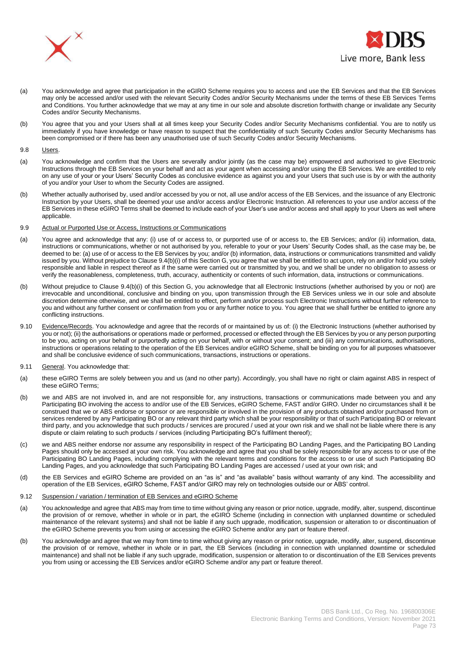



- (a) You acknowledge and agree that participation in the eGIRO Scheme requires you to access and use the EB Services and that the EB Services may only be accessed and/or used with the relevant Security Codes and/or Security Mechanisms under the terms of these EB Services Terms and Conditions. You further acknowledge that we may at any time in our sole and absolute discretion forthwith change or invalidate any Security Codes and/or Security Mechanisms.
- (b) You agree that you and your Users shall at all times keep your Security Codes and/or Security Mechanisms confidential. You are to notify us immediately if you have knowledge or have reason to suspect that the confidentiality of such Security Codes and/or Security Mechanisms has been compromised or if there has been any unauthorised use of such Security Codes and/or Security Mechanisms.
- 9.8 Users.
- (a) You acknowledge and confirm that the Users are severally and/or jointly (as the case may be) empowered and authorised to give Electronic Instructions through the EB Services on your behalf and act as your agent when accessing and/or using the EB Services. We are entitled to rely on any use of your or your Users' Security Codes as conclusive evidence as against you and your Users that such use is by or with the authority of you and/or your User to whom the Security Codes are assigned.
- (b) Whether actually authorised by, used and/or accessed by you or not, all use and/or access of the EB Services, and the issuance of any Electronic Instruction by your Users, shall be deemed your use and/or access and/or Electronic Instruction. All references to your use and/or access of the EB Services in these eGIRO Terms shall be deemed to include each of your User's use and/or access and shall apply to your Users as well where applicable.
- 9.9 Actual or Purported Use or Access, Instructions or Communications
- (a) You agree and acknowledge that any: (i) use of or access to, or purported use of or access to, the EB Services; and/or (ii) information, data, instructions or communications, whether or not authorised by you, referable to your or your Users' Security Codes shall, as the case may be, be deemed to be: (a) use of or access to the EB Services by you; and/or (b) information, data, instructions or communications transmitted and validly issued by you. Without prejudice to Clause 9.4(b)(i) of this Section G, you agree that we shall be entitled to act upon, rely on and/or hold you solely responsible and liable in respect thereof as if the same were carried out or transmitted by you, and we shall be under no obligation to assess or verify the reasonableness, completeness, truth, accuracy, authenticity or contents of such information, data, instructions or communications.
- (b) Without prejudice to Clause 9.4(b)(i) of this Section G, you acknowledge that all Electronic Instructions (whether authorised by you or not) are irrevocable and unconditional, conclusive and binding on you, upon transmission through the EB Services unless we in our sole and absolute discretion determine otherwise, and we shall be entitled to effect, perform and/or process such Electronic Instructions without further reference to you and without any further consent or confirmation from you or any further notice to you. You agree that we shall further be entitled to ignore any conflicting instructions.
- 9.10 Evidence/Records. You acknowledge and agree that the records of or maintained by us of: (i) the Electronic Instructions (whether authorised by you or not); (ii) the authorisations or operations made or performed, processed or effected through the EB Services by you or any person purporting to be you, acting on your behalf or purportedly acting on your behalf, with or without your consent; and (iii) any communications, authorisations, instructions or operations relating to the operation of the EB Services and/or eGIRO Scheme, shall be binding on you for all purposes whatsoever and shall be conclusive evidence of such communications, transactions, instructions or operations.
- 9.11 General. You acknowledge that:
- (a) these eGIRO Terms are solely between you and us (and no other party). Accordingly, you shall have no right or claim against ABS in respect of these eGIRO Terms;
- (b) we and ABS are not involved in, and are not responsible for, any instructions, transactions or communications made between you and any Participating BO involving the access to and/or use of the EB Services, eGIRO Scheme, FAST and/or GIRO. Under no circumstances shall it be construed that we or ABS endorse or sponsor or are responsible or involved in the provision of any products obtained and/or purchased from or services rendered by any Participating BO or any relevant third party which shall be your responsibility or that of such Participating BO or relevant third party, and you acknowledge that such products / services are procured / used at your own risk and we shall not be liable where there is any dispute or claim relating to such products / services (including Participating BO's fulfilment thereof);
- (c) we and ABS neither endorse nor assume any responsibility in respect of the Participating BO Landing Pages, and the Participating BO Landing Pages should only be accessed at your own risk. You acknowledge and agree that you shall be solely responsible for any access to or use of the Participating BO Landing Pages, including complying with the relevant terms and conditions for the access to or use of such Participating BO Landing Pages, and you acknowledge that such Participating BO Landing Pages are accessed / used at your own risk; and
- (d) the EB Services and eGIRO Scheme are provided on an "as is" and "as available" basis without warranty of any kind. The accessibility and operation of the EB Services, eGIRO Scheme, FAST and/or GIRO may rely on technologies outside our or ABS' control.
- 9.12 Suspension / variation / termination of EB Services and eGIRO Scheme
- (a) You acknowledge and agree that ABS may from time to time without giving any reason or prior notice, upgrade, modify, alter, suspend, discontinue the provision of or remove, whether in whole or in part, the eGIRO Scheme (including in connection with unplanned downtime or scheduled maintenance of the relevant systems) and shall not be liable if any such upgrade, modification, suspension or alteration to or discontinuation of the eGIRO Scheme prevents you from using or accessing the eGIRO Scheme and/or any part or feature thereof.
- (b) You acknowledge and agree that we may from time to time without giving any reason or prior notice, upgrade, modify, alter, suspend, discontinue the provision of or remove, whether in whole or in part, the EB Services (including in connection with unplanned downtime or scheduled maintenance) and shall not be liable if any such upgrade, modification, suspension or alteration to or discontinuation of the EB Services prevents you from using or accessing the EB Services and/or eGIRO Scheme and/or any part or feature thereof.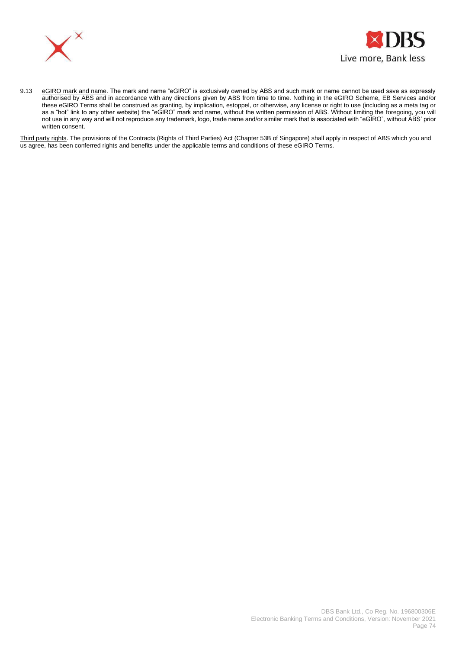



9.13 eGIRO mark and name. The mark and name "eGIRO" is exclusively owned by ABS and such mark or name cannot be used save as expressly authorised by ABS and in accordance with any directions given by ABS from time to time. Nothing in the eGIRO Scheme, EB Services and/or these eGIRO Terms shall be construed as granting, by implication, estoppel, or otherwise, any license or right to use (including as a meta tag or as a "hot" link to any other website) the "eGIRO" mark and name, without the written permission of ABS. Without limiting the foregoing, you will not use in any way and will not reproduce any trademark, logo, trade name and/or similar mark that is associated with "eGIRO", without ABS' prior written consent.

Third party rights. The provisions of the Contracts (Rights of Third Parties) Act (Chapter 53B of Singapore) shall apply in respect of ABS which you and us agree, has been conferred rights and benefits under the applicable terms and conditions of these eGIRO Terms.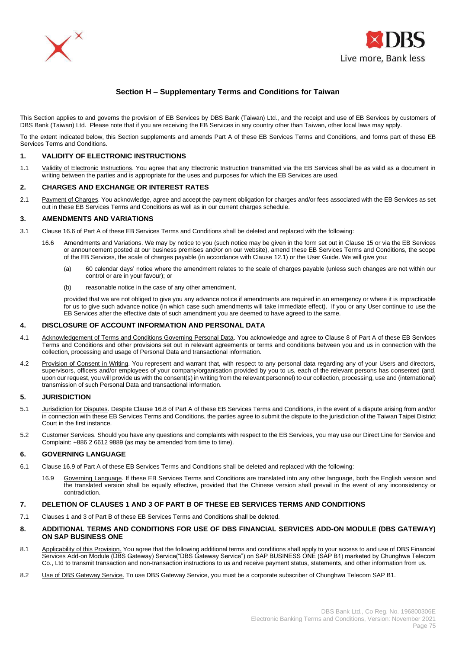



# **Section H – Supplementary Terms and Conditions for Taiwan**

This Section applies to and governs the provision of EB Services by DBS Bank (Taiwan) Ltd., and the receipt and use of EB Services by customers of DBS Bank (Taiwan) Ltd. Please note that if you are receiving the EB Services in any country other than Taiwan, other local laws may apply.

To the extent indicated below, this Section supplements and amends Part A of these EB Services Terms and Conditions, and forms part of these EB Services Terms and Conditions.

# **1. VALIDITY OF ELECTRONIC INSTRUCTIONS**

1.1 Validity of Electronic Instructions. You agree that any Electronic Instruction transmitted via the EB Services shall be as valid as a document in writing between the parties and is appropriate for the uses and purposes for which the EB Services are used.

### **2. CHARGES AND EXCHANGE OR INTEREST RATES**

2.1 Payment of Charges. You acknowledge, agree and accept the payment obligation for charges and/or fees associated with the EB Services as set out in these EB Services Terms and Conditions as well as in our current charges schedule.

### **3. AMENDMENTS AND VARIATIONS**

- 3.1 Clause 16.6 of Part A of these EB Services Terms and Conditions shall be deleted and replaced with the following:
	- 16.6 Amendments and Variations. We may by notice to you (such notice may be given in the form set out in Clause 15 or via the EB Services or announcement posted at our business premises and/or on our website), amend these EB Services Terms and Conditions, the scope of the EB Services, the scale of charges payable (in accordance with Clause 12.1) or the User Guide. We will give you:
		- (a) 60 calendar days' notice where the amendment relates to the scale of charges payable (unless such changes are not within our control or are in your favour); or
		- (b) reasonable notice in the case of any other amendment,

provided that we are not obliged to give you any advance notice if amendments are required in an emergency or where it is impracticable for us to give such advance notice (in which case such amendments will take immediate effect). If you or any User continue to use the EB Services after the effective date of such amendment you are deemed to have agreed to the same.

## **4. DISCLOSURE OF ACCOUNT INFORMATION AND PERSONAL DATA**

- 4.1 Acknowledgement of Terms and Conditions Governing Personal Data. You acknowledge and agree to Clause 8 of Part A of these EB Services Terms and Conditions and other provisions set out in relevant agreements or terms and conditions between you and us in connection with the collection, processing and usage of Personal Data and transactional information.
- 4.2 Provision of Consent in Writing. You represent and warrant that, with respect to any personal data regarding any of your Users and directors, supervisors, officers and/or employees of your company/organisation provided by you to us, each of the relevant persons has consented (and, upon our request, you will provide us with the consent(s) in writing from the relevant personnel) to our collection, processing, use and (international) transmission of such Personal Data and transactional information.

### **5. JURISDICTION**

- 5.1 Jurisdiction for Disputes. Despite Clause 16.8 of Part A of these EB Services Terms and Conditions, in the event of a dispute arising from and/or in connection with these EB Services Terms and Conditions, the parties agree to submit the dispute to the jurisdiction of the Taiwan Taipei District Court in the first instance.
- 5.2 Customer Services. Should you have any questions and complaints with respect to the EB Services, you may use our Direct Line for Service and Complaint: +886 2 6612 9889 (as may be amended from time to time).

## **6. GOVERNING LANGUAGE**

- 6.1 Clause 16.9 of Part A of these EB Services Terms and Conditions shall be deleted and replaced with the following:
	- 16.9 Governing Language. If these EB Services Terms and Conditions are translated into any other language, both the English version and the translated version shall be equally effective, provided that the Chinese version shall prevail in the event of any inconsistency or contradiction.

# **7. DELETION OF CLAUSES 1 AND 3 OF PART B OF THESE EB SERVICES TERMS AND CONDITIONS**

- 7.1 Clauses 1 and 3 of Part B of these EB Services Terms and Conditions shall be deleted.
- **8. ADDITIONAL TERMS AND CONDITIONS FOR USE OF DBS FINANCIAL SERVICES ADD-ON MODULE (DBS GATEWAY) ON SAP BUSINESS ONE**
- 8.1 Applicability of this Provision. You agree that the following additional terms and conditions shall apply to your access to and use of DBS Financial Services Add-on Module (DBS Gateway) Service("DBS Gateway Service") on SAP BUSINESS ONE (SAP B1) marketed by Chunghwa Telecom Co., Ltd to transmit transaction and non-transaction instructions to us and receive payment status, statements, and other information from us.
- 8.2 Use of DBS Gateway Service. To use DBS Gateway Service, you must be a corporate subscriber of Chunghwa Telecom SAP B1.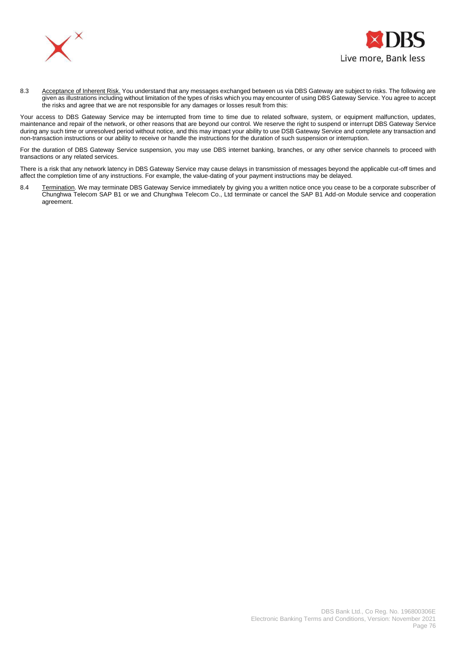



8.3 Acceptance of Inherent Risk. You understand that any messages exchanged between us via DBS Gateway are subject to risks. The following are given as illustrations including without limitation of the types of risks which you may encounter of using DBS Gateway Service. You agree to accept the risks and agree that we are not responsible for any damages or losses result from this:

Your access to DBS Gateway Service may be interrupted from time to time due to related software, system, or equipment malfunction, updates, maintenance and repair of the network, or other reasons that are beyond our control. We reserve the right to suspend or interrupt DBS Gateway Service during any such time or unresolved period without notice, and this may impact your ability to use DSB Gateway Service and complete any transaction and non-transaction instructions or our ability to receive or handle the instructions for the duration of such suspension or interruption.

For the duration of DBS Gateway Service suspension, you may use DBS internet banking, branches, or any other service channels to proceed with transactions or any related services.

There is a risk that any network latency in DBS Gateway Service may cause delays in transmission of messages beyond the applicable cut-off times and affect the completion time of any instructions. For example, the value-dating of your payment instructions may be delayed.

8.4 Termination. We may terminate DBS Gateway Service immediately by giving you a written notice once you cease to be a corporate subscriber of Chunghwa Telecom SAP B1 or we and Chunghwa Telecom Co., Ltd terminate or cancel the SAP B1 Add-on Module service and cooperation agreement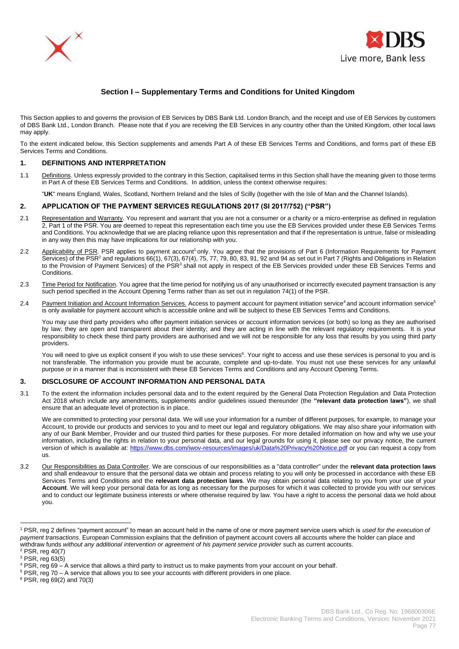



# **Section I – Supplementary Terms and Conditions for United Kingdom**

This Section applies to and governs the provision of EB Services by DBS Bank Ltd. London Branch, and the receipt and use of EB Services by customers of DBS Bank Ltd., London Branch. Please note that if you are receiving the EB Services in any country other than the United Kingdom, other local laws may apply.

To the extent indicated below, this Section supplements and amends Part A of these EB Services Terms and Conditions, and forms part of these EB Services Terms and Conditions.

## **1. DEFINITIONS AND INTERPRETATION**

1.1 Definitions. Unless expressly provided to the contrary in this Section, capitalised terms in this Section shall have the meaning given to those terms in Part A of these EB Services Terms and Conditions. In addition, unless the context otherwise requires:

"**UK**" means England, Wales, Scotland, Northern Ireland and the Isles of Scilly (together with the Isle of Man and the Channel Islands).

## **2. APPLICATION OF THE PAYMENT SERVICES REGULATIONS 2017 (SI 2017/752) ("PSR")**

- 2.1 Representation and Warranty. You represent and warrant that you are not a consumer or a charity or a micro-enterprise as defined in regulation 2, Part 1 of the PSR. You are deemed to repeat this representation each time you use the EB Services provided under these EB Services Terms and Conditions. You acknowledge that we are placing reliance upon this representation and that if the representation is untrue, false or misleading in any way then this may have implications for our relationship with you.
- 2.2 Applicability of PSR. PSR applies to payment account<sup>1</sup> only. You agree that the provisions of Part 6 (Information Requirements for Payment Services) of the PSR<sup>2</sup> and regulations 66(1), 67(3), 67(4), 75, 77, 79, 80, 83, 91, 92 and 94 as set out in Part 7 (Rights and Obligations in Relation to the Provision of Payment Services) of the PSR<sup>3</sup> shall not apply in respect of the EB Services provided under these EB Services Terms and **Conditions**
- 2.3 Time Period for Notification. You agree that the time period for notifying us of any unauthorised or incorrectly executed payment transaction is any such period specified in the Account Opening Terms rather than as set out in regulation 74(1) of the PSR.
- 2.4 Payment Initiation and Account Information Services. Access to payment account for payment initiation service<sup>4</sup> and account information service<sup>5</sup> is only available for payment account which is accessible online and will be subject to these EB Services Terms and Conditions.

You may use third party providers who offer payment initiation services or account information services (or both) so long as they are authorised by law; they are open and transparent about their identity; and they are acting in line with the relevant regulatory requirements. It is your responsibility to check these third party providers are authorised and we will not be responsible for any loss that results by you using third party providers.

You will need to give us explicit consent if you wish to use these services<sup>6</sup>. Your right to access and use these services is personal to you and is not transferable. The information you provide must be accurate, complete and up-to-date. You must not use these services for any unlawful purpose or in a manner that is inconsistent with these EB Services Terms and Conditions and any Account Opening Terms.

### **3. DISCLOSURE OF ACCOUNT INFORMATION AND PERSONAL DATA**

3.1 To the extent the information includes personal data and to the extent required by the General Data Protection Regulation and Data Protection Act 2018 which include any amendments, supplements and/or guidelines issued thereunder (the **"relevant data protection laws"**), we shall ensure that an adequate level of protection is in place.

We are committed to protecting your personal data. We will use your information for a number of different purposes, for example, to manage your Account, to provide our products and services to you and to meet our legal and regulatory obligations. We may also share your information with any of our Bank Member, Provider and our trusted third parties for these purposes. For more detailed information on how and why we use your information, including the rights in relation to your personal data, and our legal grounds for using it, please see our privacy notice, the current version of which is available at[: https://www.dbs.com/iwov-resources/images/uk/Data%20Privacy%20Notice.pdf](https://www.dbs.com/iwov-resources/images/uk/Data%20Privacy%20Notice.pdf) or you can request a copy from us.

3.2 Our Responsibilities as Data Controller. We are conscious of our responsibilities as a "data controller" under the **relevant data protection laws** and shall endeavour to ensure that the personal data we obtain and process relating to you will only be processed in accordance with these EB Services Terms and Conditions and the **relevant data protection laws**. We may obtain personal data relating to you from your use of your **Account**. We will keep your personal data for as long as necessary for the purposes for which it was collected to provide you with our services and to conduct our legitimate business interests or where otherwise required by law. You have a right to access the personal data we hold about you.

<sup>1</sup> PSR, reg 2 defines "payment account" to mean an account held in the name of one or more payment service users which is *used for the execution of payment transactions*. European Commission explains that the definition of payment account covers all accounts where the holder can place and withdraw funds *without any additional intervention or agreement of his payment service provider* such as current accounts.

<sup>2</sup> PSR, reg 40(7)  $3$  PSR, reg 63(5)

<sup>4</sup> PSR, reg 69 – A service that allows a third party to instruct us to make payments from your account on your behalf.

<sup>&</sup>lt;sup>5</sup> PSR, reg 70 – A service that allows you to see your accounts with different providers in one place.

 $6$  PSR, reg 69(2) and 70(3)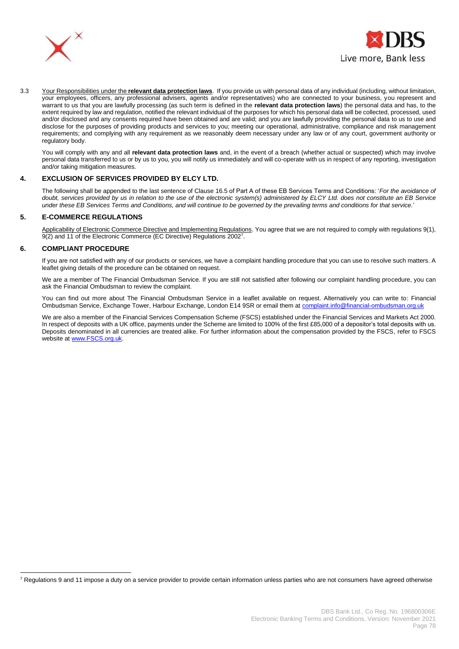



3.3 Your Responsibilities under the **relevant data protection laws**. If you provide us with personal data of any individual (including, without limitation, your employees, officers, any professional advisers, agents and/or representatives) who are connected to your business, you represent and warrant to us that you are lawfully processing (as such term is defined in the **relevant data protection laws**) the personal data and has, to the extent required by law and regulation, notified the relevant individual of the purposes for which his personal data will be collected, processed, used and/or disclosed and any consents required have been obtained and are valid; and you are lawfully providing the personal data to us to use and disclose for the purposes of providing products and services to you; meeting our operational, administrative, compliance and risk management requirements; and complying with any requirement as we reasonably deem necessary under any law or of any court, government authority or regulatory body.

You will comply with any and all **relevant data protection laws** and, in the event of a breach (whether actual or suspected) which may involve personal data transferred to us or by us to you, you will notify us immediately and will co-operate with us in respect of any reporting, investigation and/or taking mitigation measures.

## **4. EXCLUSION OF SERVICES PROVIDED BY ELCY LTD.**

The following shall be appended to the last sentence of Clause 16.5 of Part A of these EB Services Terms and Conditions: '*For the avoidance of doubt, services provided by us in relation to the use of the electronic system(s) administered by ELCY Ltd. does not constitute an EB Service under these EB Services Terms and Conditions, and will continue to be governed by the prevailing terms and conditions for that service.*'

## **5. E-COMMERCE REGULATIONS**

Applicability of Electronic Commerce Directive and Implementing Regulations. You agree that we are not required to comply with regulations 9(1), 9(2) and 11 of the Electronic Commerce (EC Directive) Regulations 2002<sup>7</sup>.

## **6. COMPLIANT PROCEDURE**

If you are not satisfied with any of our products or services, we have a complaint handling procedure that you can use to resolve such matters. A leaflet giving details of the procedure can be obtained on request.

We are a member of The Financial Ombudsman Service. If you are still not satisfied after following our complaint handling procedure, you can ask the Financial Ombudsman to review the complaint.

You can find out more about The Financial Ombudsman Service in a leaflet available on request. Alternatively you can write to: Financial Ombudsman Service, Exchange Tower, Harbour Exchange, London E14 9SR or email them at [complaint.info@financial-ombudsman.org.uk](mailto:complaint.info@financial-ombudsman.org.uk)

We are also a member of the Financial Services Compensation Scheme (FSCS) established under the Financial Services and Markets Act 2000. In respect of deposits with a UK office, payments under the Scheme are limited to 100% of the first £85,000 of a depositor's total deposits with us. Deposits denominated in all currencies are treated alike. For further information about the compensation provided by the FSCS, refer to FSCS website at [www.FSCS.org.uk.](http://www.fscs.org.uk/)

 $7$  Regulations 9 and 11 impose a duty on a service provider to provide certain information unless parties who are not consumers have agreed otherwise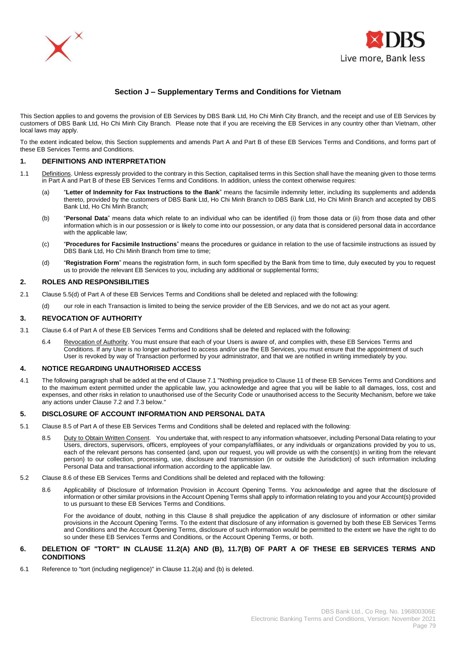



# **Section J – Supplementary Terms and Conditions for Vietnam**

This Section applies to and governs the provision of EB Services by DBS Bank Ltd, Ho Chi Minh City Branch, and the receipt and use of EB Services by customers of DBS Bank Ltd, Ho Chi Minh City Branch. Please note that if you are receiving the EB Services in any country other than Vietnam, other local laws may apply.

To the extent indicated below, this Section supplements and amends Part A and Part B of these EB Services Terms and Conditions, and forms part of these EB Services Terms and Conditions.

## **1. DEFINITIONS AND INTERPRETATION**

- 1.1 Definitions. Unless expressly provided to the contrary in this Section, capitalised terms in this Section shall have the meaning given to those terms in Part A and Part B of these EB Services Terms and Conditions. In addition, unless the context otherwise requires:
	- (a) "**Letter of Indemnity for Fax Instructions to the Bank**" means the facsimile indemnity letter, including its supplements and addenda thereto, provided by the customers of DBS Bank Ltd, Ho Chi Minh Branch to DBS Bank Ltd, Ho Chi Minh Branch and accepted by DBS Bank Ltd, Ho Chi Minh Branch;
	- (b) "**Personal Data**" means data which relate to an individual who can be identified (i) from those data or (ii) from those data and other information which is in our possession or is likely to come into our possession, or any data that is considered personal data in accordance with the applicable law:
	- (c) "**Procedures for Facsimile Instructions**" means the procedures or guidance in relation to the use of facsimile instructions as issued by DBS Bank Ltd, Ho Chi Minh Branch from time to time;
	- (d) "**Registration Form**" means the registration form, in such form specified by the Bank from time to time, duly executed by you to request us to provide the relevant EB Services to you, including any additional or supplemental forms;

### **2. ROLES AND RESPONSIBILITIES**

- 2.1 Clause 5.5(d) of Part A of these EB Services Terms and Conditions shall be deleted and replaced with the following:
	- (d) our role in each Transaction is limited to being the service provider of the EB Services, and we do not act as your agent.

## **3. REVOCATION OF AUTHORITY**

- 3.1 Clause 6.4 of Part A of these EB Services Terms and Conditions shall be deleted and replaced with the following:
	- 6.4 Revocation of Authority. You must ensure that each of your Users is aware of, and complies with, these EB Services Terms and Conditions. If any User is no longer authorised to access and/or use the EB Services, you must ensure that the appointment of such User is revoked by way of Transaction performed by your administrator, and that we are notified in writing immediately by you.

## **4. NOTICE REGARDING UNAUTHORISED ACCESS**

4.1 The following paragraph shall be added at the end of Clause 7.1 "Nothing prejudice to Clause 11 of these EB Services Terms and Conditions and to the maximum extent permitted under the applicable law, you acknowledge and agree that you will be liable to all damages, loss, cost and expenses, and other risks in relation to unauthorised use of the Security Code or unauthorised access to the Security Mechanism, before we take any actions under Clause 7.2 and 7.3 below."

### **5. DISCLOSURE OF ACCOUNT INFORMATION AND PERSONAL DATA**

- 5.1 Clause 8.5 of Part A of these EB Services Terms and Conditions shall be deleted and replaced with the following:
	- 8.5 Duty to Obtain Written Consent. You undertake that, with respect to any information whatsoever, including Personal Data relating to your Users, directors, supervisors, officers, employees of your company/affiliates, or any individuals or organizations provided by you to us, each of the relevant persons has consented (and, upon our request, you will provide us with the consent(s) in writing from the relevant person) to our collection, processing, use, disclosure and transmission (in or outside the Jurisdiction) of such information including Personal Data and transactional information according to the applicable law.
- 5.2 Clause 8.6 of these EB Services Terms and Conditions shall be deleted and replaced with the following:
	- 8.6 Applicability of Disclosure of Information Provision in Account Opening Terms. You acknowledge and agree that the disclosure of information or other similar provisions in the Account Opening Terms shall apply to information relating to you and your Account(s) provided to us pursuant to these EB Services Terms and Conditions.

For the avoidance of doubt, nothing in this Clause 8 shall prejudice the application of any disclosure of information or other similar provisions in the Account Opening Terms. To the extent that disclosure of any information is governed by both these EB Services Terms and Conditions and the Account Opening Terms, disclosure of such information would be permitted to the extent we have the right to do so under these EB Services Terms and Conditions, or the Account Opening Terms, or both.

## **6. DELETION OF "TORT" IN CLAUSE 11.2(A) AND (B), 11.7(B) OF PART A OF THESE EB SERVICES TERMS AND CONDITIONS**

6.1 Reference to "tort (including negligence)" in Clause 11.2(a) and (b) is deleted.